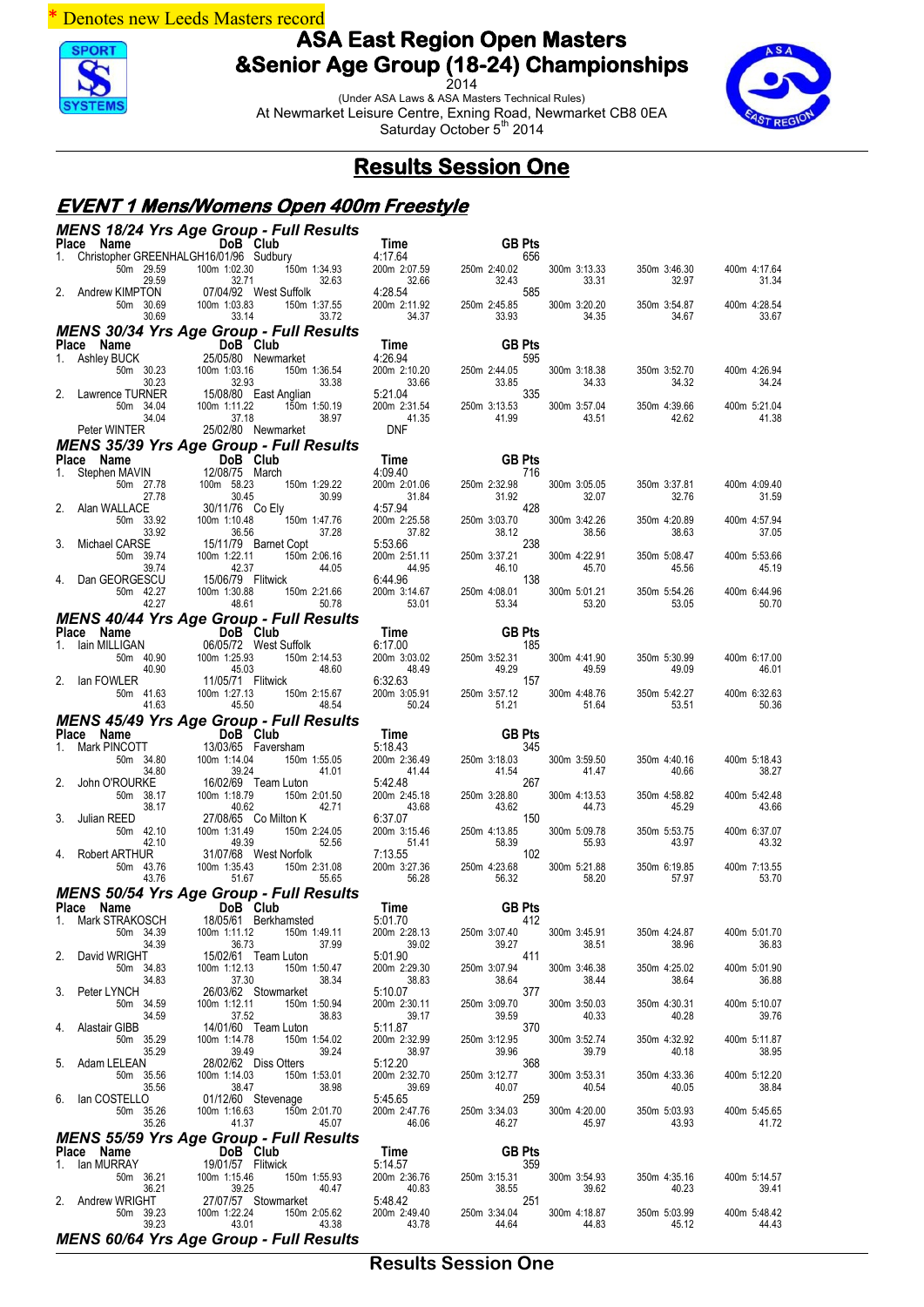

2014 (Under ASA Laws & ASA Masters Technical Rules) At Newmarket Leisure Centre, Exning Road, Newmarket CB8 0EA Saturday October 5<sup>th</sup> 2014



## **Results Session One**

#### **EVENT 1 Mens/Womens Open 400m Freestyle** *MENS 18/24 Yrs Age Group - Full Results*

|         | Place Name                     | MENS 10/24 TIS Age Group - Full Results<br>DoB Club                                                     | Time                                           | <b>GB Pts</b>         |                       |                       |                       |
|---------|--------------------------------|---------------------------------------------------------------------------------------------------------|------------------------------------------------|-----------------------|-----------------------|-----------------------|-----------------------|
| 1.      |                                | Christopher GREENHALGH16/01/96 Sudbury                                                                  | 4:17.64                                        | 656                   |                       |                       |                       |
|         | 50m 29.59                      | 100m 1:02.30                                                                                            | 150m 1:34.93<br>200m 2:07.59                   | 250m 2:40.02          | 300m 3:13.33          | 350m 3:46.30          | 400m 4:17.64          |
|         | 29.59                          | 32.71                                                                                                   | 32.63<br>32.66                                 | 32.43                 | 33.31                 | 32.97                 | 31.34                 |
|         | 2. Andrew KIMPTON<br>50m 30.69 | 07/04/92 West Suffolk<br>100m 1:03.83                                                                   | 4:28.54<br>200m 2:11.92<br>150m 1:37.55        | 585<br>250m 2:45.85   | 300m 3:20.20          | 350m 3:54.87          | 400m 4:28.54          |
|         | 30.69                          | 33.14                                                                                                   | 34.37<br>33.72                                 | 33.93                 | 34.35                 | 34.67                 | 33.67                 |
|         |                                | <b>MENS 30/34 Yrs Age Group - Full Results</b>                                                          |                                                |                       |                       |                       |                       |
|         | Place Name                     | DoB Club<br>25/05/80 Newm                                                                               | Time                                           | <b>GB Pts</b>         |                       |                       |                       |
|         | 1. Ashley BUCK                 | 25/05/80 Newmarket                                                                                      | 4:26.94                                        | 595                   |                       |                       |                       |
|         | 50m 30.23                      | 100m 1:03.16                                                                                            | 150m 1:36.54<br>200m 2:10.20                   | 250m 2:44.05          | 300m 3:18.38          | 350m 3:52.70          | 400m 4:26.94          |
|         | 30.23<br>Lawrence TURNER       |                                                                                                         | 33.38<br>33.66<br>5:21.04                      | 33.85<br>335          | 34.33                 | 34.32                 | 34.24                 |
|         | 50m 34.04                      | 32.93<br>15/08/80 East Anglian<br>100m 1:11.22<br>100m 1:11.22                                          | 200m 2:31.54<br>150m 1:50.19                   | 250m 3:13.53          | 300m 3:57.04          | 350m 4:39.66          | 400m 5:21.04          |
|         | 34.04                          | 37.18                                                                                                   | 38.97<br>41.35                                 | 41.99                 | 43.51                 | 42.62                 | 41.38                 |
|         | Peter WINTER                   | 25/02/80 Newmarket                                                                                      | <b>DNF</b>                                     |                       |                       |                       |                       |
|         |                                | <b>MENS 35/39 Yrs Age Group - Full Results</b>                                                          |                                                |                       |                       |                       |                       |
|         | Place Name                     | DoB Club<br>12/08/75 March                                                                              | Time                                           | <b>GB Pts</b>         |                       |                       |                       |
| 1.      | Stephen MAVIN<br>50m 27.78     | 100m 58.23                                                                                              | 4:09.40<br>150m 1:29.22<br>200m 2:01.06        | 716<br>250m 2:32.98   | 300m 3:05.05          | 350m 3:37.81          | 400m 4:09.40          |
|         | 27.78                          | 30.45                                                                                                   | 30.99<br>31.84                                 | 31.92                 | 32.07                 | 32.76                 | 31.59                 |
|         | Alan WALLACE                   | 30/11/76 Co Ely                                                                                         | 4:57.94                                        | 428                   |                       |                       |                       |
|         | 50m 33.92<br>33.92             | 100m 1:10.48                                                                                            | 150m 1:47.76<br>200m 2:25.58<br>37.28<br>37.82 | 250m 3:03.70<br>38.12 | 300m 3:42.26<br>38.56 | 350m 4:20.89<br>38.63 | 400m 4:57.94<br>37.05 |
| 3.      | Michael CARSE                  | 36.56<br>15/11/79 Barnet Copt                                                                           | 5:53.66                                        | 238                   |                       |                       |                       |
|         | 50m 39.74                      | 100m 1:22.11                                                                                            | 150m 2:06.16<br>200m 2:51.11                   | 250m 3:37.21          | 300m 4:22.91          | 350m 5:08.47          | 400m 5:53.66          |
|         | 39.74                          | 42.37                                                                                                   | 44.05<br>44.95                                 | 46.10                 | 45.70                 | 45.56                 | 45.19                 |
| 4.      | Dan GEORGESCU                  | 15/06/79 Flitwick                                                                                       | 6:44.96                                        | 138                   |                       |                       |                       |
|         | 50m 42.27<br>42.27             | 100m 1:30.88<br>48.61                                                                                   | 200m 3:14.67<br>150m 2:21.66<br>53.01<br>50.78 | 250m 4:08.01<br>53.34 | 300m 5:01.21<br>53.20 | 350m 5:54.26<br>53.05 | 400m 6:44.96<br>50.70 |
|         |                                | <b>MENS 40/44 Yrs Age Group - Full Results</b>                                                          |                                                |                       |                       |                       |                       |
|         | Place Name                     | <b>Ce Name</b><br><b>lain MILLIGAN DOB Club</b><br>50m 40.90 <b>100m 1:25.93</b><br><b>100m 1:25.93</b> | Time                                           | <b>GB Pts</b>         |                       |                       |                       |
| 1.      |                                | 06/05/72 West Suffolk                                                                                   | 6:17.00                                        | 185                   |                       |                       |                       |
|         |                                |                                                                                                         | 200m 3:03.02<br>150m 2:14.53                   | 250m 3:52.31          | 300m 4:41.90          | 350m 5:30.99          | 400m 6:17.00          |
| 2.      | 40.90<br>lan FOWLER            | 45.03<br>11/05/71 Flitwick                                                                              | 48.60<br>48.49<br>6:32.63                      | 49.29<br>157          | 49.59                 | 49.09                 | 46.01                 |
|         | 50m 41.63                      | 100m 1:27.13                                                                                            | 150m 2:15.67<br>200m 3:05.91                   | 250m 3:57.12          | 300m 4:48.76          | 350m 5:42.27          | 400m 6:32.63          |
|         | 41.63                          | 45.50                                                                                                   | 48.54<br>50.24                                 | 51.21                 | 51.64                 | 53.51                 | 50.36                 |
|         |                                | <b>MENS 45/49 Yrs Age Group - Full Results</b>                                                          |                                                |                       |                       |                       |                       |
|         | Place Name                     |                                                                                                         | Time                                           | <b>GB Pts</b>         |                       |                       |                       |
| $1_{-}$ | Mark PINCOTT<br>50m 34.80      | 13/03/65 Faversham<br>100m 1:14.04                                                                      | 5:18.43<br>150m 1:55.05<br>200m 2:36.49        | 345<br>250m 3:18.03   | 300m 3:59.50          | 350m 4:40.16          | 400m 5:18.43          |
|         |                                |                                                                                                         |                                                |                       |                       |                       |                       |
|         | 34.80                          |                                                                                                         | 41.44<br>41.01                                 | 41.54                 |                       | 40.66                 | 38.27                 |
|         | John O'ROURKE                  | 39.24<br>16/02/69 Team Luton                                                                            | 5:42.48                                        | 267                   | 41.47                 |                       |                       |
|         | 50m 38.17                      | 100m 1:18.79                                                                                            | 150m 2:01.50<br>200m 2:45.18                   | 250m 3:28.80          | 300m 4:13.53          | 350m 4:58.82          | 400m 5:42.48          |
|         | 38.17                          | 40.62                                                                                                   | 43.68<br>42.71                                 | 43.62                 | 44.73                 | 45.29                 | 43.66                 |
| 3.      | Julian REED<br>50m 42.10       | 27/08/65 Co Milton K<br>100m 1:31.49                                                                    | 6:37.07<br>200m 3:15.46<br>150m 2:24.05        | 150<br>250m 4:13.85   | 300m 5:09.78          | 350m 5:53.75          | 400m 6:37.07          |
|         | 42.10                          | 49.39                                                                                                   | 52.56<br>51.41                                 | 58.39                 | 55.93                 | 43.97                 | 43.32                 |
| 4.      | Robert ARTHUR                  | 31/07/68 West Norfolk                                                                                   | 7:13.55                                        | 102                   |                       |                       |                       |
|         | 50m 43.76<br>43.76             | 100m 1:35.43<br>51.67                                                                                   | 200m 3:27.36<br>150m 2:31.08<br>56.28<br>55.65 | 250m 4:23.68<br>56.32 | 300m 5:21.88<br>58.20 | 350m 6:19.85<br>57.97 | 400m 7:13.55<br>53.70 |
|         |                                |                                                                                                         |                                                |                       |                       |                       |                       |
|         | Place Name                     | <b>MENS 50/54 Yrs Age Group - Full Results</b><br>DoB Club                                              | Time                                           | <b>GB Pts</b>         |                       |                       |                       |
| 1.      | Mark STRAKOSCH                 | 18/05/61 Berkhamsted                                                                                    | 5:01.70                                        | 412                   |                       |                       |                       |
|         | 50m 34.39                      | 100m 1:11.12                                                                                            | 150m 1:49.11<br>200m 2:28.13                   | 250m 3:07.40          | 300m 3:45.91          | 350m 4:24.87          | 400m 5:01.70          |
| 2.      | 34.39<br>David WRIGHT          | 36.73<br>15/02/61 Team Luton                                                                            | 37.99<br>39.02<br>5:01.90                      | 39.27<br>411          | 38.51                 | 38.96                 | 36.83                 |
|         | 50m 34.83                      | 100m 1:12.13                                                                                            | 200m 2:29.30<br>150m 1:50.47                   | 250m 3:07.94          | 300m 3:46.38          | 350m 4:25.02          | 400m 5:01.90          |
|         | 34.83                          | 37.30                                                                                                   | 38.34<br>38.83                                 | 38.64                 | 38.44                 | 38.64                 | 36.88                 |
| 3.      | Peter LYNCH                    | 26/03/62 Stowmarket                                                                                     | 5:10.07                                        | 377                   |                       |                       |                       |
|         | 50m 34.59<br>34.59             | 100m 1:12.11<br>37.52                                                                                   | 150m 1:50.94<br>200m 2:30.11<br>38.83<br>39.17 | 250m 3:09.70<br>39.59 | 300m 3:50.03<br>40.33 | 350m 4:30.31<br>40.28 | 400m 5:10.07<br>39.76 |
| 4.      | Alastair GIBB                  | 14/01/60 Team Luton                                                                                     | 5:11.87                                        | 370                   |                       |                       |                       |
|         | 50m 35.29                      | 100m 1:14.78                                                                                            | 150m 1:54.02<br>200m 2:32.99                   | 250m 3:12.95          | 300m 3:52.74          | 350m 4:32.92          | 400m 5:11.87          |
|         | 35.29                          | 39.49                                                                                                   | 39.24<br>38.97                                 | 39.96                 | 39.79                 | 40.18                 | 38.95                 |
| 5.      | Adam LELEAN<br>50m 35.56       | 28/02/62 Diss Otters<br>100m 1:14.03                                                                    | 5:12.20<br>200m 2:32.70<br>150m 1:53.01        | 368<br>250m 3:12.77   | 300m 3:53.31          | 350m 4:33.36          | 400m 5:12.20          |
|         | 35.56                          | 38.47                                                                                                   | 39.69<br>38.98                                 | 40.07                 | 40.54                 | 40.05                 | 38.84                 |
| 6.      | lan COSTELLO                   | 01/12/60 Stevenage<br>100m 1:16.63                                                                      | 5:45.65                                        | 259                   |                       |                       |                       |
|         | 50m 35.26<br>35.26             | 41.37                                                                                                   | 150m 2:01.70<br>200m 2:47.76<br>45.07<br>46.06 | 250m 3:34.03<br>46.27 | 300m 4:20.00<br>45.97 | 350m 5:03.93<br>43.93 | 400m 5:45.65<br>41.72 |
|         |                                | <b>MENS 55/59 Yrs Age Group - Full Results</b>                                                          |                                                |                       |                       |                       |                       |
|         | Place Name                     | DoB Club                                                                                                | Time                                           | <b>GB Pts</b>         |                       |                       |                       |
| 1.      | lan MURRAY                     | 19/01/57 Flitwick                                                                                       | 5:14.57                                        | 359                   |                       |                       |                       |
|         | 50m 36.21                      | 100m 1:15.46                                                                                            | 150m 1:55.93<br>200m 2:36.76                   | 250m 3:15.31          | 300m 3:54.93          | 350m 4:35.16          | 400m 5:14.57          |
| 2.      | 36.21<br>Andrew WRIGHT         | 39.25<br>27/07/57 Stowmarket                                                                            | 40.47<br>40.83<br>5:48.42                      | 38.55<br>251          | 39.62                 | 40.23                 | 39.41                 |
|         | 50m 39.23                      | 100m 1:22.24                                                                                            | 200m 2:49.40<br>150m 2:05.62                   | 250m 3:34.04          | 300m 4:18.87          | 350m 5:03.99          | 400m 5:48.42          |
|         | 39.23                          | 43.01<br><b>MENS 60/64 Yrs Age Group - Full Results</b>                                                 | 43.38<br>43.78                                 | 44.64                 | 44.83                 | 45.12                 | 44.43                 |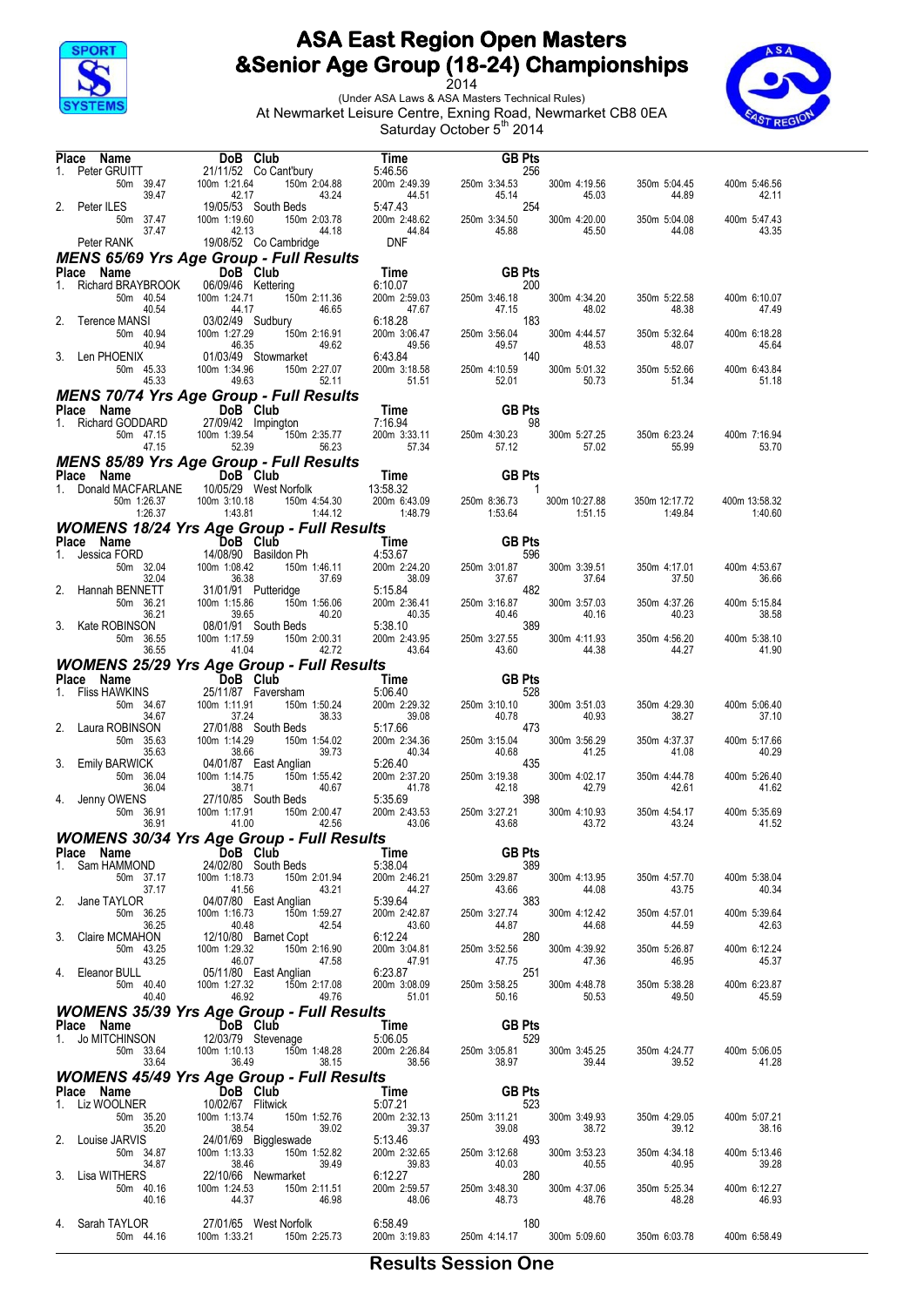



|    | Place Name                                            |                                                                                                                                                                                                                                                                                                                                   |                                                                                                     |                                                                                                                                                                                 |                          |                          |                          |
|----|-------------------------------------------------------|-----------------------------------------------------------------------------------------------------------------------------------------------------------------------------------------------------------------------------------------------------------------------------------------------------------------------------------|-----------------------------------------------------------------------------------------------------|---------------------------------------------------------------------------------------------------------------------------------------------------------------------------------|--------------------------|--------------------------|--------------------------|
| 1. |                                                       | <b>ce Name DoB Club</b><br>Peter GRUITT 21/11/52 Co Cant'bury<br>Form 39.47 100m 1:21.64 150m 2:04.88<br>43.24 43.24                                                                                                                                                                                                              |                                                                                                     | <b>Time</b> GB Pts<br>5:46.56 200m 2:49.39 250m 3:34.53<br>200m 2:49.39 250m 3:34.53<br>5:47.43 200m 2:48.62 250m 3:34.50<br>A4.84 45.88                                        | 300m 4:19.56             | 350m 5:04.45             | 400m 5:46.56             |
| 2. | Peter ILES                                            | 42.17<br>19/05/53 South Beds                                                                                                                                                                                                                                                                                                      |                                                                                                     |                                                                                                                                                                                 | 45.03                    | 44.89                    | 42.11                    |
|    | 50m 37.47<br>37.47                                    | 100m 1:19.60<br>150m 2:03.78<br>42.13<br>44.18<br>19/08/52 Co Cambridge                                                                                                                                                                                                                                                           | <b>DNF</b>                                                                                          |                                                                                                                                                                                 | 300m 4:20.00<br>45.50    | 350m 5:04.08<br>44.08    | 400m 5:47.43<br>43.35    |
|    | Peter RANK                                            |                                                                                                                                                                                                                                                                                                                                   |                                                                                                     |                                                                                                                                                                                 |                          |                          |                          |
|    | Place Name                                            | <b>MENS 65/69 Yrs Age Group - Full Results</b><br>DoB Club                                                                                                                                                                                                                                                                        |                                                                                                     | Time <b>GB Pts</b><br>6:10.07 200m 2:59.03 250m 3:46.18<br>47.67 47.5<br>6:18.28 200m 3:06.47 250m 3:56.04<br>6:43.84 200m 3:18.58 250m 4:10.59<br>5:151 52.01<br><b>GB Pts</b> |                          |                          |                          |
|    | 1. Richard BRAYBROOK                                  | 06/09/46 Kettering                                                                                                                                                                                                                                                                                                                |                                                                                                     | 200                                                                                                                                                                             |                          |                          |                          |
|    | 50m 40.54                                             | اس<br>150m 2:11.36<br>46.65                                                                                                                                                                                                                                                                                                       |                                                                                                     |                                                                                                                                                                                 | 300m 4:34.20             | 350m 5:22.58             | 400m 6:10.07             |
|    | 40.54                                                 | 46.65                                                                                                                                                                                                                                                                                                                             |                                                                                                     |                                                                                                                                                                                 | 48.02                    | 48.38                    | 47.49                    |
|    | Terence MANSI                                         |                                                                                                                                                                                                                                                                                                                                   |                                                                                                     | 183                                                                                                                                                                             |                          |                          |                          |
|    | 50m 40.94<br>40.94                                    | vetterin,<br>94 124.71 1:<br>93/02/49 Sudbury<br>94 100m 1:27.29<br>150m 2:16.91<br>49.62                                                                                                                                                                                                                                         |                                                                                                     |                                                                                                                                                                                 | 300m 4:44.57<br>48.53    | 350m 5:32.64<br>48.07    | 400m 6:18.28<br>45.64    |
|    | 3. Len PHOENIX                                        | 01/03/49 Stowmarket                                                                                                                                                                                                                                                                                                               |                                                                                                     | 140                                                                                                                                                                             |                          |                          |                          |
|    | 50m 45.33                                             | 100m 1:34.96<br>150m 2:27.07                                                                                                                                                                                                                                                                                                      |                                                                                                     |                                                                                                                                                                                 | 300m 5:01.32             | 350m 5:52.66             | 400m 6:43.84             |
|    | 45.33                                                 | 49.63<br>52.11                                                                                                                                                                                                                                                                                                                    |                                                                                                     |                                                                                                                                                                                 | 50.73                    | 51.34                    | 51.18                    |
|    |                                                       | <b>MENS 70/74 Yrs Age Group - Full Results</b>                                                                                                                                                                                                                                                                                    |                                                                                                     |                                                                                                                                                                                 |                          |                          |                          |
|    |                                                       |                                                                                                                                                                                                                                                                                                                                   |                                                                                                     | <b>GB Pts</b>                                                                                                                                                                   |                          |                          |                          |
|    |                                                       | <b>Place Name DOB Club</b><br>1. Richard GODDARD 27/09/42 Impington<br>50m 47.15 100m 1:39.54 150n<br><b>IUD</b><br>ipington<br>150m 2:35.77<br>56.23                                                                                                                                                                             |                                                                                                     | 98<br>250m 4:30.23                                                                                                                                                              | 300m 5:27.25             | 350m 6:23.24             | 400m 7:16.94             |
|    | 47.15                                                 | 52.39<br>56.23                                                                                                                                                                                                                                                                                                                    | 7:16.94<br>35.77 200m 3:33.11 250m 4:30.23<br>56.23 57.34 57.34 57.12                               | 57.12                                                                                                                                                                           | 57.02                    | 55.99                    | 53.70                    |
|    |                                                       | <b>MENS 85/89 Yrs Age Group - Full Results</b>                                                                                                                                                                                                                                                                                    |                                                                                                     |                                                                                                                                                                                 |                          |                          |                          |
|    | Place Name                                            | DoB Club                                                                                                                                                                                                                                                                                                                          |                                                                                                     | <b>GB Pts</b>                                                                                                                                                                   |                          |                          |                          |
|    | 1. Donald MACFARLANE                                  |                                                                                                                                                                                                                                                                                                                                   |                                                                                                     | $\mathbf{1}$                                                                                                                                                                    |                          |                          |                          |
|    | 50m 1:26.37                                           | 1990 DoB Club<br>10/05/29 West Norfolk<br>100m 3:10.18<br>160m 4:54.30<br>1.43.81<br>1.43.79<br>1.48.79<br>1.48.79<br>1.48.79<br>1.48.79<br>1.48.79<br>1.53.64<br>100m 3:10.18                                                                                                                                                    |                                                                                                     | 250m 8:36.73                                                                                                                                                                    | 300m 10:27.88<br>1:51.15 | 350m 12:17.72<br>1:49.84 | 400m 13:58.32<br>1:40.60 |
|    |                                                       | <b>WOMENS 18/24 Yrs Age Group - Full Results</b><br>1:20.37<br><b>COMENS 18/24 Yrs Age Group</b><br><b>COMENS 18/24 Yrs Age Group</b><br><b>DOB Club</b><br>Jessica FORD<br>50m 32.04<br>100m 1:08.42<br>150m 1:46.11<br>37.69<br>16.38<br>101/91 Putteridge<br>150m 1:56.06<br>1.46.10<br>1.46.11<br>17.69<br>100m 1:08.42<br>15 |                                                                                                     |                                                                                                                                                                                 |                          |                          |                          |
|    | Place Name                                            |                                                                                                                                                                                                                                                                                                                                   | <b>COIL RESUITS<br/> Time 68</b><br>1.1.46.11 200m 2:24.20 250m 3:01.87<br>37.69 1.1.25.38.09 37.67 | <b>GB Pts</b>                                                                                                                                                                   |                          |                          |                          |
| 1. |                                                       |                                                                                                                                                                                                                                                                                                                                   |                                                                                                     | 596                                                                                                                                                                             |                          |                          |                          |
|    |                                                       |                                                                                                                                                                                                                                                                                                                                   |                                                                                                     | 250m 3:01.87                                                                                                                                                                    | 300m 3:39.51             | 350m 4:17.01             | 400m 4:53.67             |
|    | 2. Hannah BENNETT                                     |                                                                                                                                                                                                                                                                                                                                   |                                                                                                     | 37.67                                                                                                                                                                           | 37.64                    | 37.50                    | 36.66                    |
|    |                                                       |                                                                                                                                                                                                                                                                                                                                   |                                                                                                     |                                                                                                                                                                                 | 300m 3:57.03             | 350m 4:37.26             | 400m 5:15.84             |
|    |                                                       |                                                                                                                                                                                                                                                                                                                                   |                                                                                                     |                                                                                                                                                                                 | 40.16                    | 40.23                    | 38.58                    |
|    | 3. Kate ROBINSON                                      | 08/01/91 South Beds                                                                                                                                                                                                                                                                                                               |                                                                                                     |                                                                                                                                                                                 |                          |                          |                          |
|    | 50m 36.55<br>36.55                                    | 100m 1:17.59<br>150m 2:00.31<br>41.04<br>42.72                                                                                                                                                                                                                                                                                    |                                                                                                     | 5:15.84<br>200m 2:36.41<br>200m 2:36.41<br>5:38.10<br>200m 2:43.95<br>43.64<br>43.64<br>43.60                                                                                   | 300m 4:11.93<br>44.38    | 350m 4:56.20<br>44.27    | 400m 5:38.10<br>41.90    |
|    |                                                       | <b>WOMENS 25/29 Yrs Age Group - Full Results</b>                                                                                                                                                                                                                                                                                  |                                                                                                     |                                                                                                                                                                                 |                          |                          |                          |
|    | Place Name                                            | <b>Example 19 DoB</b> Club                                                                                                                                                                                                                                                                                                        |                                                                                                     | <b>GB Pts</b>                                                                                                                                                                   |                          |                          |                          |
| 1. | <b>Fliss HAWKINS</b>                                  | 25/11/87 Faversham                                                                                                                                                                                                                                                                                                                | $\frac{1}{2}$ Time<br>am $\frac{5.0640}{2}$<br>5:06.40                                              | 528                                                                                                                                                                             |                          |                          |                          |
|    | 50m 34.67                                             | 100m 1:11.91<br>150m 1:50.24                                                                                                                                                                                                                                                                                                      | $200m$ 2:29.32                                                                                      | 250m 3:10.10                                                                                                                                                                    | 300m 3:51.03             | 350m 4:29.30             | 400m 5:06.40             |
|    |                                                       |                                                                                                                                                                                                                                                                                                                                   |                                                                                                     |                                                                                                                                                                                 |                          |                          |                          |
|    | 34.67                                                 | 37.24<br>38.33                                                                                                                                                                                                                                                                                                                    | 39.08                                                                                               | 40.78<br>e e de <b>s</b><br>E                                                                                                                                                   | 40.93                    | 38.27                    | 37.10                    |
| 2. | Laura ROBINSON                                        | 27/01/88 South Beds                                                                                                                                                                                                                                                                                                               |                                                                                                     | 473                                                                                                                                                                             |                          |                          |                          |
|    | 50m 35.63<br>35.63                                    | 100m 1:14.29<br>150m 1:54.02<br>39.73<br>38.66                                                                                                                                                                                                                                                                                    | 40.34                                                                                               |                                                                                                                                                                                 | 300m 3:56.29<br>41.25    | 350m 4:37.37<br>41.08    | 400m 5:17.66<br>40.29    |
| 3. | Emily BARWICK                                         | 04/01/87 East Anglian                                                                                                                                                                                                                                                                                                             |                                                                                                     | 435                                                                                                                                                                             |                          |                          |                          |
|    | 50m 36.04                                             | 100m 1:14.75<br>150m 1:55.42                                                                                                                                                                                                                                                                                                      |                                                                                                     |                                                                                                                                                                                 | 300m 4:02.17             | 350m 4:44.78             | 400m 5:26.40             |
|    | 36.04<br>4. Jenny OWENS                               | 40.67                                                                                                                                                                                                                                                                                                                             |                                                                                                     | 398                                                                                                                                                                             | 42.79                    | 42.61                    | 41.62                    |
|    | 50m 36.91                                             | 38.71<br>27/10/85 South Beds<br>100m 1:17.91<br>150m 2:00.47                                                                                                                                                                                                                                                                      |                                                                                                     | $5:17.66$ 200m 2:34.36<br>200m 2:34.36<br>5:26.40<br>200m 2:37.20<br>250m 3:15.04<br>26.68<br>250m 3:19.38<br>41.78<br>35.569<br>32.18<br>250m 3:27.21                          | 300m 4:10.93             | 350m 4:54.17             | 400m 5:35.69             |
|    | 36.91                                                 | 41.00<br>42.56                                                                                                                                                                                                                                                                                                                    | 5:20.5<br>200m 2:37.20<br>41.78<br>5:35.69<br>5:35.69<br>200m 2:43.53<br>43.06<br>43.06             | 43.68                                                                                                                                                                           | 43.72                    | 43.24                    | 41.52                    |
|    |                                                       | WOMENS 30/34 Yrs Age Group - Full Results                                                                                                                                                                                                                                                                                         |                                                                                                     |                                                                                                                                                                                 |                          |                          |                          |
|    | Place Name                                            | <b>Example 15 DoB</b> Club                                                                                                                                                                                                                                                                                                        | Time                                                                                                | <b>GB Pts</b>                                                                                                                                                                   |                          |                          |                          |
| 1. | Sam HAMMOND<br>50m 37.17                              | 24/02/80 South Beds                                                                                                                                                                                                                                                                                                               | 5:38.04<br>200m 2:46.21                                                                             | $\frac{1}{2}$<br>389<br>250m 3:29.87                                                                                                                                            |                          | 350m 4:57.70             | 400m 5:38.04             |
|    | 37.17                                                 | 100m 1:18.73<br>150m 2:01.94<br>41.56<br>43.21                                                                                                                                                                                                                                                                                    | 44.27                                                                                               | 43.66                                                                                                                                                                           | 300m 4:13.95<br>44.08    | 43.75                    | 40.34                    |
|    | 2. Jane TAYLOR                                        | 04/07/80 East Anglian                                                                                                                                                                                                                                                                                                             | 5:39.64                                                                                             | 383                                                                                                                                                                             |                          |                          |                          |
|    | 50m 36.25                                             | 100m 1:16.73<br>150m 1:59.27                                                                                                                                                                                                                                                                                                      | 200m 2:42.87                                                                                        | 250m 3:27.74                                                                                                                                                                    | 300m 4:12.42             | 350m 4:57.01             | 400m 5:39.64             |
|    | 36.25<br>3. Claire MCMAHON                            | 40.48<br>42.54                                                                                                                                                                                                                                                                                                                    | 43.60<br>6:12.24                                                                                    | 44.87<br>280                                                                                                                                                                    | 44.68                    | 44.59                    | 42.63                    |
|    | 50m 43.25                                             |                                                                                                                                                                                                                                                                                                                                   | 200m 3:04.81                                                                                        | an<br>Salah Salah<br>250m 3:52.56                                                                                                                                               | 300m 4:39.92             | 350m 5:26.87             | 400m 6:12.24             |
|    | 43.25                                                 | 40.48 42.54<br>12/10/80 Barnet Copt<br>100m 1:29.32 150m 2:16.90<br>46.07 47.58                                                                                                                                                                                                                                                   | 47.91                                                                                               | 47.75                                                                                                                                                                           | 47.36                    | 46.95                    | 45.37                    |
|    | 4. Eleanor BULL<br>50m 40.40                          | 05/11/80 East Anglian                                                                                                                                                                                                                                                                                                             | 6:23.87                                                                                             | 251                                                                                                                                                                             |                          |                          |                          |
|    | 40.40                                                 | 100m 1:27.32<br>150m 2:17.08<br>46.92<br>49.76                                                                                                                                                                                                                                                                                    | 200m 3:08.09<br>51.01                                                                               | 250m 3:58.25<br>50.16                                                                                                                                                           | 300m 4:48.78<br>50.53    | 350m 5:38.28<br>49.50    | 400m 6:23.87<br>45.59    |
|    |                                                       | <b>WOMENS 35/39 Yrs Age Group - Full Results</b>                                                                                                                                                                                                                                                                                  |                                                                                                     |                                                                                                                                                                                 |                          |                          |                          |
|    | Place Name DoB Club                                   |                                                                                                                                                                                                                                                                                                                                   | Time                                                                                                | <b>GB Pts</b>                                                                                                                                                                   |                          |                          |                          |
|    | 1. Jo MITCHINSON                                      | 12/03/79 Stevenage                                                                                                                                                                                                                                                                                                                | 5:06.05                                                                                             | 529                                                                                                                                                                             |                          |                          |                          |
|    | 50m 33.64                                             | 100m 1:10.13<br>150m 1:48.28<br>36.49                                                                                                                                                                                                                                                                                             | 200m 2:26.84                                                                                        | 250m 3:05.81<br>38.97                                                                                                                                                           | 300m 3:45.25             | 350m 4:24.77             | 400m 5:06.05<br>41.28    |
|    | 33.64                                                 | 38.15                                                                                                                                                                                                                                                                                                                             | 38.56                                                                                               |                                                                                                                                                                                 | 39.44                    | 39.52                    |                          |
|    |                                                       | <b>WOMENS 45/49 Yrs Age Group - Full Results</b>                                                                                                                                                                                                                                                                                  | Time                                                                                                | <b>GB Pts</b>                                                                                                                                                                   |                          |                          |                          |
|    | <b>Place Name</b><br>1. Liz WOOLNER 10/02/67 Flitwick | 10/02/67 Flitwick                                                                                                                                                                                                                                                                                                                 | 5:07.21                                                                                             | 523                                                                                                                                                                             |                          |                          |                          |
|    | 50m 35.20                                             | 100m 1:13.74<br>150m 1:52.76                                                                                                                                                                                                                                                                                                      | 200m 2:32.13                                                                                        | 250m 3:11.21                                                                                                                                                                    | 300m 3:49.93             | 350m 4:29.05             | 400m 5:07.21             |
|    | 35.20                                                 | 38.54<br>39.02                                                                                                                                                                                                                                                                                                                    | 39.37                                                                                               | 39.08<br>493                                                                                                                                                                    | 38.72                    | 39.12                    | 38.16                    |
|    | 2. Louise JARVIS<br>50m 34.87                         | 24/01/69 Biggleswade<br>$150m$ 1:52.82<br>100m 1:13.33                                                                                                                                                                                                                                                                            | 5:13.46<br>200m 2:32.65                                                                             | 250m 3:12.68                                                                                                                                                                    | 300m 3:53.23             | 350m 4:34.18             | 400m 5:13.46             |
|    | 34.87                                                 | 38.46<br>39.49                                                                                                                                                                                                                                                                                                                    | 39.83                                                                                               | 40.03                                                                                                                                                                           | 40.55                    | 40.95                    | 39.28                    |
|    | 3. Lisa WITHERS                                       | 22/10/66 Newmarket                                                                                                                                                                                                                                                                                                                | 6:12.27                                                                                             | 280                                                                                                                                                                             |                          |                          |                          |
|    | 50m 40.16<br>40.16                                    | 100m 1:24.53<br>150m 2:11.51<br>44.37<br>46.98                                                                                                                                                                                                                                                                                    | 200m 2:59.57<br>48.06                                                                               | 250m 3:48.30<br>48.73                                                                                                                                                           | 300m 4:37.06<br>48.76    | 350m 5:25.34<br>48.28    | 400m 6:12.27<br>46.93    |
|    |                                                       |                                                                                                                                                                                                                                                                                                                                   |                                                                                                     |                                                                                                                                                                                 |                          |                          |                          |
|    | 4. Sarah TAYLOR<br>50m 44.16                          | 27/01/65 West Norfolk<br>100m 1:33.21<br>150m 2:25.73                                                                                                                                                                                                                                                                             | 6:58.49<br>200m 3:19.83                                                                             | 180<br>250m 4:14.17                                                                                                                                                             | 300m 5:09.60             | 350m 6:03.78             | 400m 6:58.49             |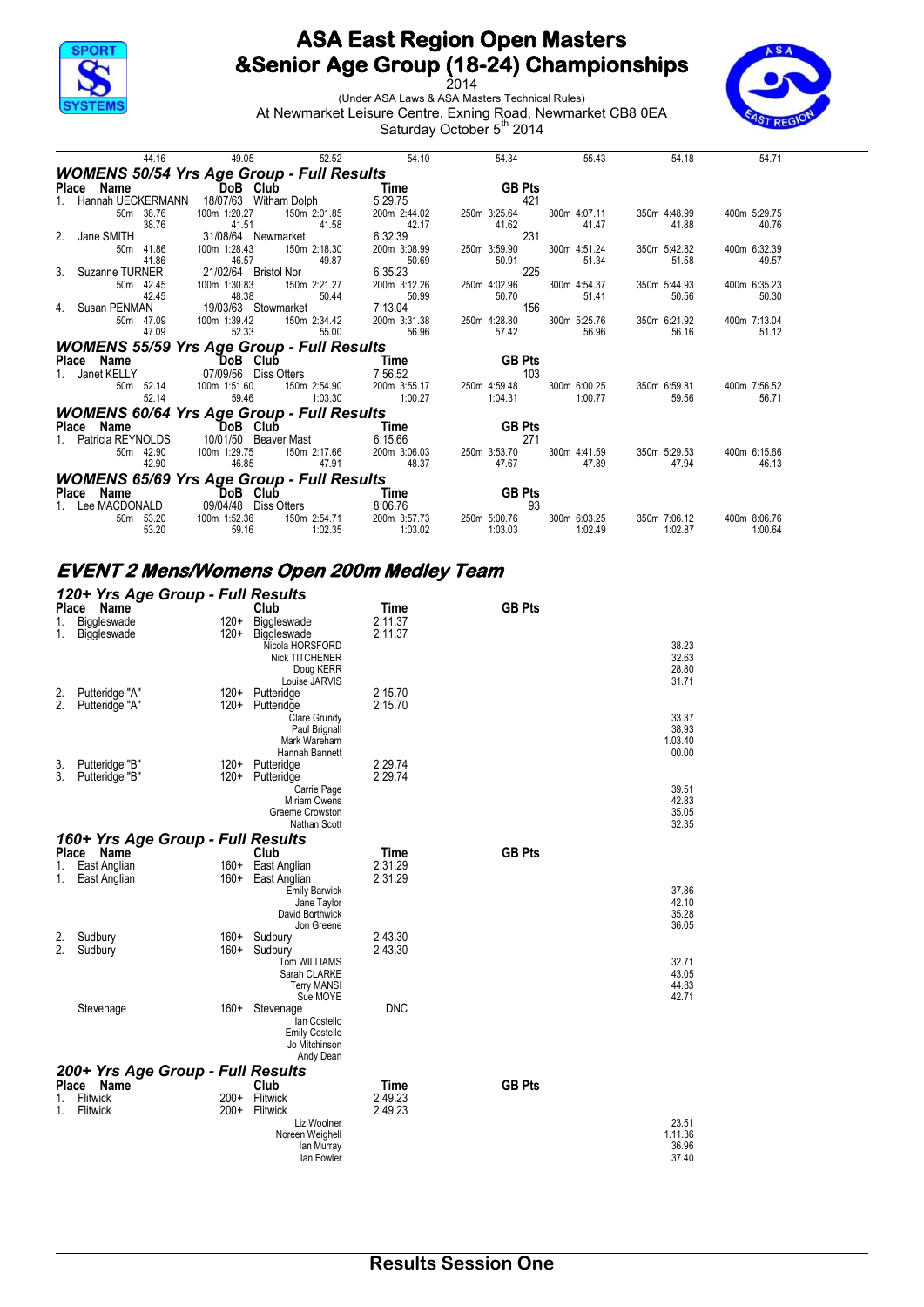

2014 (Under ASA Laws & ASA Masters Technical Rules) At Newmarket Leisure Centre, Exning Road, Newmarket CB8 0EA Saturday October 5<sup>th</sup> 2014



| 44.16                                            | 49.05                   | 52.52                 | 54.10                     | 54.34         | 55.43                 | 54.18        | 54.71        |
|--------------------------------------------------|-------------------------|-----------------------|---------------------------|---------------|-----------------------|--------------|--------------|
| <b>WOMENS 50/54 Yrs Age Group - Full Results</b> |                         |                       |                           |               |                       |              |              |
| Place Name                                       | DoB Club                |                       | Time                      | <b>GB Pts</b> |                       |              |              |
| Hannah UECKERMANN                                | 18/07/63 Witham Dolph   |                       | 5:29.75                   | 421           |                       |              |              |
| 50m 38.76                                        | 100m 1:20.27            | 150m 2:01.85          | 200m 2:44.02              | 250m 3:25.64  | 300m 4:07.11          | 350m 4:48.99 | 400m 5:29.75 |
| 38.76                                            | 41.51                   | 41.58                 | 42.17                     | 41.62         | 41.47                 | 41.88        | 40.76        |
| 2. Jane SMITH                                    | 31/08/64 Newmarket      |                       | 6:32.39                   | 231           |                       |              |              |
| 50m 41.86                                        | 100m 1:28.43            | 150m 2:18.30          | 200m 3:08.99              | 250m 3:59.90  | 300m 4:51.24          | 350m 5:42.82 | 400m 6:32.39 |
| 41.86                                            | 46.57                   | 49.87                 | 50.69                     | 50.91         | 51.34                 | 51.58        | 49.57        |
| 3. Suzanne TURNER                                | 21/02/64 Bristol Nor    |                       | 6:35.23                   | 225           |                       |              |              |
| 50m 42.45                                        | 100m 1:30.83            | 150m 2:21.27          | 200m 3:12.26              | 250m 4:02.96  | 300m 4:54.37          | 350m 5:44.93 | 400m 6:35.23 |
| 42.45                                            | 48.38                   | 50.44                 | 50.99                     | 50.70         | 51.41                 | 50.56        | 50.30        |
| 4. Susan PENMAN                                  | 19/03/63 Stowmarket     |                       | 7:13.04                   | 156           |                       |              |              |
| 50m 47.09                                        | 100m 1:39.42<br>52.33   | 150m 2:34.42<br>55.00 | 200m 3:31.38<br>56.96     | 250m 4:28.80  | 300m 5:25.76<br>56.96 | 350m 6:21.92 | 400m 7:13.04 |
| 47.09                                            |                         |                       |                           | 57.42         |                       | 56.16        | 51.12        |
| <b>WOMENS 55/59 Yrs Age Group - Full Results</b> |                         |                       |                           |               |                       |              |              |
| Place Name                                       | DoB Club                |                       | Time                      | <b>GB Pts</b> |                       |              |              |
| 1. Janet KELLY                                   | 07/09/56    Diss Otters |                       | 7:56.52                   | 103           |                       |              |              |
| 50m 52.14                                        | 100m 1:51.60            |                       | 150m 2:54.90 200m 3:55.17 | 250m 4:59.48  | 300m 6:00.25          | 350m 6:59.81 | 400m 7:56.52 |
| 52.14                                            | 59.46                   | 1:03.30               | 1:00.27                   | 1:04.31       | 1:00.77               | 59.56        | 56.71        |
| <b>WOMENS 60/64 Yrs Age Group - Full Results</b> |                         |                       |                           |               |                       |              |              |
| Place Name                                       | DoB Club                |                       | Time                      | <b>GB Pts</b> |                       |              |              |
| Patricia REYNOLDS                                | 10/01/50 Beaver Mast    |                       | 6:15.66                   | 271           |                       |              |              |
| 50m 42.90                                        | 100m 1:29.75            | 150m 2:17.66          | 200m 3:06.03              | 250m 3:53.70  | 300m 4:41.59          | 350m 5:29.53 | 400m 6:15.66 |
| 42.90                                            | 46.85                   | 47.91                 | 48.37                     | 47.67         | 47.89                 | 47.94        | 46.13        |
| <b>WOMENS 65/69 Yrs Age Group - Full Results</b> |                         |                       |                           |               |                       |              |              |
| Place Name                                       | DoB Club                |                       | Time                      | <b>GB Pts</b> |                       |              |              |
| 1. Lee MACDONALD                                 | 09/04/48                | Diss Otters           | 8:06.76                   | 93            |                       |              |              |
| 50m 53.20                                        | 100m 1:52.36            | 150m 2:54.71          | 200m 3:57.73              | 250m 5:00.76  | 300m 6:03.25          | 350m 7:06.12 | 400m 8:06.76 |
| 53.20                                            | 59.16                   | 1:02.35               | 1:03.02                   | 1:03.03       | 1:02.49               | 1:02.87      | 1:00.64      |

# **EVENT 2 Mens/Womens Open 200m Medley Team**

| <b>Place</b> | 120+ Yrs Age Group - Full Results<br>Name |                  | Club                                                                                                 | Time               | <b>GB Pts</b> |                                    |
|--------------|-------------------------------------------|------------------|------------------------------------------------------------------------------------------------------|--------------------|---------------|------------------------------------|
| 1.           | Biggleswade                               | $120+$           | Biggleswade                                                                                          | 2:11.37            |               |                                    |
| 1.           | Biggleswade                               | $120+$           | Biggleswade<br>Nicola HORSFORD<br>Nick TITCHENER<br>Doug KERR                                        | 2:11.37            |               | 38.23<br>32.63<br>28.80            |
| 2.<br>2.     | Putteridge "A"<br>Putteridge "A"          | $120+$<br>$120+$ | Louise JARVIS<br>Putteridge<br>Putteridge                                                            | 2:15.70<br>2:15.70 |               | 31.71                              |
|              |                                           |                  | Clare Grundy<br>Paul Brignall<br>Mark Wareham<br>Hannah Bannett                                      |                    |               | 33.37<br>38.93<br>1.03.40<br>00.00 |
| 3.<br>3.     | Putteridge "B"<br>Putteridge "B"          | $120+$<br>$120+$ | Putteridge<br>Putteridge                                                                             | 2:29.74<br>2:29.74 |               |                                    |
|              |                                           |                  | Carrie Page<br>Miriam Owens<br>Graeme Crowston<br>Nathan Scott                                       |                    |               | 39.51<br>42.83<br>35.05<br>32.35   |
|              | 160+ Yrs Age Group - Full Results         |                  |                                                                                                      |                    |               |                                    |
| Place        | Name                                      |                  | Club                                                                                                 | Time               | <b>GB Pts</b> |                                    |
| 1.<br>1.     | East Anglian<br>East Anglian              | $160+$<br>$160+$ | East Anglian<br>East Anglian<br><b>Emily Barwick</b><br>Jane Taylor<br>David Borthwick<br>Jon Greene | 2:31.29<br>2:31.29 |               | 37.86<br>42.10<br>35.28<br>36.05   |
| 2.<br>2.     | Sudbury<br>Sudbury                        | $160+$<br>$160+$ | Sudbury<br>Sudbury                                                                                   | 2:43.30<br>2:43.30 |               |                                    |
|              |                                           |                  | <b>Tom WILLIAMS</b><br>Sarah CLARKE<br><b>Terry MANSI</b><br>Sue MOYE                                |                    |               | 32.71<br>43.05<br>44.83<br>42.71   |
|              | Stevenage                                 | $160+$           | Stevenage<br>lan Costello<br><b>Emily Costello</b><br>Jo Mitchinson<br>Andy Dean                     | <b>DNC</b>         |               |                                    |
|              | 200+ Yrs Age Group - Full Results         |                  |                                                                                                      |                    |               |                                    |
| Place<br>1.  | Name<br>Flitwick                          | $200+$           | Club<br>Flitwick                                                                                     | Time<br>2:49.23    | <b>GB Pts</b> |                                    |
| 1.           | Flitwick                                  | $200+$           | Flitwick<br>Liz Woolner                                                                              | 2:49.23            |               | 23.51                              |
|              |                                           |                  | Noreen Weighell<br>lan Murray<br>lan Fowler                                                          |                    |               | 1.11.36<br>36.96<br>37.40          |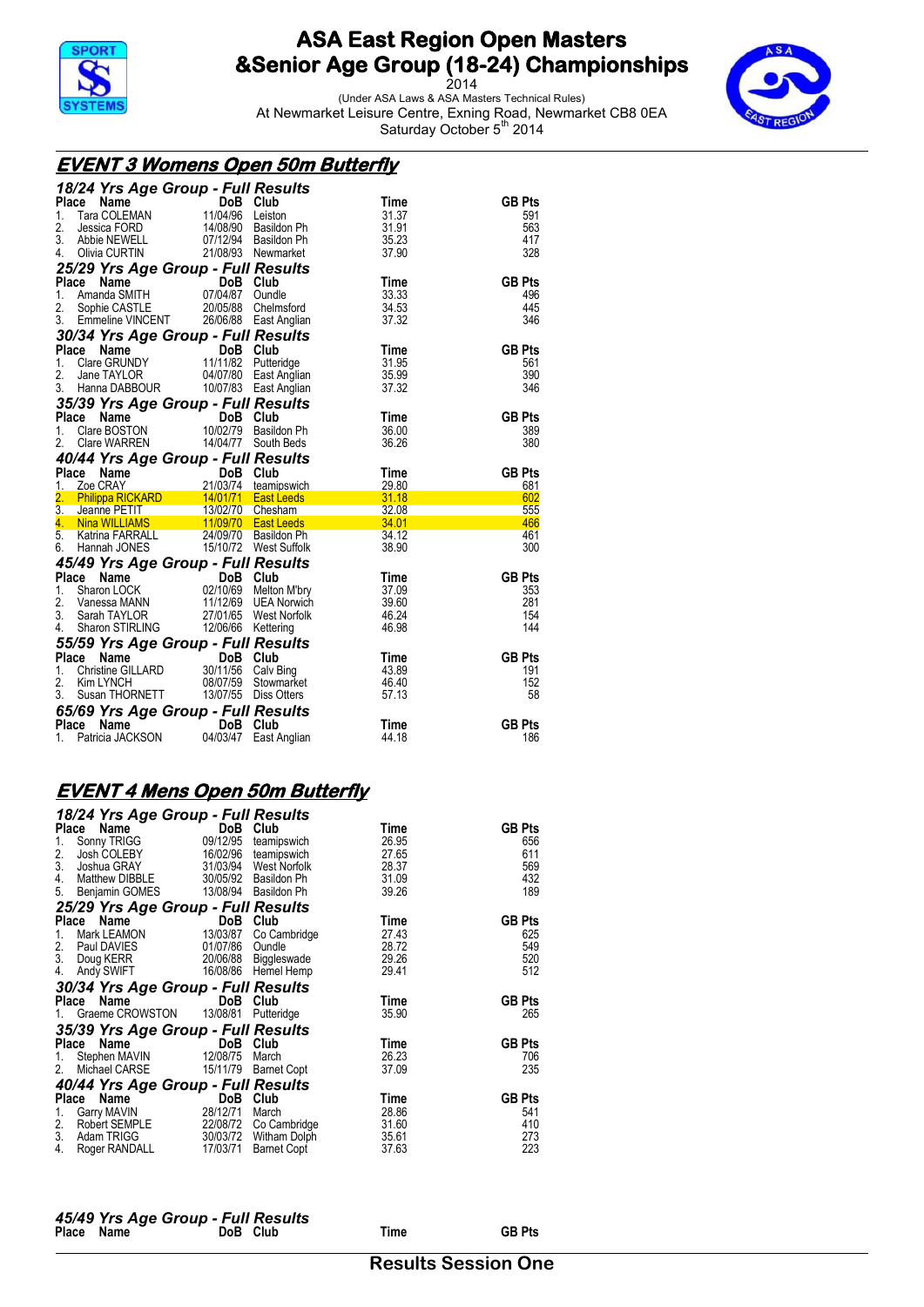

2014 (Under ASA Laws & ASA Masters Technical Rules) At Newmarket Leisure Centre, Exning Road, Newmarket CB8 0EA



Saturday October 5<sup>th</sup> 2014

#### **EVENT 3 Womens Open 50m Butterfly**

| 18/24 Yrs Age Group - Full Results                                                                                                                                                                                                                                          |                            |                      |             |                      |
|-----------------------------------------------------------------------------------------------------------------------------------------------------------------------------------------------------------------------------------------------------------------------------|----------------------------|----------------------|-------------|----------------------|
| Ce Name<br>Tara COLEMAN 11/04/96 Leiston<br>Interior FODD<br>Place                                                                                                                                                                                                          |                            |                      | Time        | <b>GB Pts</b>        |
| 1.                                                                                                                                                                                                                                                                          |                            |                      | 31.37       | 591                  |
| 2.<br>Jessica FORD                                                                                                                                                                                                                                                          |                            | 14/08/90 Basildon Ph | 31.91       | 563                  |
| 2. Jessica POND Terrorist Basildon Ph<br>3. Abbie NEWELL 07/12/94 Basildon Ph                                                                                                                                                                                               |                            |                      | 35.23       | 417                  |
| Olivia CURTIN 21/08/93 Newmarket<br>4.                                                                                                                                                                                                                                      |                            |                      | 37.90       | 328                  |
| 25/29 Yrs Age Group - Full Results                                                                                                                                                                                                                                          |                            |                      |             |                      |
| Compare the Club<br>Amanda SMITH 07/04/87 Oundle<br>Place                                                                                                                                                                                                                   |                            |                      | Time        | <b>GB Pts</b>        |
| 1.                                                                                                                                                                                                                                                                          |                            |                      | 33.33       | 496                  |
|                                                                                                                                                                                                                                                                             |                            |                      | 34.53       | 445                  |
| 2. Sophie CASTLE 20/05/88 Chelmsford<br>3. Emmeline VINCENT 26/06/88 East Anglian                                                                                                                                                                                           |                            |                      | 37.32       | 346                  |
| 30/34 Yrs Age Group - Full Results                                                                                                                                                                                                                                          |                            |                      |             |                      |
| <b>Place Name 5 DoB Club</b><br>1. Clare GRUNDY 11/11/82 Putteridge<br>2. Jane TAYLOR 04/07/80 East Anglian                                                                                                                                                                 |                            |                      | Time        | <b>GB Pts</b>        |
|                                                                                                                                                                                                                                                                             |                            |                      | 31.95       | 561                  |
|                                                                                                                                                                                                                                                                             |                            |                      | 35.99       | 390                  |
| 3. Hanna DABBOUR 10/07/83 East Anglian                                                                                                                                                                                                                                      |                            |                      | 37.32       | 346                  |
| 35/39 Yrs Age Group - Full Results                                                                                                                                                                                                                                          |                            |                      |             |                      |
| <b>ce Name 1988</b> Club<br>Clare BOSTON 10/02/79 Basildon Ph<br>Place Name                                                                                                                                                                                                 |                            |                      | Time        | <b>GB Pts</b>        |
| 1.                                                                                                                                                                                                                                                                          |                            |                      | 36.00       | 389                  |
| Clare WARREN 14/04/77 South Beds<br>2.                                                                                                                                                                                                                                      |                            |                      | 36.26       | 380                  |
|                                                                                                                                                                                                                                                                             |                            |                      |             |                      |
|                                                                                                                                                                                                                                                                             |                            |                      |             |                      |
|                                                                                                                                                                                                                                                                             |                            |                      |             |                      |
|                                                                                                                                                                                                                                                                             |                            |                      |             | <b>GB Pts</b><br>681 |
|                                                                                                                                                                                                                                                                             |                            |                      |             | 602                  |
|                                                                                                                                                                                                                                                                             |                            |                      |             | 555                  |
|                                                                                                                                                                                                                                                                             |                            |                      |             | 466                  |
|                                                                                                                                                                                                                                                                             |                            |                      |             | 461                  |
| <b>40/44 Yrs Age Group - Full Results<br/> Place Name DoB Club Time<br/> 1. Zoe CRAY 21/03/74 teamipswich 29.80<br/> 2. Philippa RICKARD 14/01/71 East Leeds 31.18<br/> 3. Jeanne PETIT 13/02/70 Chesham 32.08<br/> 4. Nina WILLIAMS 11/09/70 East L</b><br>6. Hannah JONES | 15/10/72 West Suffolk      |                      | 38.90       | 300                  |
|                                                                                                                                                                                                                                                                             |                            |                      |             |                      |
|                                                                                                                                                                                                                                                                             |                            |                      | Time        | <b>GB Pts</b>        |
|                                                                                                                                                                                                                                                                             |                            |                      | 37.09       | 353                  |
|                                                                                                                                                                                                                                                                             |                            |                      | 39.60       | 281                  |
|                                                                                                                                                                                                                                                                             |                            |                      | 46.24       | 154                  |
| <b>45/49 Yrs Age Group - Full Results<br/> Place Name DoB Club<br/> 1. Sharon LOCK 02/10/69 Melton M'bry<br/> 2. Vanessa MANN 11/12/69 UEA Norwich<br/> 3. Sarah TAYLOR 27/01/65 West Norfolk</b><br>Sharon STIRLING 12/06/66 Kettering<br>4.                               |                            |                      | 46.98       | 144                  |
|                                                                                                                                                                                                                                                                             |                            |                      |             |                      |
|                                                                                                                                                                                                                                                                             |                            |                      | Time        | <b>GB Pts</b>        |
|                                                                                                                                                                                                                                                                             |                            |                      | 43.89       | 191                  |
|                                                                                                                                                                                                                                                                             |                            |                      | 46.40       | 152                  |
| <b>55/59 Yrs Age Group - Full Results<br/> Place Name DoB Club<br/> 1. Christine GILLARD 30/11/56 Calv Bing<br/> 2. Kim LYNCH 08/07/59 Stowmarket</b><br>Susan THORNETT 13/07/55 Diss Otters<br>3.                                                                          |                            |                      | 57.13       | 58                   |
|                                                                                                                                                                                                                                                                             |                            |                      |             |                      |
| 65/69 Yrs Age Group - Full Results<br>Name<br>Place                                                                                                                                                                                                                         |                            |                      | <b>Time</b> | <b>GB Pts</b>        |
| 1. Patricia JACKSON 04/03/47 East Anglian                                                                                                                                                                                                                                   | <b>Example 19 DoB</b> Club |                      | 44.18       | 186                  |

## **EVENT 4 Mens Open 50m Butterfly**

|              | 18/24 Yrs Age Group - Full Results  |            |                       |       |               |
|--------------|-------------------------------------|------------|-----------------------|-------|---------------|
| <b>Place</b> | Name                                | DoB        | Club                  | Time  | <b>GB Pts</b> |
| 1.           | Sonny TRIGG                         | 09/12/95   | teamipswich           | 26.95 | 656           |
| 2.           | Josh COLEBY                         |            | 16/02/96 teamipswich  | 27.65 | 611           |
| 3.           | Joshua GRAY                         | 31/03/94   | West Norfolk          | 28.37 | 569           |
| 4.           | Matthew DIBBLE 30/05/92 Basildon Ph |            |                       | 31.09 | 432           |
| 5.           | Benjamin GOMES 13/08/94 Basildon Ph |            |                       | 39.26 | 189           |
|              | 25/29 Yrs Age Group - Full Results  |            |                       |       |               |
| Place        | Name                                | DoB        | Club                  | Time  | <b>GB Pts</b> |
| 1.           | Mark LEAMON                         | 13/03/87   | Co Cambridge          | 27.43 | 625           |
| 2.           | Paul DAVIES                         | 01/07/86   | Oundle                | 28.72 | 549           |
| 3.           | Doug KERR                           | 20/06/88   | Biggleswade           | 29.26 | 520           |
| 4.           | Andy SWIFT                          |            | 16/08/86 Hemel Hemp   | 29.41 | 512           |
|              | 30/34 Yrs Age Group - Full Results  |            |                       |       |               |
| Place        | Name                                | DoB        | Club                  | Time  | <b>GB Pts</b> |
| $1_{\ldots}$ | Graeme CROWSTON 13/08/81            |            | Putteridge            | 35.90 | 265           |
|              | 35/39 Yrs Age Group - Full Results  |            |                       |       |               |
| Place        | Name                                | <b>DoB</b> | Club                  | Time  | <b>GB Pts</b> |
| 1.           | Stephen MAVIN                       | 12/08/75   | March                 | 26.23 | 706           |
| 2.           | Michael CARSE                       | 15/11/79   | <b>Barnet Copt</b>    | 37.09 | 235           |
|              | 40/44 Yrs Age Group - Full Results  |            |                       |       |               |
| Place        | Name                                | DoB        | Club                  | Time  | <b>GB Pts</b> |
| 1.           | Garry MAVIN                         | 28/12/71   | March                 | 28.86 | 541           |
| 2.           | Robert SEMPLE                       |            | 22/08/72 Co Cambridge | 31.60 | 410           |
| 3.           | Adam TRIGG                          |            | 30/03/72 Witham Dolph | 35.61 | 273           |
| 4.           | Roger RANDALL                       | 17/03/71   | <b>Barnet Copt</b>    | 37.63 | 223           |

|            | 45/49 Yrs Age Group - Full Results |          |      |               |
|------------|------------------------------------|----------|------|---------------|
| Place Name |                                    | DoB Club | Time | <b>GB Pts</b> |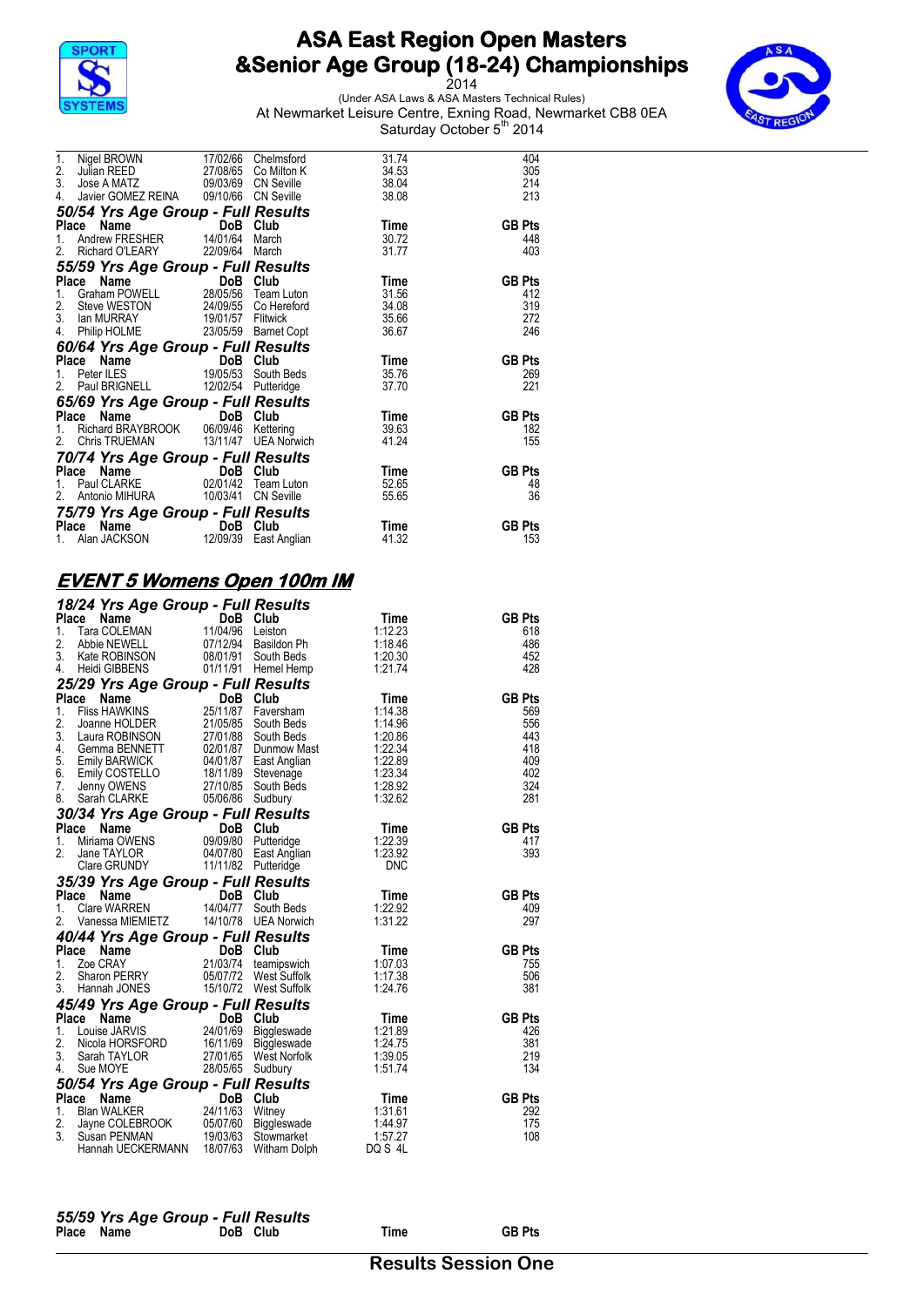

2014 (Under ASA Laws & ASA Masters Technical Rules) At Newmarket Leisure Centre, Exning Road, Newmarket CB8 0EA Saturday October 5<sup>th</sup> 2014



| 1.<br>Nigel BROWN 17/02/66 Chelmsford                                                                                                                                                                                                                                                                                         |          | 31.74 | 404           |
|-------------------------------------------------------------------------------------------------------------------------------------------------------------------------------------------------------------------------------------------------------------------------------------------------------------------------------|----------|-------|---------------|
| 2.<br>Julian REED 27/08/65 Co Milton K                                                                                                                                                                                                                                                                                        |          | 34.53 | 305           |
|                                                                                                                                                                                                                                                                                                                               |          | 38.04 | 214           |
| 3. Jose A MATZ<br>4. Javier GOMEZ REINA 09/10/66 CN Seville                                                                                                                                                                                                                                                                   |          | 38.08 | 213           |
| 50/54 Yrs Age Group - Full Results                                                                                                                                                                                                                                                                                            |          |       |               |
| Place Name                                                                                                                                                                                                                                                                                                                    |          | Time  | <b>GB Pts</b> |
| <b>ce Name Came 14/01/64 Club</b><br>Andrew FRESHER 14/01/64 March<br>1.                                                                                                                                                                                                                                                      |          | 30.72 | 448           |
| Richard O'LEARY 22/09/64 March<br>2.                                                                                                                                                                                                                                                                                          |          | 31.77 | 403           |
| 2. Richard ∪ LEArs :<br>55/59 Yrs Age Group - Full Results<br>DoB Club                                                                                                                                                                                                                                                        |          |       |               |
|                                                                                                                                                                                                                                                                                                                               | DoB Club | Time  | <b>GB Pts</b> |
| Graham POWELL 28/05/56 Team Luton<br>1.                                                                                                                                                                                                                                                                                       |          | 31.56 | 412           |
| Steve WESTON 24/09/55 Co Hereford<br>2.                                                                                                                                                                                                                                                                                       |          | 34.08 | 319           |
| 3. Ian MURRAY 19/01/57 Flitwick                                                                                                                                                                                                                                                                                               |          | 35.66 | 272           |
| 4. Philip HOLME 23/05/59 Barnet Copt                                                                                                                                                                                                                                                                                          |          | 36.67 | 246           |
| 60/64 Yrs Age Group - Full Results                                                                                                                                                                                                                                                                                            |          |       |               |
| $60/64$ Yrs Age $\overline{O}$ and $\overline{O}$ and $\overline{O}$ and $\overline{O}$ and $\overline{O}$ and $\overline{O}$ and $\overline{O}$ and $\overline{O}$ and $\overline{O}$ and $\overline{O}$ and $\overline{O}$ and $\overline{O}$ and $\overline{O}$ and $\overline{O}$ and $\overline{O}$ and $\overline{O}$ a |          | Time  | <b>GB Pts</b> |
|                                                                                                                                                                                                                                                                                                                               |          | 35.76 | 269           |
|                                                                                                                                                                                                                                                                                                                               |          | 37.70 | 221           |
|                                                                                                                                                                                                                                                                                                                               |          |       |               |
| 65/69 Yrs Age Group - Full Results<br>Place Name DoB Club                                                                                                                                                                                                                                                                     |          | Time  | <b>GB Pts</b> |
|                                                                                                                                                                                                                                                                                                                               |          | 39.63 | 182           |
| 1. Richard BRAYBROOK 06/09/46 Kettering<br>2. Chris TRUEMAN 13/11/47 UEA Norwich                                                                                                                                                                                                                                              |          | 41.24 | 155           |
| 70/74 Yrs Age Group - Full Results                                                                                                                                                                                                                                                                                            |          |       |               |
|                                                                                                                                                                                                                                                                                                                               |          | Time  | <b>GB Pts</b> |
| Place Name<br>1. Paul CLARKE 02/01/42 Team Luton                                                                                                                                                                                                                                                                              |          | 52.65 | 48            |
| 2.<br>Antonio MIHURA 10/03/41 CN Seville                                                                                                                                                                                                                                                                                      |          | 55.65 | 36            |
| 75/79 Yrs Age Group - Full Results                                                                                                                                                                                                                                                                                            |          |       |               |
|                                                                                                                                                                                                                                                                                                                               |          | Time  | <b>GB Pts</b> |
| <b>Place Name 1988</b> Club<br>1. Alan JACKSON 12/09/39 East Anglian                                                                                                                                                                                                                                                          |          | 41.32 | 153           |

### **EVENT 5 Womens Open 100m IM**

|                  | 18/24 Yrs Age Group - Full Results                                                                                                                                                                                                         |                       |                    |               |
|------------------|--------------------------------------------------------------------------------------------------------------------------------------------------------------------------------------------------------------------------------------------|-----------------------|--------------------|---------------|
|                  | Place<br>The <b>Name</b><br>Tara COLEMAN 11/04/96                                                                                                                                                                                          | DoB Club              | Time               | <b>GB Pts</b> |
| 1.               |                                                                                                                                                                                                                                            | Leiston               | 1:12.23            | 618           |
| 2.               | Abbie NEWELL 07/12/94 Basildon Ph<br>Kate ROBINSON 08/01/91 South Beds                                                                                                                                                                     |                       | 1:18.46            | 486           |
| 3.               |                                                                                                                                                                                                                                            |                       | 1.20.30            | 452           |
| 4.               | Heidi GIBBENS 01/11/91 Hemel Hemp                                                                                                                                                                                                          |                       | 1:21.74            | 428           |
|                  | 25/29 Yrs Age Group - Full Results                                                                                                                                                                                                         |                       |                    |               |
| Place            |                                                                                                                                                                                                                                            |                       | Time               | <b>GB Pts</b> |
| 1.               |                                                                                                                                                                                                                                            |                       | 1:14.38            | 569           |
| 2.               |                                                                                                                                                                                                                                            |                       | 1:14.96            | 556           |
| 3.<br>4.         |                                                                                                                                                                                                                                            |                       | 1:20.86<br>1:22.34 | 443<br>418    |
| 5.               |                                                                                                                                                                                                                                            |                       | 1:22.89            | 409           |
| 6.               |                                                                                                                                                                                                                                            |                       | 1:23.34            | 402           |
| 7.               |                                                                                                                                                                                                                                            |                       | 1:28.92            | 324           |
| 8.               | and Date Name<br>Filis HAWKINS 25/11/87 Faversham<br>Filis HAWKINS 25/11/87 Faversham<br>Joanne HOLDER 21/05/85 South Beds<br>Laura ROBINSON 27/01/88 South Beds<br>German BENNETT 02/01/87 Dummow Mast<br>Emily BARWICK 04/01/87 East Ang |                       | 1:32.62            | 281           |
|                  | 30/34 Yrs Age Group - Full Results                                                                                                                                                                                                         |                       |                    |               |
|                  | CHE Name<br>Capacity Contract Contract Contract Contract Contract Contract Contract Contract Contract Contract Contract Contract Contract Contract Contract Contract Contract Contract Contract Contract Contract Contract Contr<br>Place  |                       | Time               | <b>GB Pts</b> |
| 1.               |                                                                                                                                                                                                                                            |                       | 1:22.39            | 417           |
| $\overline{2}$ . |                                                                                                                                                                                                                                            |                       | 1:23.92            | 393           |
|                  |                                                                                                                                                                                                                                            |                       | <b>DNC</b>         |               |
|                  | 35/39 Yrs Age Group - Full Results<br>Place Name                                                                                                                                                                                           |                       |                    |               |
|                  | Place<br><b>CRITE:</b> Cample Team Poor Club<br>Clare WARREN 14/04/77 South Beds                                                                                                                                                           |                       | Time               | <b>GB Pts</b> |
| 1.               |                                                                                                                                                                                                                                            |                       | 1:22.92            | 409           |
| 2.               |                                                                                                                                                                                                                                            |                       |                    |               |
|                  | Vanessa MIEMIETZ 14/10/78 UEA Norwich                                                                                                                                                                                                      |                       | 1:31.22            | 297           |
|                  |                                                                                                                                                                                                                                            |                       |                    |               |
|                  | 40/44 Yrs Age Group - Full Results<br>Place Name                                                                                                                                                                                           |                       | Time               | <b>GB Pts</b> |
| $1_{-}$          |                                                                                                                                                                                                                                            |                       | 1:07.03            | 755           |
| 2.               | <b>CONSOLUTE:</b><br>Zoe CRAY 21/03/74 teamipswich<br>Sharon PERRY 05/07/72 West Suffolk                                                                                                                                                   |                       | 1:17.38            | 506           |
| 3.               | Hannah JONES                                                                                                                                                                                                                               | 15/10/72 West Suffolk | 1:24.76            | 381           |
|                  |                                                                                                                                                                                                                                            |                       |                    |               |
|                  |                                                                                                                                                                                                                                            |                       | Time               | <b>GB Pts</b> |
|                  |                                                                                                                                                                                                                                            |                       | 1:21.89            | 426           |
|                  |                                                                                                                                                                                                                                            |                       | 1:24.75            | 381           |
|                  |                                                                                                                                                                                                                                            |                       | 1:39.05            | 219           |
|                  | <b>45/49 Yrs Age Group - Full Results<br/> Place Name DoB Club<br/> 1. Louise JARVIS 24/01/69 Biggleswade<br/> 2. Nicola HORSFORD 16/11/69 Biggleswade<br/> 3. Sarah TAYLOR 27/01/65 West Norfolk<br/> 4. Sue MOYE 28/05/65 Sudbury</b>    |                       | 1:51.74            | 134           |
|                  | 50/54 Yrs Age Group - Full Results                                                                                                                                                                                                         |                       |                    |               |
|                  | Place Name                                                                                                                                                                                                                                 |                       | Time               | <b>GB Pts</b> |
| 1.               |                                                                                                                                                                                                                                            |                       | 1:31.61            | 292           |
| 2.               |                                                                                                                                                                                                                                            |                       | 1:44.97            | 175           |
| 3.               | Ce Name DOB Club<br>Blan WALKER 24/11/63 Witney<br>Jayne COLEBROOK 05/07/60 Biggleswade<br>Susan PENMAN 19/03/63 Stowmarket<br>Hannah UECKERMANN 18/07/63 Witham Dolph                                                                     |                       | 1:57.27<br>DQ S 4L | 108           |

|            | 55/59 Yrs Age Group - Full Results |          |      |               |
|------------|------------------------------------|----------|------|---------------|
| Place Name |                                    | DoB Club | Time | <b>GB Pts</b> |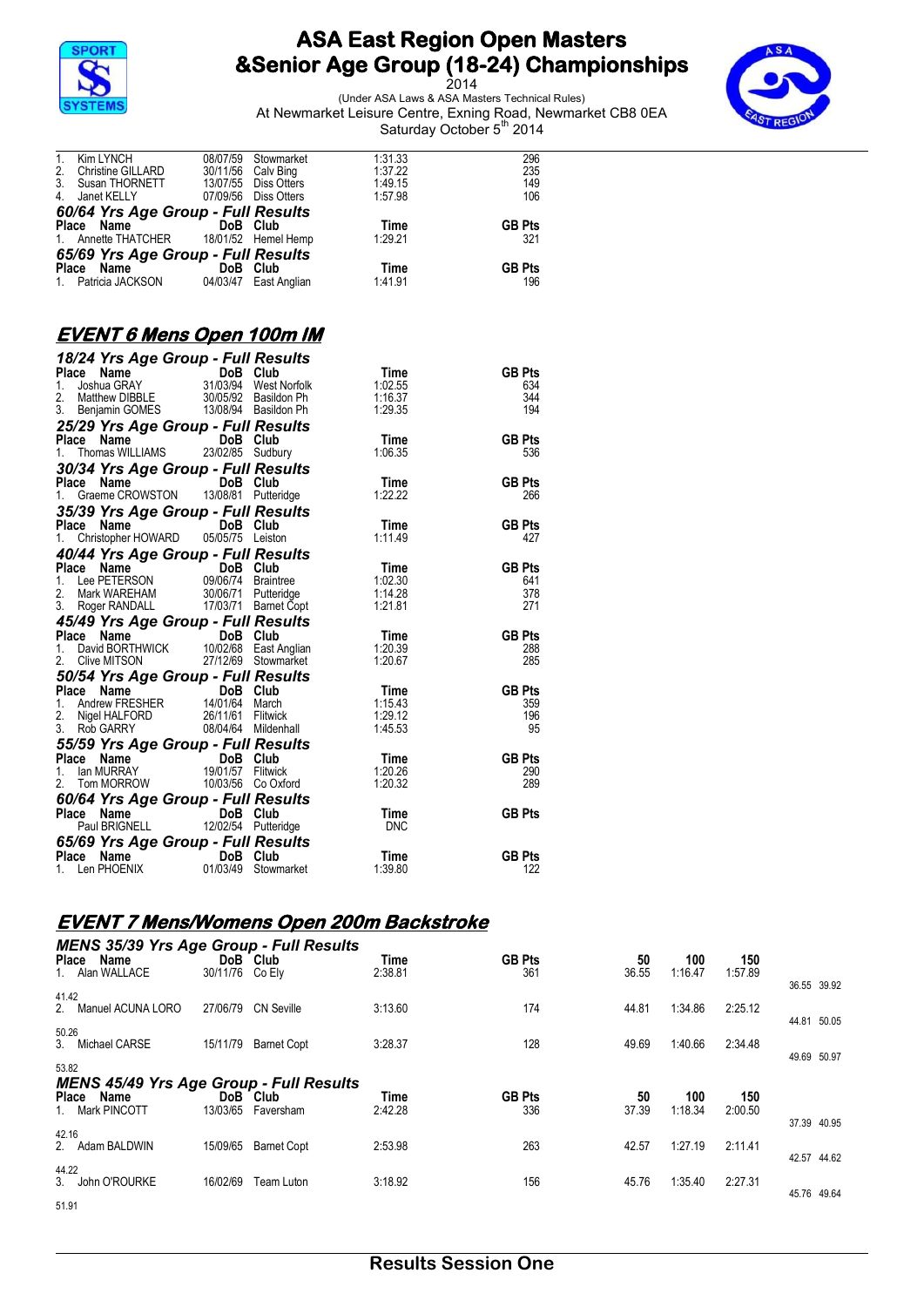

2014 (Under ASA Laws & ASA Masters Technical Rules) At Newmarket Leisure Centre, Exning Road, Newmarket CB8 0EA Saturday October 5<sup>th</sup> 2014



|       | 1. Patricia JACKSON                     |          | 04/03/47 East Anglian | 1:41.91 | 196           |
|-------|-----------------------------------------|----------|-----------------------|---------|---------------|
| Place | <b>Name Name</b>                        | DoB Club |                       | Time    | <b>GB Pts</b> |
|       | 65/69 Yrs Age Group - Full Results      |          |                       |         |               |
|       | 1. Annette THATCHER 18/01/52 Hemel Hemp |          |                       | 1:29.21 | 321           |
|       | Place Name                              | DoB Club |                       | Time    | <b>GB Pts</b> |
|       | 60/64 Yrs Age Group - Full Results      |          |                       |         |               |
|       | 4. Janet KELLY                          | 07/09/56 | Diss Otters           | 1:57.98 | 106           |
|       | 3. Susan THORNETT                       |          | 13/07/55 Diss Otters  | 1:49.15 | 149           |
| 2.    | <b>Christine GILLARD</b>                |          | 30/11/56 Calv Bing    | 1:37.22 | 235           |
| 1.    | Kim LYNCH                               | 08/07/59 | Stowmarket            | 1:31.33 | 296           |

## **EVENT 6 Mens Open 100m IM**

| <b>18/24 Yrs Age Group - Full Results<br/> Place Name DoB Club Time<br/> 1. Joshua GRAY 31/03/94 West Norfolk 1:02.55<br/> 2. Matthew DIBBLE 30/05/92 Basildon Ph 1:16.37<br/> 3. Benjamin GOMES 13/08/94 Basildon Ph 1:29.35</b> |  |                 |                      |
|-----------------------------------------------------------------------------------------------------------------------------------------------------------------------------------------------------------------------------------|--|-----------------|----------------------|
|                                                                                                                                                                                                                                   |  |                 | <b>GB Pts</b>        |
|                                                                                                                                                                                                                                   |  |                 | 634                  |
|                                                                                                                                                                                                                                   |  |                 | 344                  |
|                                                                                                                                                                                                                                   |  |                 | 194                  |
| <b>25/29 Yrs Age Group - Full Results<br/>Place Name DoB Club<br/>1. Thomas WILLIAMS 23/02/85 Sudbury</b>                                                                                                                         |  |                 |                      |
|                                                                                                                                                                                                                                   |  | Time            | <b>GB Pts</b>        |
|                                                                                                                                                                                                                                   |  | 1:06.35         | 536                  |
| <b>30/34 Yrs Age Group - Full Results<br/>Place Name DoB Club<br/>1. Graeme CROWSTON 13/08/81 Putteridge</b>                                                                                                                      |  |                 |                      |
|                                                                                                                                                                                                                                   |  | Time            | <b>GB Pts</b>        |
|                                                                                                                                                                                                                                   |  | 1:22.22         | 266                  |
| 35/39 Yrs Age Group - Full Results<br>Place Name DoB Club<br>1 Christopher HOWARD 05/05/75 Leiston                                                                                                                                |  |                 |                      |
|                                                                                                                                                                                                                                   |  | Time            | <b>GB Pts</b>        |
|                                                                                                                                                                                                                                   |  | 1:11.49         | 427                  |
| <b>40/44 Yrs Age Group - Full Results<br/> Place Name DoB Club Time<br/> 1. Lee PETERSON 09/06/74 Braintree 1:02.30</b>                                                                                                           |  |                 |                      |
|                                                                                                                                                                                                                                   |  |                 | <b>GB Pts</b>        |
|                                                                                                                                                                                                                                   |  |                 | 641                  |
| 1. Louis Line (1996)<br>2. Mark WAREHAM 30/06/71 Putteridge<br>3. Roger RANDALL 17/03/71 Barnet Copt                                                                                                                              |  | 1:14.28         | 378                  |
|                                                                                                                                                                                                                                   |  | 1:21.81         | 271                  |
| <b>45/49 Yrs Age Group - Full Results<br/> Place Name DoB Club Time<br/> 1. David BORTHWICK 10/02/68 East Anglian 1:20.39<br/> 2. Clive MITSON 27/12/69 Stowmarket 1:20.67</b>                                                    |  |                 |                      |
|                                                                                                                                                                                                                                   |  |                 | <b>GB Pts</b>        |
|                                                                                                                                                                                                                                   |  |                 | 288                  |
|                                                                                                                                                                                                                                   |  |                 | 285                  |
| <b>50/54 Yrs Age Group - Full Results<br/> Place Name DoB Club Time<br/> 1. Andrew FRESHER 14/01/64 March 1:15.43<br/> 2. Nigel HALFORD 26/11/61 Flitwick 1:29.12<br/> 3. Rob GARRY 08/04/64 Mildenhall 1:45.53</b>               |  |                 |                      |
|                                                                                                                                                                                                                                   |  |                 | <b>GB Pts</b>        |
|                                                                                                                                                                                                                                   |  |                 | 359                  |
|                                                                                                                                                                                                                                   |  |                 | 196                  |
|                                                                                                                                                                                                                                   |  |                 | 95                   |
| 55/59 Yrs Age Group - Full Results<br>Place Name DoB Club Time<br>1. Ian MURRAY 19/01/57 Flitwick 1:20.26<br>2. Tom MORROW 10/03/56 Co Oxford 1:20.32                                                                             |  |                 |                      |
|                                                                                                                                                                                                                                   |  |                 | <b>GB Pts</b>        |
|                                                                                                                                                                                                                                   |  |                 | 290                  |
|                                                                                                                                                                                                                                   |  |                 | 289                  |
| <b>60/64 Yrs Age Group - Full Results<br/>Place Name DoB Club<br/>Paul BRIGNELL 12/02/54 Putteridge</b>                                                                                                                           |  |                 |                      |
|                                                                                                                                                                                                                                   |  | Time            | <b>GB Pts</b>        |
|                                                                                                                                                                                                                                   |  | <b>DNC</b>      |                      |
| <b>65/69 Yrs Age Group - Full Results<br/>Place Name DoB Club<br/>1. Len PHOENIX 01/03/49 Stowmarket</b>                                                                                                                          |  |                 |                      |
|                                                                                                                                                                                                                                   |  |                 |                      |
|                                                                                                                                                                                                                                   |  | Time<br>1:39.80 | <b>GB Pts</b><br>122 |

#### **EVENT 7 Mens/Womens Open 200m Backstroke** *MENS 35/39 Yrs Age Group - Full Results*

| <b>Place</b><br>1. Alan WALLACE | Name                 | DoB Club<br>30/11/76 | <b>MENS 33/39 TIS Age Group - Full Results</b><br>Co Ely | Time<br>2:38.81 | <b>GB Pts</b><br>361 | 50<br>36.55 | 100<br>1:16.47 | 150<br>1:57.89 |             |
|---------------------------------|----------------------|----------------------|----------------------------------------------------------|-----------------|----------------------|-------------|----------------|----------------|-------------|
|                                 |                      |                      |                                                          |                 |                      |             |                |                | 36.55 39.92 |
| 41.42                           | 2. Manuel ACUNA LORO | 27/06/79             | <b>CN Seville</b>                                        | 3:13.60         | 174                  | 44.81       | 1:34.86        | 2:25.12        | 44.81 50.05 |
| 50.26<br>3. Michael CARSE       |                      | 15/11/79             | <b>Barnet Copt</b>                                       | 3:28.37         | 128                  | 49.69       | 1:40.66        | 2:34.48        | 49.69 50.97 |
| 53.82                           |                      |                      | <b>MENS 45/49 Yrs Age Group - Full Results</b>           |                 |                      |             |                |                |             |
| <b>Place</b><br>1. Mark PINCOTT | Name                 | DoB<br>13/03/65      | Club<br>Faversham                                        | Time<br>2:42.28 | <b>GB Pts</b><br>336 | 50<br>37.39 | 100<br>1:18.34 | 150<br>2:00.50 |             |
| 42.16                           | 2. Adam BALDWIN      | 15/09/65             | <b>Barnet Copt</b>                                       | 2:53.98         | 263                  | 42.57       | 1:27.19        | 2:11.41        | 37.39 40.95 |
| 44.22                           |                      |                      |                                                          |                 |                      |             |                |                | 42.57 44.62 |
|                                 | 3. John O'ROURKE     | 16/02/69             | Team Luton                                               | 3:18.92         | 156                  | 45.76       | 1:35.40        | 2:27.31        |             |
| 51.91                           |                      |                      |                                                          |                 |                      |             |                |                | 45.76 49.64 |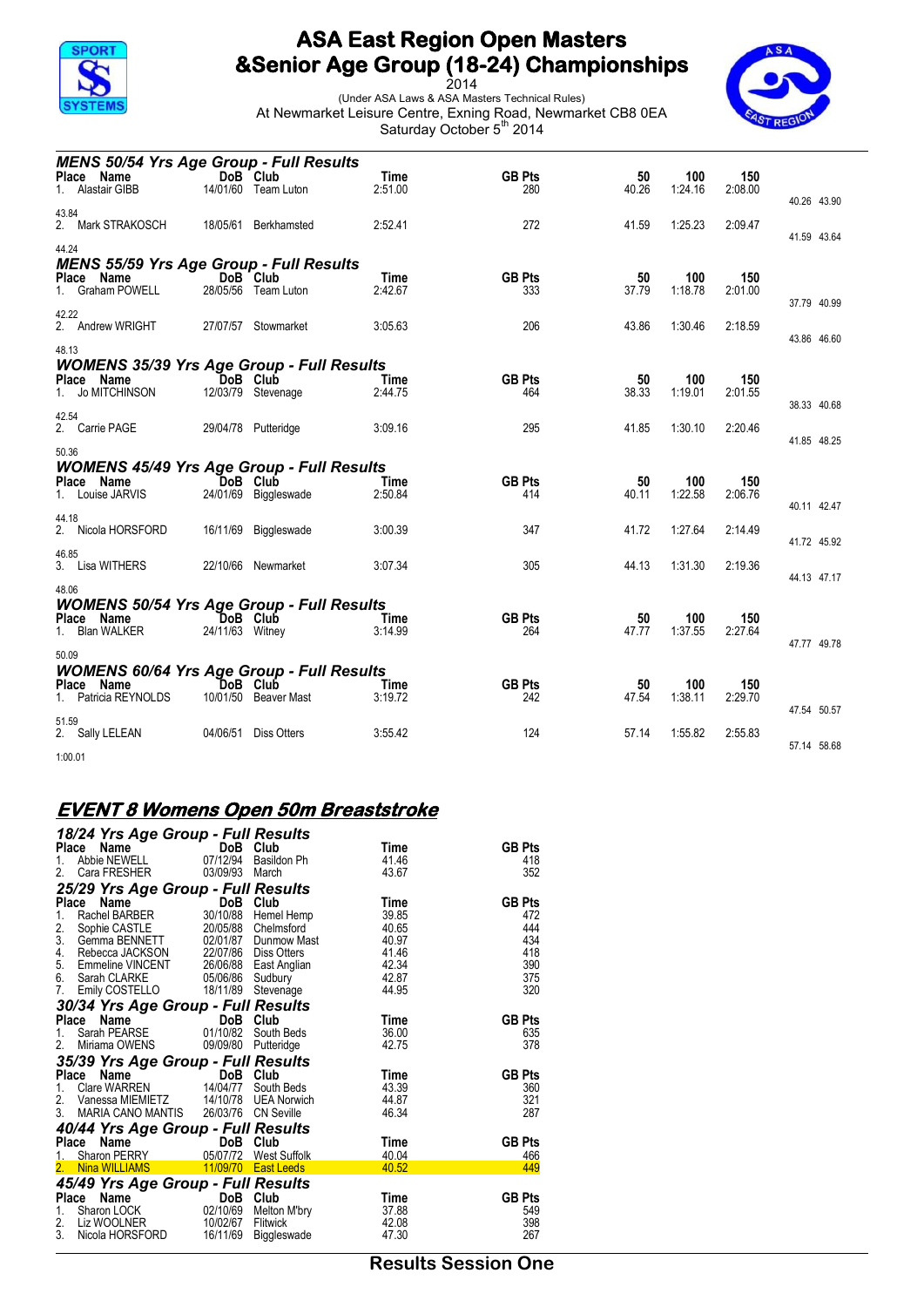

2014 (Under ASA Laws & ASA Masters Technical Rules) At Newmarket Leisure Centre, Exning Road, Newmarket CB8 0EA Saturday October 5<sup>th</sup> 2014



| <b>MENS 50/54 Yrs Age Group - Full Results</b>                                                    |                 |                                  |                        |                      |             |                |                |                            |
|---------------------------------------------------------------------------------------------------|-----------------|----------------------------------|------------------------|----------------------|-------------|----------------|----------------|----------------------------|
| Place Name<br>Alastair GIBB                                                                       |                 | DoB Club<br>14/01/60 Team Luton  | Time<br>2:51.00        | <b>GB Pts</b><br>280 | 50<br>40.26 | 100<br>1:24.16 | 150<br>2:08.00 |                            |
| 43.84<br>2. Mark STRAKOSCH                                                                        | 18/05/61        | Berkhamsted                      | 2:52.41                | 272                  | 41.59       | 1:25.23        | 2:09.47        | 40.26 43.90<br>41.59 43.64 |
| 44.24<br><b>MENS 55/59 Yrs Age Group - Full Results</b><br>Place Name                             |                 | DoB Club                         | Time                   | <b>GB Pts</b>        | 50          | 100            | 150            |                            |
| 1. Graham POWELL                                                                                  |                 | 28/05/56 Team Luton              | 2:42.67                | 333                  | 37.79       | 1:18.78        | 2:01.00        | 37.79 40.99                |
| 42.22<br>2. Andrew WRIGHT                                                                         |                 | 27/07/57 Stowmarket              | 3:05.63                | 206                  | 43.86       | 1:30.46        | 2:18.59        | 43.86 46.60                |
| 48.13<br><b>WOMENS 35/39 Yrs Age Group - Full Results</b>                                         |                 |                                  |                        |                      |             |                |                |                            |
| Place Name<br>Jo MITCHINSON<br>1.                                                                 |                 | DoB Club<br>12/03/79 Stevenage   | Time<br>2:44.75        | <b>GB Pts</b><br>464 | 50<br>38.33 | 100<br>1:19.01 | 150<br>2:01.55 | 38.33 40.68                |
| 42.54<br>2. Carrie PAGE                                                                           |                 | 29/04/78 Putteridge              | 3:09.16                | 295                  | 41.85       | 1:30.10        | 2:20.46        | 41.85 48.25                |
| 50.36                                                                                             |                 |                                  |                        |                      |             |                |                |                            |
| <b>WOMENS 45/49 Yrs Age Group - Full Results</b><br>Place Name<br>1. Louise JARVIS                |                 | DoB Club<br>24/01/69 Biggleswade | <b>Time</b><br>2:50.84 | <b>GB Pts</b><br>414 | 50<br>40.11 | 100<br>1:22.58 | 150<br>2:06.76 | 40.11 42.47                |
| 44.18<br>2. Nicola HORSFORD                                                                       |                 | 16/11/69 Biggleswade             | 3:00.39                | 347                  | 41.72       | 1:27.64        | 2:14.49        | 41.72 45.92                |
| 46.85<br>3. Lisa WITHERS                                                                          |                 | 22/10/66 Newmarket               | 3:07.34                | 305                  | 44.13       | 1:31.30        | 2:19.36        | 44.13 47.17                |
| 48.06                                                                                             |                 |                                  |                        |                      |             |                |                |                            |
| <b>WOMENS 50/54 Yrs Age Group - Full Results</b><br>Place Name<br>1. Blan WALKER                  | 24/11/63 Witney | DoB Club                         | Time<br>3:14.99        | <b>GB Pts</b><br>264 | 50<br>47.77 | 100<br>1:37.55 | 150<br>2:27.64 | 47.77 49.78                |
| 50.09                                                                                             |                 |                                  |                        |                      |             |                |                |                            |
| <b>WOMENS 60/64 Yrs Age Group - Full Results</b><br>Place<br>Name<br>Patricia REYNOLDS<br>$1_{-}$ |                 | DoB Club<br>10/01/50 Beaver Mast | Time<br>3:19.72        | <b>GB Pts</b><br>242 | 50<br>47.54 | 100<br>1:38.11 | 150<br>2:29.70 |                            |
| 51.59<br>2. Sally LELEAN                                                                          | 04/06/51        | <b>Diss Otters</b>               | 3:55.42                | 124                  | 57.14       | 1:55.82        | 2:55.83        | 47.54 50.57                |
| 1:00.01                                                                                           |                 |                                  |                        |                      |             |                |                | 57.14 58.68                |

#### **EVENT 8 Womens Open 50m Breaststroke**

|                                   | 18/24 Yrs Age Group - Full Results                                                                           |                       |                |               |
|-----------------------------------|--------------------------------------------------------------------------------------------------------------|-----------------------|----------------|---------------|
| Name<br>Place                     | <b>DoB</b><br>07/12/94                                                                                       | DoB Club              | Time           | <b>GB Pts</b> |
| Abbie NEWELL<br>1.                |                                                                                                              | Basildon Ph           | 41.46          | 418           |
| Cara FRESHER<br>2.                | 03/09/93                                                                                                     | March                 | 43.67          | 352           |
|                                   | 25/29 Yrs Age Group - Full Results                                                                           |                       |                |               |
| Name<br><b>Place</b>              | <b>e Name</b><br>Rachel BARBER 30/10/88 Hemel Hemp                                                           | DoB Club              | Time           | <b>GB Pts</b> |
| 1.                                | Sophie CASTLE 20/05/88 Chelmsford                                                                            |                       | 39.85<br>40.65 | 472<br>444    |
| 2.                                | 3. Gemma BENNETT 02/01/87 Dunmow Mast                                                                        |                       | 40.97          | 434           |
| 4.                                | Rebecca JACKSON 22/07/86 Diss Otters                                                                         |                       | 41.46          | 418           |
| 5.                                | Emmeline VINCENT<br>Sarah CLARKE<br>Emmeline VINCENT<br>Sarah CLARKE<br>Emily COSTELLO<br>18/11/89 Stevenage |                       | 42.34          | 390           |
| 6.                                |                                                                                                              |                       | 42.87          | 375           |
| 7.                                |                                                                                                              |                       | 44.95          | 320           |
|                                   | 30/34 Yrs Age Group - Full Results                                                                           |                       |                |               |
| Place<br>Name                     | <b>DoB Club</b><br>SE 01/10/82 South Beds                                                                    |                       | Time           | <b>GB Pts</b> |
| Sarah PEARSE<br>1.                |                                                                                                              |                       | 36.00          | 635           |
| Miriama OWENS<br>2.               | 09/09/80                                                                                                     | Putteridge            | 42.75          | 378           |
|                                   | 35/39 Yrs Age Group - Full Results                                                                           |                       |                |               |
| Place<br>Name                     | $\mathcal{L}_{\text{max}}$<br>DoB                                                                            | Club                  | Time           | <b>GB Pts</b> |
| $1_{-}$<br>2.                     | Clare WARREN 14/04/77 South Beds                                                                             |                       | 43.39<br>44.87 | 360<br>321    |
| 3.                                | Vanessa MIEMIETZ 14/10/78 UEA Norwich<br>MARIA CANO MANTIS 26/03/76 CN Seville                               |                       | 46.34          | 287           |
|                                   | 40/44 Yrs Age Group - Full Results                                                                           |                       |                |               |
| Name<br>Place                     | e a construction<br>DoB                                                                                      | Club                  | Time           | <b>GB Pts</b> |
| Sharon PERRY<br>$1$ <sub>--</sub> |                                                                                                              | 05/07/72 West Suffolk | 40.04          | 466           |
| <b>Nina WILLIAMS</b><br>2.        | <b>East Leeds</b> 11/09/70 <b>East Leeds</b>                                                                 |                       | 40.52          | 449           |
|                                   | 45/49 Yrs Age Group - Full Results                                                                           |                       |                |               |
| Place<br>Name                     | DoB                                                                                                          | Club                  | Time           | <b>GB Pts</b> |
| 1.                                | Sharon LOCK 02/10/69 Melton M'bry                                                                            |                       | 37.88          | 549           |
| 2.<br>Liz WOOLNER                 | 10/02/67                                                                                                     | Flitwick              | 42.08          | 398           |
| 3.<br>Nicola HORSFORD             | 16/11/69                                                                                                     | Biggleswade           | 47.30          | 267           |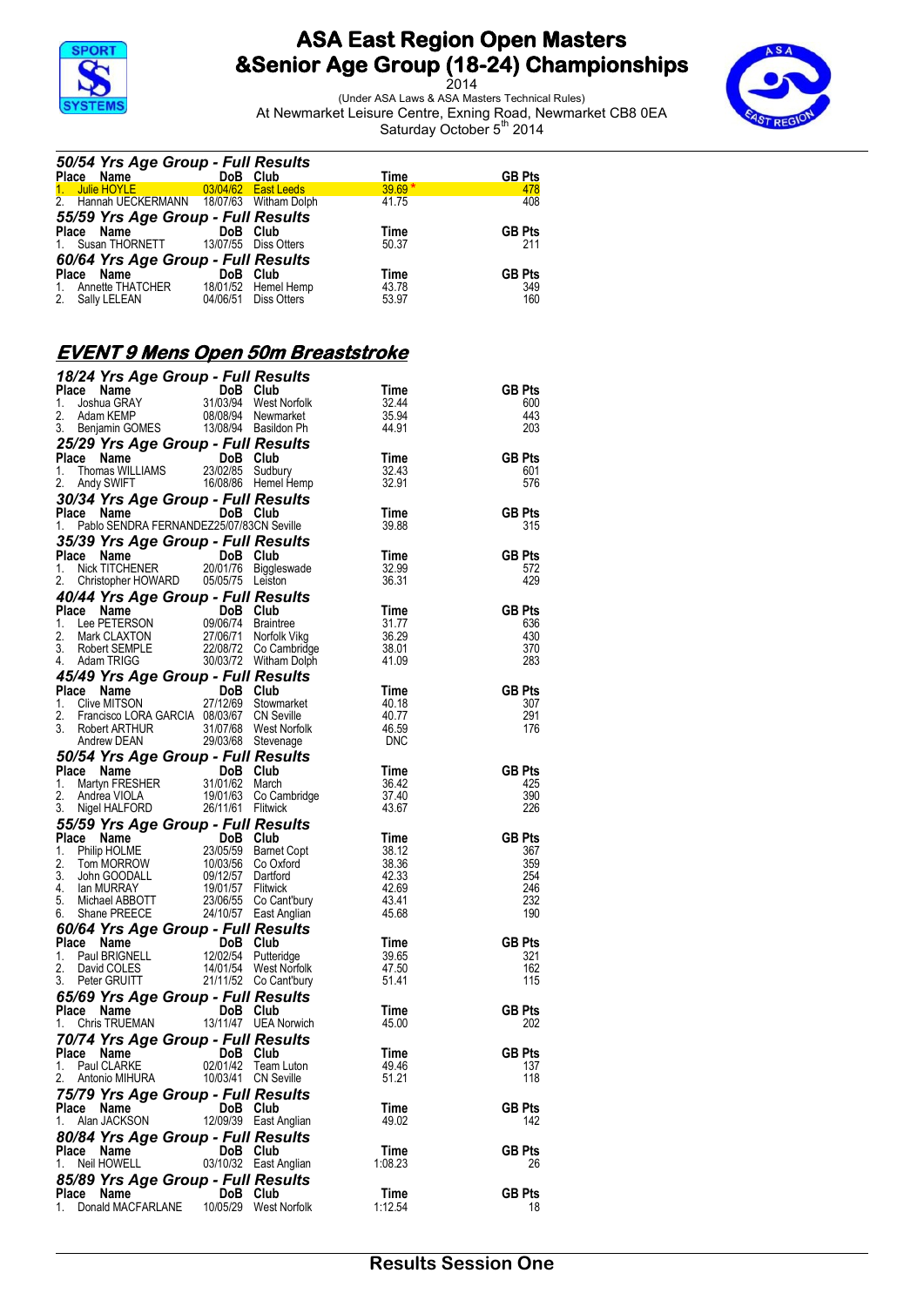

2014 (Under ASA Laws & ASA Masters Technical Rules) At Newmarket Leisure Centre, Exning Road, Newmarket CB8 0EA Saturday October 5<sup>th</sup> 2014



| 50/54 Yrs Age Group - Full Results         |          |                       |          |               |
|--------------------------------------------|----------|-----------------------|----------|---------------|
| Place Name                                 |          | DoB Club              | Time     | <b>GB Pts</b> |
| 1. Julie HOYLE                             |          | $03/04/62$ East Leeds | $39.69*$ | 478           |
| 2. Hannah UECKERMANN 18/07/63 Witham Dolph |          |                       | 41.75    | 408           |
| 55/59 Yrs Age Group - Full Results         |          |                       |          |               |
| Place Name DoB Club                        |          |                       | Time     | <b>GB Pts</b> |
| 1. Susan THORNETT                          |          | 13/07/55 Diss Otters  | 50.37    | 211           |
| 60/64 Yrs Age Group - Full Results         |          |                       |          |               |
| <b>Name Market</b><br>Place                | DoB Club |                       | Time     | <b>GB Pts</b> |
| Annette THATCHER<br>1.                     |          | 18/01/52 Hemel Hemp   | 43.78    | 349           |
| 2. Sally LELEAN                            |          | 04/06/51 Diss Otters  | 53.97    | 160           |
|                                            |          |                       |          |               |

# **EVENT 9 Mens Open 50m Breaststroke**

| 18/24 Yrs Age Group - Full Results                                                                                                                                                                                                                         |                        |                       |                   |               |
|------------------------------------------------------------------------------------------------------------------------------------------------------------------------------------------------------------------------------------------------------------|------------------------|-----------------------|-------------------|---------------|
| Place Name<br>1. Joshua GRAY<br>1. Joshua GRAY<br>2. Adam KEMP<br>3. Benjamin GOMES<br>1. 108/08/94 Newmarket<br>3. Benjamin GOMES<br>1. 108/08/94 Newmarket                                                                                               |                        |                       | Time              | <b>GB Pts</b> |
|                                                                                                                                                                                                                                                            |                        |                       | 32.44<br>35.94    | 600<br>443    |
|                                                                                                                                                                                                                                                            |                        |                       | 44.91             | 203           |
|                                                                                                                                                                                                                                                            |                        |                       |                   |               |
| <b>25/29 Yrs Age Group - Full Results<br/>Place Name DoB Club<br/>1. Thomas WILLIAMS 23/02/85 Sudbury<br/>2. Andy SWIFT 16/08/86 Hemel Hemp</b>                                                                                                            |                        |                       | <b>Time</b>       | <b>GB Pts</b> |
|                                                                                                                                                                                                                                                            |                        |                       | 32.43             | 601           |
|                                                                                                                                                                                                                                                            |                        |                       | 32.91             | 576           |
|                                                                                                                                                                                                                                                            |                        |                       |                   |               |
|                                                                                                                                                                                                                                                            |                        |                       | Time              | <b>GB Pts</b> |
| 1. Pablo SENDRA FERNANDEZ25/07/83CN Seville                                                                                                                                                                                                                |                        |                       | 39.88             | 315           |
| 35/39 Yrs Age Group - Full Results                                                                                                                                                                                                                         |                        |                       |                   |               |
|                                                                                                                                                                                                                                                            |                        |                       | Time              | <b>GB Pts</b> |
| <b>Place Name COMB Dob Club</b><br>1. Nick TITCHENER 20/01/76 Biggleswade<br>2. Christopher HOWARD 05/05/75 Leiston                                                                                                                                        |                        |                       | 32.99<br>36.31    | 572<br>429    |
|                                                                                                                                                                                                                                                            |                        |                       |                   |               |
| 40/44 Yrs Age Group - Full Results<br><b>Place Name DoB Club</b><br>1. Lee PETERSON 09/06/74 Braintree 31.77<br>2. Mark CLAXTON 27/06/71 Norfolk Vikg 36.29<br>3. Robert SEMPLE 22/08/72 Co Cambridge 38.01<br>4. Addan TRIGG 30.003/72 Witham Dolph 41.09 |                        |                       |                   | <b>GB Pts</b> |
|                                                                                                                                                                                                                                                            |                        |                       |                   | 636           |
|                                                                                                                                                                                                                                                            |                        |                       |                   | 430           |
|                                                                                                                                                                                                                                                            |                        |                       |                   | 370           |
|                                                                                                                                                                                                                                                            |                        |                       |                   | 283           |
| <b>45/49 Yrs Age Group - Full Results<br/>Place Name DoB Club<br/>1. Clive MITSON 27/12/69 Stowmarket<br/>2. Francisco LORA GARCIA 08/03/67 CN Seville</b>                                                                                                 |                        |                       |                   |               |
|                                                                                                                                                                                                                                                            |                        |                       | Time              | <b>GB Pts</b> |
|                                                                                                                                                                                                                                                            |                        |                       | 40.18             | 307           |
|                                                                                                                                                                                                                                                            |                        |                       | 40.77<br>46.59    | 291           |
| 3. Robert ARTHUR 31/07/68 West Norfolk<br>Andrew DEAN 29/03/68 Stevenage                                                                                                                                                                                   |                        |                       | <b>DNC</b>        | 176           |
| 50/54 Yrs Age Group - Full Results<br>Place Name DoB Club<br>1. Martyn FRESHER 31/01/62 March                                                                                                                                                              |                        |                       |                   |               |
| Place Name<br>1. Martyn FRESHER 31/01/62 March<br>2. Andrea VIOLA 19/01/63 Co Cambridge<br>3. Nigel HALFORD 26/11/61 Flitwick                                                                                                                              |                        |                       | Time              | <b>GB Pts</b> |
|                                                                                                                                                                                                                                                            |                        |                       | 36.42             | 425           |
|                                                                                                                                                                                                                                                            |                        |                       | 37.40             | 390           |
|                                                                                                                                                                                                                                                            |                        |                       | 43.67             | 226           |
| 55/59 Yrs Age Group - Full Research<br>1. Philip HOLME<br>2.005/59 Barnet Copt<br>2. Tom MORROW 10/03/56 Co Oxford<br>3. John GOODALL 09/12/57 Dartford<br>4. Ian MURRAY 19/01/57 Flitwick<br>5. Michael ABBOTT 23/06/55 Co Can'bury<br>6.                 |                        |                       |                   |               |
|                                                                                                                                                                                                                                                            |                        |                       | Time              | <b>GB Pts</b> |
|                                                                                                                                                                                                                                                            |                        |                       | $\frac{1}{38.12}$ | 367           |
|                                                                                                                                                                                                                                                            |                        |                       | 38.36<br>42.33    | 359<br>254    |
|                                                                                                                                                                                                                                                            |                        |                       | 42.69             | 246           |
|                                                                                                                                                                                                                                                            |                        |                       | 43.41             | 232           |
|                                                                                                                                                                                                                                                            |                        |                       | 45.68             | 190           |
| <b>60/64 Yrs Age Group - Full Results<br/> Place Name DoB Club<br/> 1. Paul BRIGNELL 12/02/54 Putteridge<br/> 2. David COLES 14/01/54 West Norfolk<br/> 3. Peter GRUITT 21/11/52 Co Cant'bury</b>                                                          |                        |                       |                   |               |
|                                                                                                                                                                                                                                                            |                        |                       | Time              | <b>GB Pts</b> |
|                                                                                                                                                                                                                                                            |                        |                       | 39.65             | 321           |
|                                                                                                                                                                                                                                                            |                        |                       | 47.50             | 162           |
|                                                                                                                                                                                                                                                            |                        |                       | 51.41             | 115           |
| <b>65/69 Yrs Age Group - Full Results<br/>Place Name DoB Club<br/>1. Chris TRUEMAN 13/11/47 UEA Norwich</b>                                                                                                                                                |                        |                       | Time              | <b>GB Pts</b> |
|                                                                                                                                                                                                                                                            |                        |                       | 45.00             | 202           |
|                                                                                                                                                                                                                                                            |                        |                       |                   |               |
| 1. Chris TRUEMAN<br><b>70/74 Yrs Age Group - Full Results</b><br>DoB Club                                                                                                                                                                                  |                        |                       | <b>Time</b>       | <b>GB Pts</b> |
| <b>Place Name Carry DoB Club</b><br>1. Paul CLARKE 02/01/42 Team Luton                                                                                                                                                                                     |                        |                       | 49.46             | 137           |
| 2. Antonio MIHURA                                                                                                                                                                                                                                          | 10/03/41    CN Seville |                       | 51.21             | 118           |
| 75/79 Yrs Age Group - Full Results                                                                                                                                                                                                                         |                        |                       |                   |               |
| Place<br>Name                                                                                                                                                                                                                                              | DoB Club               |                       | Time              | <b>GB Pts</b> |
| Alan JACKSON<br>1.                                                                                                                                                                                                                                         |                        | 12/09/39 East Anglian | 49.02             | 142           |
| 80/84 Yrs Age Group - Full Results                                                                                                                                                                                                                         |                        |                       |                   |               |
| Place Name                                                                                                                                                                                                                                                 | DoB Club               |                       | Time              | <b>GB Pts</b> |
| Neil HOWELL<br>1.                                                                                                                                                                                                                                          |                        | 03/10/32 East Anglian | 1:08.23           | 26            |
| 85/89 Yrs Age Group - Full Results                                                                                                                                                                                                                         |                        |                       |                   |               |
| Place Name                                                                                                                                                                                                                                                 | DoB Club               |                       | Time              | <b>GB Pts</b> |
| Donald MACFARLANE<br>1.                                                                                                                                                                                                                                    |                        | 10/05/29 West Norfolk | 1:12.54           | 18            |
|                                                                                                                                                                                                                                                            |                        |                       |                   |               |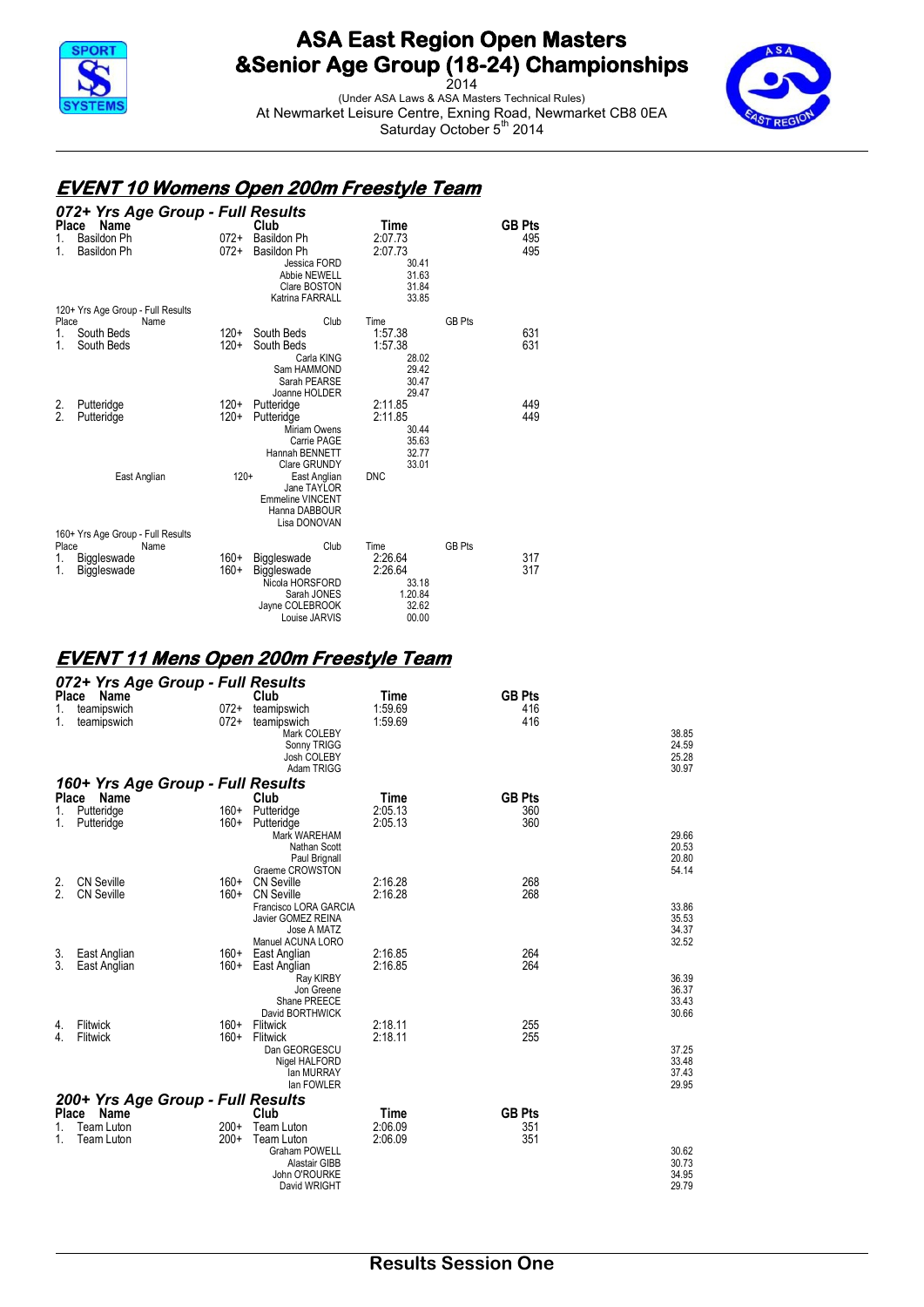

2014 (Under ASA Laws & ASA Masters Technical Rules) At Newmarket Leisure Centre, Exning Road, Newmarket CB8 0EA Saturday October 5<sup>th</sup> 2014



#### **EVENT 10 Womens Open 200m Freestyle Team**

|                      | 072+ Yrs Age Group - Full Results  |                  |                                                                                                             |                                                                  |               |               |
|----------------------|------------------------------------|------------------|-------------------------------------------------------------------------------------------------------------|------------------------------------------------------------------|---------------|---------------|
| Place                | Name                               |                  | Club                                                                                                        | Time                                                             |               | <b>GB Pts</b> |
| 1.<br>1.             | Basildon Ph<br>Basildon Ph         | $072+$<br>$072+$ | <b>Basildon Ph</b><br><b>Basildon Ph</b><br>Jessica FORD<br>Abbie NEWELL<br>Clare BOSTON<br>Katrina FARRALL | 2:07.73<br>2:07.73<br>30.41<br>31.63<br>31.84<br>33.85           |               | 495<br>495    |
|                      | 120+ Yrs Age Group - Full Results  |                  |                                                                                                             |                                                                  |               |               |
| Place<br>1.<br>1.    | Name<br>South Beds<br>South Beds   | $120+$<br>$120+$ | Club<br>South Beds<br>South Beds<br>Carla KING<br>Sam HAMMOND<br>Sarah PEARSE                               | Time<br>1:57.38<br>1:57.38<br>28.02<br>29.42<br>30.47            | <b>GB Pts</b> | 631<br>631    |
| 2.<br>$\mathfrak{p}$ | Putteridge<br>Putteridge           | $120+$<br>$120+$ | Joanne HOLDER<br>Putteridge<br>Putteridge<br>Miriam Owens<br>Carrie PAGE<br>Hannah BENNETT<br>Clare GRUNDY  | 29.47<br>2:11.85<br>2:11.85<br>30.44<br>35.63<br>32.77<br>33.01  |               | 449<br>449    |
|                      | East Anglian                       | $120+$           | East Anglian<br>Jane TAYLOR<br><b>Emmeline VINCENT</b><br>Hanna DABBOUR<br>Lisa DONOVAN                     | <b>DNC</b>                                                       |               |               |
|                      | 160+ Yrs Age Group - Full Results  |                  |                                                                                                             |                                                                  |               |               |
| Place<br>1.<br>1.    | Name<br>Biggleswade<br>Biggleswade | 160+<br>$160+$   | Club<br>Biggleswade<br>Biggleswade<br>Nicola HORSFORD<br>Sarah JONES<br>Jayne COLEBROOK<br>Louise JARVIS    | Time<br>2:26.64<br>2:26.64<br>33.18<br>1.20.84<br>32.62<br>00.00 | <b>GB Pts</b> | 317<br>317    |

#### **EVENT 11 Mens Open 200m Freestyle Team**

|              | 072+ Yrs Age Group - Full Results |        |                                  |         |               |                |
|--------------|-----------------------------------|--------|----------------------------------|---------|---------------|----------------|
| Place        | Name                              |        | Club                             | Time    | <b>GB Pts</b> |                |
| 1.           | teamipswich                       | $072+$ | teamipswich                      | 1:59.69 | 416           |                |
| 1.           | teamipswich                       | 072+   | teamipswich                      | 1:59.69 | 416           |                |
|              |                                   |        | Mark COLEBY                      |         |               | 38.85          |
|              |                                   |        | Sonny TRIGG                      |         |               | 24.59          |
|              |                                   |        | Josh COLEBY<br>Adam TRIGG        |         |               | 25.28<br>30.97 |
|              |                                   |        |                                  |         |               |                |
|              | 160+ Yrs Age Group - Full Results |        |                                  |         |               |                |
| <b>Place</b> | Name                              |        | Club                             | Time    | <b>GB Pts</b> |                |
| 1.           | Putteridge                        | $160+$ | Putteridge                       | 2:05.13 | 360           |                |
| 1.           | Putteridge                        | $160+$ | Putteridge                       | 2:05.13 | 360           |                |
|              |                                   |        | Mark WAREHAM                     |         |               | 29.66          |
|              |                                   |        | Nathan Scott                     |         |               | 20.53<br>20.80 |
|              |                                   |        | Paul Brignall<br>Graeme CROWSTON |         |               | 54.14          |
| 2.           | <b>CN Seville</b>                 | 160+   | <b>CN Seville</b>                | 2:16.28 | 268           |                |
| 2.           | <b>CN Seville</b>                 | $160+$ | <b>CN Seville</b>                | 2:16.28 | 268           |                |
|              |                                   |        | Francisco LORA GARCIA            |         |               | 33.86          |
|              |                                   |        | Javier GOMEZ REINA               |         |               | 35.53          |
|              |                                   |        | Jose A MATZ                      |         |               | 34.37          |
|              |                                   |        | Manuel ACUNA LORO                |         |               | 32.52          |
| 3.           | East Anglian                      |        | 160+ East Anglian                | 2:16.85 | 264           |                |
| 3            | East Anglian                      | 160+   | East Anglian                     | 2:16.85 | 264           |                |
|              |                                   |        | Ray KIRBY                        |         |               | 36.39<br>36.37 |
|              |                                   |        | Jon Greene<br>Shane PREECE       |         |               | 33.43          |
|              |                                   |        | David BORTHWICK                  |         |               | 30.66          |
| 4.           | Flitwick                          | $160+$ | Flitwick                         | 2:18.11 | 255           |                |
| 4.           | Flitwick                          | $160+$ | Flitwick                         | 2:18.11 | 255           |                |
|              |                                   |        | Dan GEORGESCU                    |         |               | 37.25          |
|              |                                   |        | Nigel HALFORD                    |         |               | 33.48          |
|              |                                   |        | lan MURRAY                       |         |               | 37.43          |
|              |                                   |        | lan FOWLER                       |         |               | 29.95          |
|              | 200+ Yrs Age Group - Full Results |        |                                  |         |               |                |
| <b>Place</b> | Name                              |        | Club                             | Time    | <b>GB Pts</b> |                |
|              | <b>Team Luton</b>                 | $200+$ | Team Luton                       | 2:06.09 | 351           |                |
| 1.           | <b>Team Luton</b>                 | $200+$ | Team Luton                       | 2:06.09 | 351           |                |
|              |                                   |        | <b>Graham POWELL</b>             |         |               | 30.62          |
|              |                                   |        | Alastair GIBB                    |         |               | 30.73          |
|              |                                   |        | John O'ROURKE                    |         |               | 34.95          |
|              |                                   |        | David WRIGHT                     |         |               | 29.79          |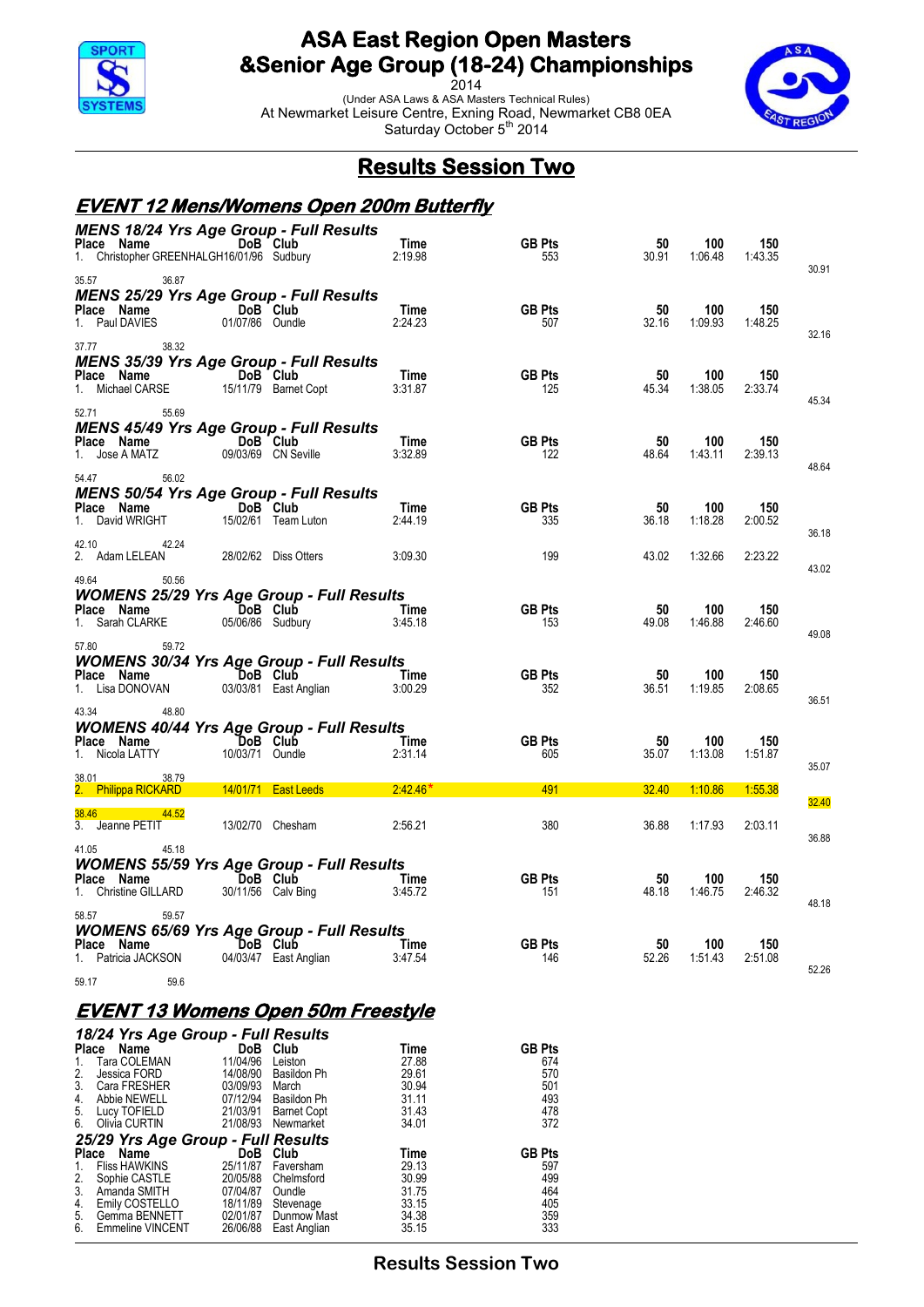

2014 (Under ASA Laws & ASA Masters Technical Rules) At Newmarket Leisure Centre, Exning Road, Newmarket CB8 0EA Saturday October 5<sup>th</sup> 2014



## **Results Session Two**

#### **EVENT 12 Mens/Womens Open 200m Butterfly**

| <b>MENS 18/24 Yrs Age Group - Full Results</b><br>Place Name DoB Club<br>Christopher GREENHALGH16/01/96 Sudbury | Time                                                                                                                            | <b>GB Pts</b><br>553                                                                                                                                                                                                                                                                                                                                                                                        | 50<br>30.91                                                                 | 100                                          | 150<br>1:43.35                                                                                                                                 | 30.91                                                  |
|-----------------------------------------------------------------------------------------------------------------|---------------------------------------------------------------------------------------------------------------------------------|-------------------------------------------------------------------------------------------------------------------------------------------------------------------------------------------------------------------------------------------------------------------------------------------------------------------------------------------------------------------------------------------------------------|-----------------------------------------------------------------------------|----------------------------------------------|------------------------------------------------------------------------------------------------------------------------------------------------|--------------------------------------------------------|
| MENS 25/29 Yrs Age Group - Full Results<br>DoB Club<br>01/07/86 Oundle                                          | Time<br>2:24.23                                                                                                                 | <b>GB Pts</b><br>507                                                                                                                                                                                                                                                                                                                                                                                        | 50<br>32.16                                                                 | 100<br>1:09.93                               | 150<br>1:48.25                                                                                                                                 |                                                        |
| <b>MENS 35/39 Yrs Age Group - Full Results</b><br><b>Example 19 DoB</b> Club                                    | Time                                                                                                                            | <b>GB Pts</b>                                                                                                                                                                                                                                                                                                                                                                                               | 50                                                                          | 100                                          | 150                                                                                                                                            | 32.16                                                  |
| <b>MENS 45/49 Yrs Age Group - Full Results</b><br>DoB Club                                                      | Time                                                                                                                            |                                                                                                                                                                                                                                                                                                                                                                                                             | 50                                                                          | 100                                          | 150                                                                                                                                            | 45.34                                                  |
| <b>MENS 50/54 Yrs Age Group - Full Results</b>                                                                  |                                                                                                                                 |                                                                                                                                                                                                                                                                                                                                                                                                             |                                                                             |                                              |                                                                                                                                                | 48.64                                                  |
| 15/02/61 Team Luton<br>28/02/62 Diss Otters                                                                     | 2:44.19                                                                                                                         | 335<br>199                                                                                                                                                                                                                                                                                                                                                                                                  | 36.18<br>43.02                                                              |                                              | 2:00.52<br>2:23.22                                                                                                                             | 36.18                                                  |
| Place Name DoB Club                                                                                             |                                                                                                                                 | <b>GB Pts</b>                                                                                                                                                                                                                                                                                                                                                                                               | 50                                                                          | 100                                          | 150                                                                                                                                            | 43.02                                                  |
|                                                                                                                 |                                                                                                                                 |                                                                                                                                                                                                                                                                                                                                                                                                             |                                                                             |                                              |                                                                                                                                                | 49.08                                                  |
| 03/03/81 East Anglian                                                                                           | 3:00.29                                                                                                                         | 352                                                                                                                                                                                                                                                                                                                                                                                                         | 36.51                                                                       |                                              | 2:08.65                                                                                                                                        | 36.51                                                  |
| DoB Club<br>10/03/71 Oundle                                                                                     | Time                                                                                                                            | <b>GB Pts</b><br>605                                                                                                                                                                                                                                                                                                                                                                                        | 50<br>35.07                                                                 | 100                                          | 150<br>1:51.87                                                                                                                                 | 35.07                                                  |
| 14/01/71   East Leeds<br>13/02/70 Chesham                                                                       | 2:42.46'                                                                                                                        | 491<br>380                                                                                                                                                                                                                                                                                                                                                                                                  | 32.40<br>36.88                                                              |                                              | 1:55.38<br>2:03.11                                                                                                                             | 32.40                                                  |
| <b>DoB</b> Club                                                                                                 |                                                                                                                                 | <b>GB Pts</b>                                                                                                                                                                                                                                                                                                                                                                                               | 50                                                                          | 100                                          | 150                                                                                                                                            | 36.88                                                  |
| DoB Club                                                                                                        |                                                                                                                                 | <b>GB Pts</b>                                                                                                                                                                                                                                                                                                                                                                                               | 50                                                                          | 100                                          | 150                                                                                                                                            | 48.18                                                  |
| 04/03/47 East Anglian                                                                                           |                                                                                                                                 | 146                                                                                                                                                                                                                                                                                                                                                                                                         | 52.26                                                                       |                                              | 2:51.08                                                                                                                                        | 52.26                                                  |
|                                                                                                                 | 15/11/79 Barnet Copt<br>09/03/69 CN Seville<br>DoB Club<br>05/06/86 Sudbury<br><b>Example 19 DoB</b> Club<br>30/11/56 Calv Bing | 2:19.98<br>3:31.87<br>3:32.89<br>Time<br>3:09.30<br><b>WOMENS 25/29 Yrs Age Group - Full Results</b><br>Time<br>3:45.18<br><b>WOMENS 30/34 Yrs Age Group - Full Results</b><br>Time<br><b>WOMENS 40/44 Yrs Age Group - Full Results</b><br>2:31.14<br>2:56.21<br><b>WOMENS 55/59 Yrs Age Group - Full Results</b><br>Time<br>3:45.72<br><b>WOMENS 65/69 Yrs Age Group - Full Results</b><br>Time<br>3:47.54 | 125<br><b>GB Pts</b><br>122<br><b>GB Pts</b><br>153<br><b>GB Pts</b><br>151 | 45.34<br>48.64<br>50<br>49.08<br>50<br>48.18 | 1:06.48<br>1:38.05<br>1:43.11<br>100<br>1:18.28<br>1:32.66<br>1:46.88<br>100<br>1:19.85<br>1:13.08<br>1:10.86<br>1:17.93<br>1:46.75<br>1:51.43 | 2:33.74<br>2:39.13<br>150<br>2:46.60<br>150<br>2:46.32 |

#### **EVENT 13 Womens Open 50m Freestyle**

|                                         | 18/24 Yrs Age Group - Full Results       |                      |                             |                |               |
|-----------------------------------------|------------------------------------------|----------------------|-----------------------------|----------------|---------------|
| <b>Place</b>                            | Name                                     | DoB.                 | Club                        | Time           | <b>GB Pts</b> |
| 1.                                      | Tara COLEMAN                             | 11/04/96             | Leiston                     | 27.88          | 674           |
| 2.                                      | Jessica FORD                             | 14/08/90             | Basildon Ph                 | 29.61          | 570           |
| 3.                                      | Cara FRESHER                             | 03/09/93             | March                       | 30.94          | 501           |
| 4.                                      | Abbie NEWELL                             | 07/12/94             | Basildon Ph                 | 31.11          | 493           |
| $\begin{array}{c} 5. \\ 6. \end{array}$ | Lucy TOFIELD                             | 21/03/91             | <b>Barnet Copt</b>          | 31.43          | 478           |
|                                         | Olivia CURTIN                            | 21/08/93             | Newmarket                   | 34.01          | 372           |
|                                         | 25/29 Yrs Age Group - Full Results       |                      |                             |                |               |
| <b>Place</b>                            | Name                                     | DoB                  | Club                        | Time           | <b>GB Pts</b> |
| 1.                                      | <b>Fliss HAWKINS</b>                     | 25/11/87             | Faversham                   | 29.13          | 597           |
| 2.                                      | Sophie CASTLE                            | 20/05/88             | Chelmsford                  | 30.99          | 499           |
| 3.                                      | Amanda SMITH                             | 07/04/87             | Oundle                      | 31.75          | 464           |
| 4.                                      | Emily COSTELLO                           | 18/11/89             | Stevenage                   | 33.15          | 405           |
|                                         |                                          |                      |                             |                |               |
| 5.<br>6.                                | Gemma BENNETT<br><b>Emmeline VINCENT</b> | 02/01/87<br>26/06/88 | Dunmow Mast<br>East Anglian | 34.38<br>35.15 | 359<br>333    |

**Results Session Two**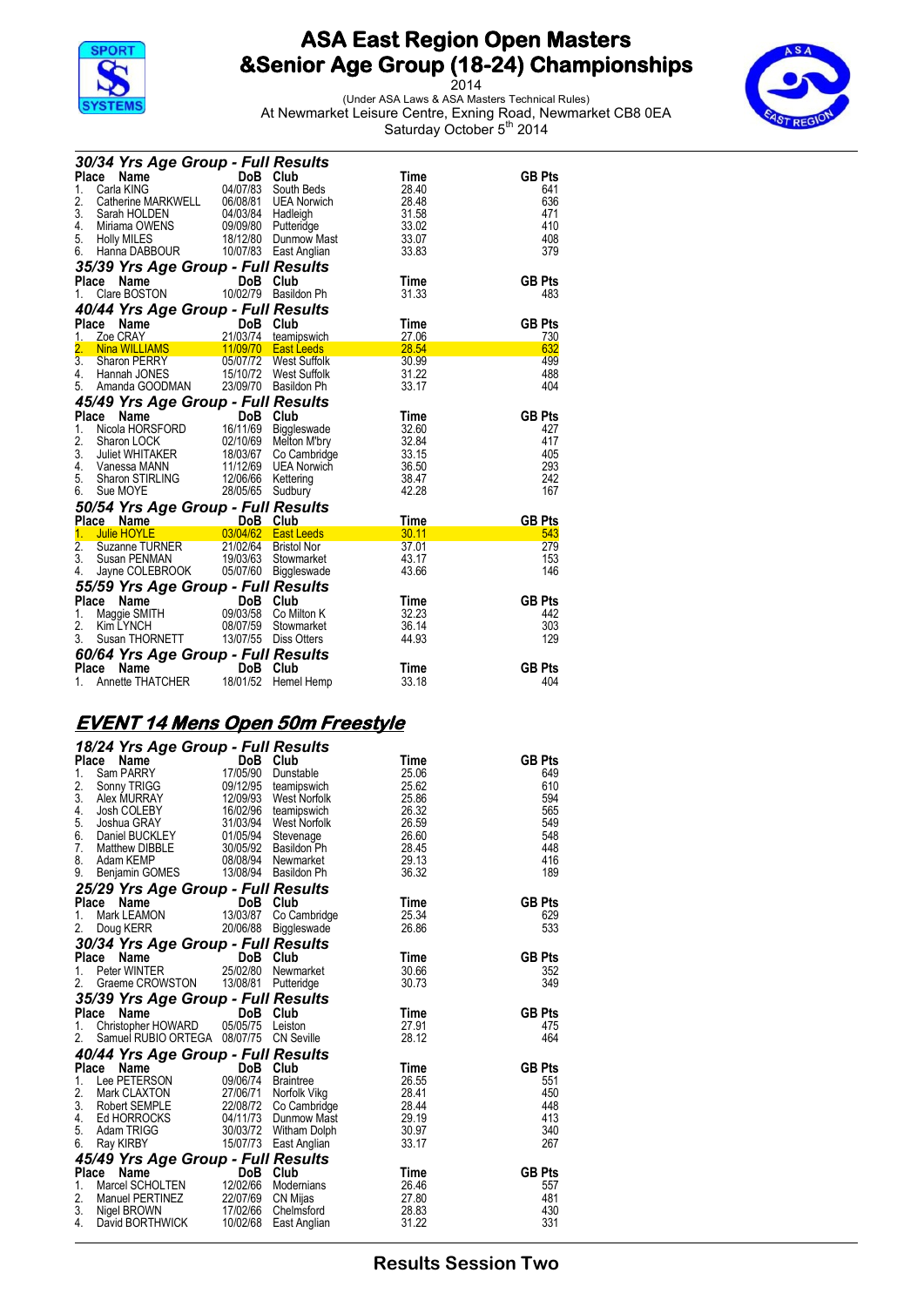

2014 (Under ASA Laws & ASA Masters Technical Rules) At Newmarket Leisure Centre, Exning Road, Newmarket CB8 0EA Saturday October 5<sup>th</sup> 2014



| 30/34 Yrs Age Group - Full Results                                                                                                                                                                                                                                               |                  |                     |                   |               |
|----------------------------------------------------------------------------------------------------------------------------------------------------------------------------------------------------------------------------------------------------------------------------------|------------------|---------------------|-------------------|---------------|
| <b>Place</b><br><b>34 Yrs Age Stromp Bob Club</b><br>ce Name $04/07/83$ South Beds<br>Catherine MARKWELL $06/08/81$ UEA Norwich<br>Started HOLDEN $04/03/84$ Hadleigh<br>Miriama OWENS 09/09/80 Putteridge<br>Holly MILES 18/12/80 Dunmow Mast<br>$10^{10}7/83$                  |                  |                     | Time              | <b>GB Pts</b> |
| 1.                                                                                                                                                                                                                                                                               |                  |                     | 28.40             | 641           |
| 2.                                                                                                                                                                                                                                                                               |                  |                     | 28.48             | 636           |
| 3.                                                                                                                                                                                                                                                                               |                  |                     | 31.58             | 471           |
| 4.<br>5. Holly MILES                                                                                                                                                                                                                                                             |                  |                     | 33.02<br>33.07    | 410<br>408    |
| Hanna DABBOUR 10/07/83 East Anglian<br>6.                                                                                                                                                                                                                                        |                  |                     | 33.83             | 379           |
| 35/39 Yrs Age Group - Full Results                                                                                                                                                                                                                                               |                  |                     |                   |               |
| Place Name                                                                                                                                                                                                                                                                       |                  | DoB Club            | Time              | <b>GB Pts</b> |
| 1.                                                                                                                                                                                                                                                                               |                  |                     | 31.33             | 483           |
|                                                                                                                                                                                                                                                                                  |                  |                     |                   |               |
| 40/44 Yrs Age Group - Full Results<br>Place Name                                                                                                                                                                                                                                 |                  |                     | Time              | <b>GB Pts</b> |
| 1.                                                                                                                                                                                                                                                                               |                  |                     | 27.06             | 730           |
| <b>France CRAY</b><br><b>Community CASE 1988</b><br><b>Community CASE 11/09/70 East Leeds<br/> Sharon PERRY<br/> Hannah JONES<br/> COMMUNITY POST 15/10/72 West Suffolk<br/> Hannah JONES<br/> COMMUNITY POST POST POST POST POST<br/> COMMUNITY POST POST POST POST P</b><br>2. |                  |                     | 28.54             | 632           |
| 3.                                                                                                                                                                                                                                                                               |                  |                     | 30.99             | 499           |
| 4. Hannah JONES                                                                                                                                                                                                                                                                  |                  |                     | 31.22             | 488           |
| 5. Amanda GOODMAN 23/09/70 Basildon Ph                                                                                                                                                                                                                                           |                  |                     | 33.17             | 404           |
| 3. Allianua 3000<br>45/49 Yrs Age Group - Full Results                                                                                                                                                                                                                           |                  |                     |                   |               |
| 43743 113 Age Create DoB Club<br>1. Nicola HORSFORD 16/11/69 Biggleswade<br>1. Sharon LOCK 02/10/69 Melton M'bry<br>3. Juliet WHITAKER 18/03/67 Co Cambridge<br>4. Vanessa MANN 11/12/69 UEA Norwich<br>Channel TIPLING 12/06/66 Ketteri                                         |                  |                     | Time              | <b>GB Pts</b> |
|                                                                                                                                                                                                                                                                                  |                  |                     | 32.60             | 427           |
|                                                                                                                                                                                                                                                                                  |                  |                     | 32.84             | 417           |
|                                                                                                                                                                                                                                                                                  |                  |                     | 33.15             | 405           |
| Sharon STIRLING 12/06/66 Kettering<br>5.                                                                                                                                                                                                                                         |                  |                     | 36.50<br>38.47    | 293<br>242    |
| 6.<br>Sue MOYE                                                                                                                                                                                                                                                                   | 28/05/65 Sudbury |                     | 42.28             | 167           |
|                                                                                                                                                                                                                                                                                  |                  |                     |                   |               |
| 50/54 Yrs Age Group - Full Results                                                                                                                                                                                                                                               |                  |                     | Time              | <b>GB Pts</b> |
|                                                                                                                                                                                                                                                                                  |                  |                     | $\frac{30.11}{2}$ | 543           |
|                                                                                                                                                                                                                                                                                  |                  |                     | 37.01             | 279           |
|                                                                                                                                                                                                                                                                                  |                  |                     | 43.17             | 153           |
| Jayne COLEBROOK 05/07/60 Biggleswade<br>4.                                                                                                                                                                                                                                       |                  |                     | 43.66             | 146           |
| 55/59 Yrs Age Group - Full Results                                                                                                                                                                                                                                               |                  |                     |                   |               |
| Ce Name<br>Maggie SMITH 09/03/58 Co Milton K<br>Place Name                                                                                                                                                                                                                       |                  |                     | Time              | <b>GB Pts</b> |
| 1.                                                                                                                                                                                                                                                                               |                  |                     | 32.23             | 442           |
| 2.<br>Kim LYNCH                                                                                                                                                                                                                                                                  |                  | 08/07/59 Stowmarket | 36.14             | 303           |
| 3. Susan THORNETT 13/07/55 Diss Otters                                                                                                                                                                                                                                           |                  |                     | 44.93             | 129           |
| <b>60/64 Yrs Age Group - Full Results<br/>Place Name DoB Club<br/>1. Annette THATCHER 18/01/52 Hemel Hemp</b>                                                                                                                                                                    |                  |                     |                   |               |
|                                                                                                                                                                                                                                                                                  |                  |                     | Time              | <b>GB Pts</b> |
|                                                                                                                                                                                                                                                                                  |                  |                     | 33.18             | 404           |

## **EVENT 14 Mens Open 50m Freestyle**

|                    | 18/24 Yrs Age Group - Full Results                                                                                                                                                                                                                                          |                                     |                                      |                |               |
|--------------------|-----------------------------------------------------------------------------------------------------------------------------------------------------------------------------------------------------------------------------------------------------------------------------|-------------------------------------|--------------------------------------|----------------|---------------|
| <b>Place</b>       | Name                                                                                                                                                                                                                                                                        | <b>DoB</b>                          | Club                                 | Time           | <b>GB Pts</b> |
| 1.                 | Sam PARRY                                                                                                                                                                                                                                                                   | 17/05/90                            | Dunstable                            | 25.06          | 649           |
| 2.                 | Sonny TRIGG                                                                                                                                                                                                                                                                 |                                     | 09/12/95 teamipswich                 | 25.62          | 610           |
| 3.                 | Alex MURRAY                                                                                                                                                                                                                                                                 | 12/09/93                            | West Norfolk                         | 25.86          | 594           |
| 4.                 | Josh COLEBY                                                                                                                                                                                                                                                                 | 16/02/96                            | teamipswich                          | 26.32          | 565           |
| 5.                 | Joshua GRAY                                                                                                                                                                                                                                                                 | 31/03/94                            | West Norfolk                         | 26.59          | 549           |
| 6.                 | Daniel BUCKLEY                                                                                                                                                                                                                                                              | 01/05/94                            | Stevenage                            | 26.60          | 548           |
| 7.                 | Matthew DIBBLE                                                                                                                                                                                                                                                              | 30/05/92                            | Basildon Ph                          | 28.45          | 448           |
| 8.                 | Adam KEMP                                                                                                                                                                                                                                                                   |                                     | 08/08/94 Newmarket                   | 29.13          | 416           |
| 9.                 | Benjamin GOMES 13/08/94 Basildon Ph                                                                                                                                                                                                                                         |                                     |                                      | 36.32          | 189           |
|                    | 25/29 Yrs Age Group - Full Results                                                                                                                                                                                                                                          |                                     |                                      |                |               |
|                    | Place<br>Name                                                                                                                                                                                                                                                               | $\overline{\text{DoB}}$<br>13/03/87 | DoB Club                             | Time           | <b>GB Pts</b> |
| $\mathbf{1}$ .     | Mark LEAMON                                                                                                                                                                                                                                                                 |                                     | Co Cambridge                         | 25.34          | 629           |
| 2.                 | Doug KERR                                                                                                                                                                                                                                                                   | 20/06/88                            | Biggleswade                          | 26.86          | 533           |
|                    | 30/34 Yrs Age Group - Full Results                                                                                                                                                                                                                                          |                                     |                                      |                |               |
|                    | Place<br>Name<br>an sa Tan                                                                                                                                                                                                                                                  |                                     | DoB Club                             | Time           | <b>GB Pts</b> |
| $1_{-}$            | Peter WINTER                                                                                                                                                                                                                                                                |                                     | 25/02/80 Newmarket                   | 30.66          | 352           |
| 2.                 | Graeme CROWSTON 13/08/81                                                                                                                                                                                                                                                    |                                     | Putteridge                           | 30.73          | 349           |
|                    |                                                                                                                                                                                                                                                                             |                                     |                                      |                |               |
|                    |                                                                                                                                                                                                                                                                             |                                     |                                      |                |               |
| <b>Place</b>       | 35/39 Yrs Age Group - Full Results<br>the control of the control of the control of the control of the control of the control of the control of the control of the control of the control of the control of the control of the control of the control of the control<br>Name | <b>DoB</b>                          | Club                                 |                | <b>GB Pts</b> |
| 1.                 | Christopher HOWARD 05/05/75                                                                                                                                                                                                                                                 |                                     | Leiston                              | Time<br>27.91  | 475           |
| 2.                 | Samuel RUBIO ORTEGA 08/07/75 CN Seville                                                                                                                                                                                                                                     |                                     |                                      | 28.12          | 464           |
|                    |                                                                                                                                                                                                                                                                             |                                     |                                      |                |               |
|                    | 40/44 Yrs Age Group - Full Results                                                                                                                                                                                                                                          |                                     |                                      |                |               |
| <b>Place</b><br>1. | Name                                                                                                                                                                                                                                                                        |                                     | DoB Club                             | Time<br>26.55  | <b>GB Pts</b> |
|                    | Lee PETERSON                                                                                                                                                                                                                                                                | 09/06/74                            | Braintree                            |                | 551<br>450    |
| 2.<br>3.           | Mark CLAXTON<br>Robert SEMPLE                                                                                                                                                                                                                                               | 27/06/71                            | Norfolk Vikg                         | 28.41<br>28.44 | 448           |
| 4.                 | Ed HORROCKS                                                                                                                                                                                                                                                                 | 22/08/72                            | Co Cambridge<br>04/11/73 Dunmow Mast | 29.19          | 413           |
| 5.                 | Adam TRIGG                                                                                                                                                                                                                                                                  |                                     | 30/03/72 Witham Dolph                | 30.97          | 340           |
| 6.                 | Ray KIRBY                                                                                                                                                                                                                                                                   |                                     | 15/07/73 East Anglian                | 33.17          | 267           |
|                    |                                                                                                                                                                                                                                                                             |                                     |                                      |                |               |
| <b>Place</b>       | 45/49 Yrs Age Group - Full Results<br>Name                                                                                                                                                                                                                                  | <b>DoB</b>                          | Club                                 | Time           | <b>GB Pts</b> |
| 1.                 | Marcel SCHOLTEN                                                                                                                                                                                                                                                             | 12/02/66                            | Modernians                           | 26.46          | 557           |
| 2.                 |                                                                                                                                                                                                                                                                             |                                     | CN Mijas                             | 27.80          | 481           |
| 3.                 | Manuel PERTINEZ 22/07/69<br>Nigel BROWN                                                                                                                                                                                                                                     | 17/02/66                            | Chelmsford                           | 28.83          | 430           |
| 4.                 | David BORTHWICK                                                                                                                                                                                                                                                             | 10/02/68                            | East Anglian                         | 31.22          | 331           |

### **Results Session Two**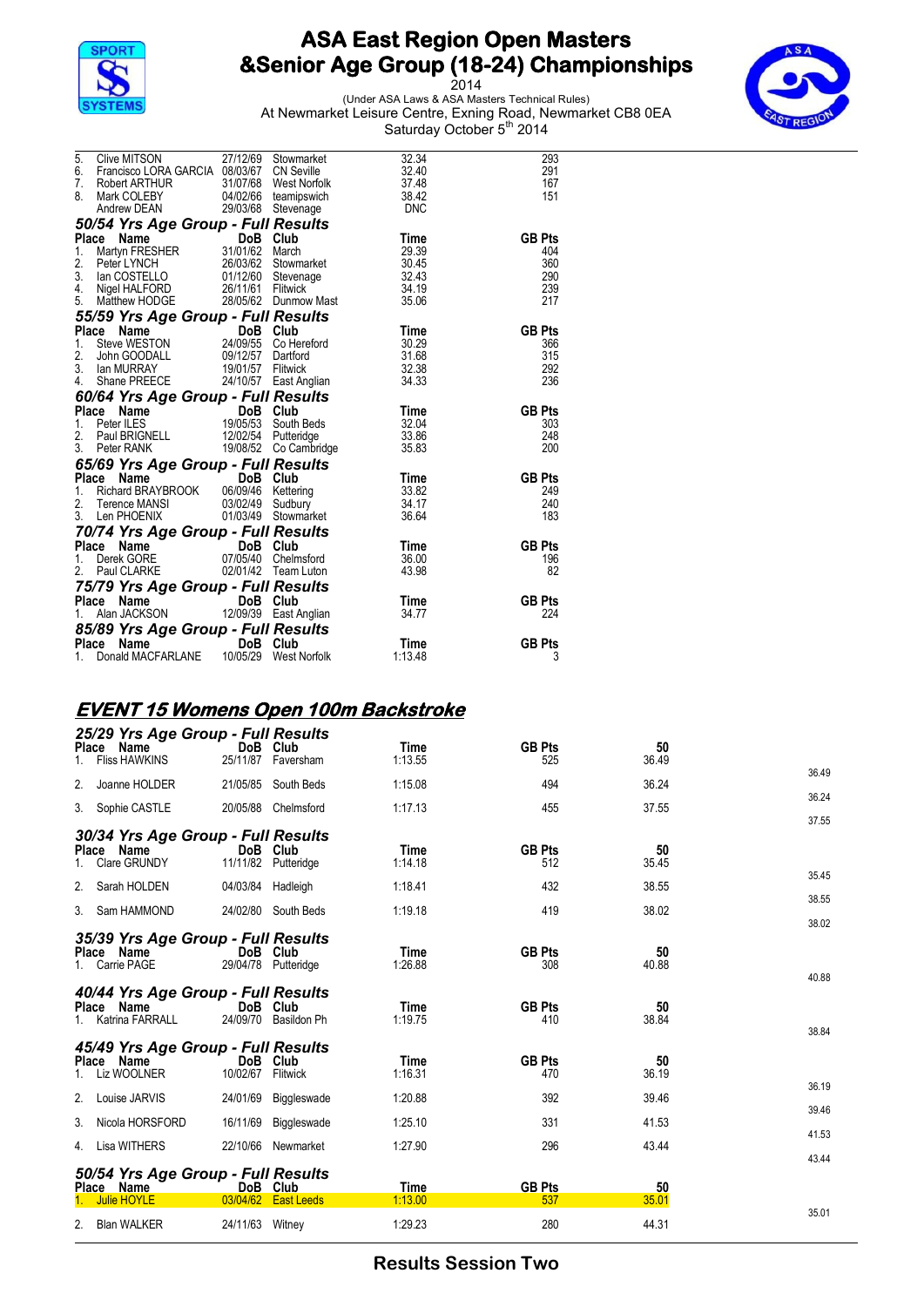

2014 (Under ASA Laws & ASA Masters Technical Rules) At Newmarket Leisure Centre, Exning Road, Newmarket CB8 0EA Saturday October 5<sup>th</sup> 2014



| 5. Clive MITSON 27/12/69 Stowmarket 32.34<br>6. Francisco LORA GARCIA 08/03/67 CN Seville 32.40<br>7. Robert ARTHUR 31/07/68 West Norfolk 37.48<br>8. Mark COLEBY 04/02/66 teamipswich 38.42<br>Andrew DEAN 29/03/68 Stevenage DNC                       |  |                        | 293<br>291<br>167<br>151 |
|----------------------------------------------------------------------------------------------------------------------------------------------------------------------------------------------------------------------------------------------------------|--|------------------------|--------------------------|
| 50/54 Yrs Age Group - Full Results<br>Place Name DoB Club Time<br>1. Martyn FRESHER 31/01/62 March 29.39<br>2. Peter LYNCH 26/03/62 Stowmarket 30.45<br>3. Ian COSTELLO 01/12/60 Stevenage 32.43<br>4. Nigel HALFORD 26/11/61 Fitiwick 3                 |  |                        |                          |
|                                                                                                                                                                                                                                                          |  |                        | <b>GB Pts</b>            |
|                                                                                                                                                                                                                                                          |  |                        | 404<br>360               |
|                                                                                                                                                                                                                                                          |  |                        | 290                      |
|                                                                                                                                                                                                                                                          |  |                        | 239                      |
|                                                                                                                                                                                                                                                          |  |                        | 217                      |
| <b>55/59 Yrs Age Group - Full Results<br/> Place Name DoB Club Time<br/> 1. Steve WESTON 24/09/55 Collected 30.29<br/> 2. John GOODALL 09/12/57 Dartford 31.68<br/> 3. Ian MURRAY 19/01/57 Flitwick 32.38<br/> 4. Shane PREECE 24/10/57 East Anglian</b> |  |                        |                          |
|                                                                                                                                                                                                                                                          |  |                        | <b>GB Pts</b>            |
|                                                                                                                                                                                                                                                          |  |                        | 366<br>315               |
|                                                                                                                                                                                                                                                          |  |                        | 292                      |
|                                                                                                                                                                                                                                                          |  |                        | 236                      |
| <b>60/64 Yrs Age Group - Full Results<br/> Place Name The DoB Club Time<br/> 1. Peter ILES 19/05/53 South Beds 32.04<br/> 2. Paul BRIGNELL 12/02/54 Putteridge 33.86<br/> 3. Peter RANK 19/08/52 Co Cambridge 35.83</b>                                  |  |                        |                          |
|                                                                                                                                                                                                                                                          |  |                        | <b>GB Pts</b>            |
|                                                                                                                                                                                                                                                          |  |                        | 303                      |
|                                                                                                                                                                                                                                                          |  |                        | 248<br>200               |
|                                                                                                                                                                                                                                                          |  |                        |                          |
| <b>65/69 Yrs Age Group - Full Results<br/> Place Name DoB Club Time<br/> 1. Richard BRAYBROOK 06/09/46 Kettering 33.82<br/> 2. Terence MANSI 03/02/49 Sudbury 34.17<br/> 3. Len PHOENIX 01/03/49 Stowmarket 36.64</b>                                    |  |                        | <b>GB Pts</b>            |
|                                                                                                                                                                                                                                                          |  |                        | 249                      |
|                                                                                                                                                                                                                                                          |  |                        | 240                      |
|                                                                                                                                                                                                                                                          |  |                        | 183                      |
| <b>70/74 Yrs Age Group - Full Results<br/> Place Name DoB Club Time<br/> 1. Derek GORE 07/05/40 Chelmsford 36.00<br/> 2. Paul CLARKE 02/01/42 Team Luton 43.98</b>                                                                                       |  |                        |                          |
|                                                                                                                                                                                                                                                          |  |                        | <b>GB Pts</b>            |
|                                                                                                                                                                                                                                                          |  |                        | 196                      |
|                                                                                                                                                                                                                                                          |  |                        | 82                       |
| <b>75/79 Yrs Age Group - Full Results<br/>Place Name DoB Club Time<br/>1. Alan JACKSON 12/09/39 East Anglian 34.77</b>                                                                                                                                   |  |                        | <b>GB Pts</b>            |
|                                                                                                                                                                                                                                                          |  |                        | 224                      |
|                                                                                                                                                                                                                                                          |  |                        |                          |
|                                                                                                                                                                                                                                                          |  |                        | <b>GB Pts</b>            |
| <b>85/89 Yrs Age Group - Full Results<br/>Place Name DoB Club<br/>1. Donald MACFARLANE 10/05/29 West Norfolk</b>                                                                                                                                         |  | <b>Time</b><br>1:13.48 | 3                        |

### **EVENT 15 Womens Open 100m Backstroke**

| <b>Place</b>                               | 25/29 Yrs Age Group - Full Results<br>Name<br><b>Fliss HAWKINS</b>                             | DoB Club                         | 25/11/87 Faversham                        | Time<br>1:13.55                    | <b>GB Pts</b><br>525                         | 50<br>36.49                |                |
|--------------------------------------------|------------------------------------------------------------------------------------------------|----------------------------------|-------------------------------------------|------------------------------------|----------------------------------------------|----------------------------|----------------|
| 2.                                         | Joanne HOLDER                                                                                  |                                  | 21/05/85 South Beds                       | 1:15.08                            | 494                                          | 36.24                      | 36.49          |
|                                            | 3. Sophie CASTLE                                                                               | 20/05/88                         | Chelmsford                                | 1:17.13                            | 455                                          | 37.55                      | 36.24<br>37.55 |
| Place Name                                 | 30/34 Yrs Age Group - Full Results<br>1. Clare GRUNDY<br>2. Sarah HOLDEN                       | DoB Club<br>04/03/84 Hadleigh    | 11/11/82 Putteridge                       | Time<br>1:14.18<br>1:18.41         | <b>GB Pts</b><br>512<br>432                  | 50<br>35.45<br>38.55       | 35.45<br>38.55 |
|                                            | 3. Sam HAMMOND                                                                                 |                                  | 24/02/80 South Beds                       | 1:19.18                            | 419                                          | 38.02                      | 38.02          |
| Place Name<br>1. Carrie PAGE<br>Place Name | 35/39 Yrs Age Group - Full Results<br>40/44 Yrs Age Group - Full Results<br>1. Katrina FARRALL | DoB Club<br>DoB Club<br>24/09/70 | 29/04/78 Putteridge<br><b>Basildon Ph</b> | Time<br>1:26.88<br>Time<br>1:19.75 | <b>GB Pts</b><br>308<br><b>GB Pts</b><br>410 | 50<br>40.88<br>50<br>38.84 | 40.88          |
| Place Name                                 | 45/49 Yrs Age Group - Full Results<br>Liz WOOLNER                                              | DoB<br>10/02/67                  | Club<br>Flitwick                          | Time<br>1:16.31                    | <b>GB Pts</b><br>470                         | 50<br>36.19                | 38.84          |
| 2.                                         | Louise JARVIS                                                                                  | 24/01/69                         | Biggleswade                               | 1:20.88                            | 392                                          | 39.46                      | 36.19<br>39.46 |
| 3.                                         | Nicola HORSFORD                                                                                | 16/11/69                         | Biggleswade                               | 1:25.10                            | 331                                          | 41.53                      | 41.53          |
|                                            | 4. Lisa WITHERS                                                                                | 22/10/66                         | Newmarket                                 | 1:27.90                            | 296                                          | 43.44                      | 43.44          |
| Place Name                                 | 50/54 Yrs Age Group - Full Results<br><b>Julie HOYLE</b>                                       | DoB Club                         | 03/04/62   East Leeds                     | <b>Time</b><br>1:13.00             | <b>GB Pts</b><br>537                         | 50<br>35.01                | 35.01          |
|                                            | 2. Blan WALKER                                                                                 | 24/11/63 Witney                  |                                           | 1:29.23                            | 280                                          | 44.31                      |                |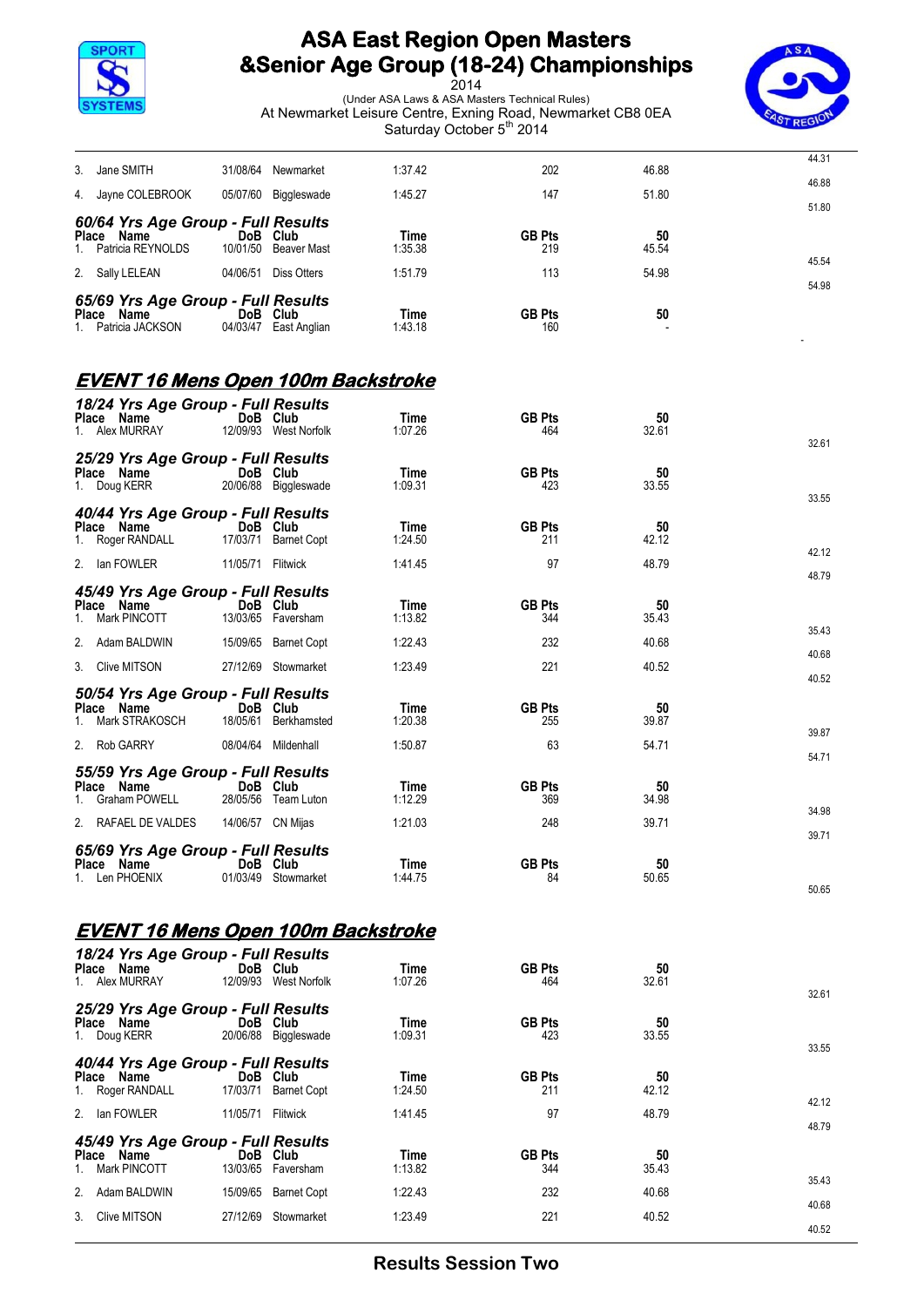



|                                                  |                   |                       | oaluruay Oclober o |                      |             |       |
|--------------------------------------------------|-------------------|-----------------------|--------------------|----------------------|-------------|-------|
| Jane SMITH<br>3.                                 |                   | 31/08/64 Newmarket    | 1:37.42            | 202                  | 46.88       | 44.31 |
| Jayne COLEBROOK<br>4.                            |                   | 05/07/60 Biggleswade  | 1:45.27            | 147                  | 51.80       | 46.88 |
| 60/64 Yrs Age Group - Full Results               |                   |                       |                    |                      |             | 51.80 |
| Place Name<br>Patricia REYNOLDS                  | DoB Club          | 10/01/50 Beaver Mast  | Time<br>1:35.38    | <b>GB Pts</b><br>219 | 50<br>45.54 |       |
| 2. Sally LELEAN                                  |                   | 04/06/51 Diss Otters  | 1:51.79            | 113                  | 54.98       | 45.54 |
| 65/69 Yrs Age Group - Full Results               |                   |                       |                    |                      |             | 54.98 |
| Place Name<br>Patricia JACKSON                   | DoB Club          | 04/03/47 East Anglian | Time<br>1:43.18    | <b>GB Pts</b><br>160 | 50          |       |
| <b>EVENT 16 Mens Open 100m Backstroke</b>        |                   |                       |                    |                      |             |       |
| 18/24 Yrs Age Group - Full Results               |                   |                       |                    |                      |             |       |
| Place Name<br>1. Alex MURRAY                     | DoB Club          | 12/09/93 West Norfolk | Time<br>1:07.26    | <b>GB Pts</b><br>464 | 50<br>32.61 |       |
| 25/29 Yrs Age Group - Full Results               |                   |                       |                    |                      |             | 32.61 |
| Place Name                                       | DoB Club          |                       | Time               | <b>GB Pts</b>        | 50          |       |
| 1. Doug KERR                                     |                   | 20/06/88 Biggleswade  | 1:09.31            | 423                  | 33.55       | 33.55 |
| 40/44 Yrs Age Group - Full Results<br>Place Name | DoB Club          |                       | Time               | <b>GB Pts</b>        | 50          |       |
| 1. Roger RANDALL                                 |                   | 17/03/71 Barnet Copt  | 1:24.50            | 211                  | 42.12       | 42.12 |
| 2. Ian FOWLER                                    | 11/05/71 Flitwick |                       | 1:41.45            | 97                   | 48.79       | 48.79 |
| 45/49 Yrs Age Group - Full Results               |                   |                       |                    |                      |             |       |
| Place Name<br>Mark PINCOTT<br>1.                 | DoB Club          | 13/03/65 Faversham    | Time<br>1:13.82    | <b>GB Pts</b><br>344 | 50<br>35.43 |       |
| 2. Adam BALDWIN                                  |                   | 15/09/65 Barnet Copt  | 1:22.43            | 232                  | 40.68       | 35.43 |
| Clive MITSON<br>3.                               |                   | 27/12/69 Stowmarket   | 1:23.49            | 221                  | 40.52       | 40.68 |
| 50/54 Yrs Age Group - Full Results               |                   |                       |                    |                      |             | 40.52 |
| Place Name<br>Mark STRAKOSCH                     | DoB Club          | 18/05/61 Berkhamsted  | Time<br>1:20.38    | <b>GB Pts</b><br>255 | 50<br>39.87 |       |
| 2. Rob GARRY                                     |                   | 08/04/64 Mildenhall   | 1:50.87            | 63                   | 54.71       | 39.87 |
| 55/59 Yrs Age Group - Full Results               |                   |                       |                    |                      |             | 54.71 |
| Place Name<br>Graham POWELL<br>$1_{-}$           | DoB Club          | 28/05/56 Team Luton   | Time<br>1:12.29    | <b>GB Pts</b><br>369 | 50<br>34.98 |       |
| 2.<br>RAFAEL DE VALDES                           | 14/06/57 CN Mijas |                       | 1:21.03            | 248                  | 39.71       | 34.98 |
|                                                  |                   |                       |                    |                      |             | 39.71 |
| 65/69 Yrs Age Group - Full Results<br>Place Name | DoB Club          |                       | Time               | <b>GB Pts</b>        | 50          |       |
| 1. Len PHOENIX                                   |                   | 01/03/49 Stowmarket   | 1:44.75            | 84                   | 50.65       | 50.65 |
|                                                  |                   |                       |                    |                      |             |       |
| <b>EVENT 16 Mens Open 100m Backstroke</b>        |                   |                       |                    |                      |             |       |
| 18/24 Yrs Age Group - Full Results               |                   |                       |                    |                      |             |       |
| Place Name<br>1. Alex MURRAY                     | DoB Club          | 12/09/93 West Norfolk | Time<br>1:07.26    | <b>GB Pts</b><br>464 | 50<br>32.61 |       |
| 25/29 Yrs Age Group - Full Results               |                   |                       |                    |                      |             | 32.61 |
| Place Name<br>1. Doug KERR                       | DoB Club          | 20/06/88 Biggleswade  | Time<br>1:09.31    | <b>GB Pts</b><br>423 | 50<br>33.55 |       |
|                                                  |                   |                       |                    |                      |             | 33.55 |
| 40/44 Yrs Age Group - Full Results<br>Place Name | DoB Club          |                       | Time               | <b>GB Pts</b>        | 50          |       |
| Roger RANDALL<br>1.                              |                   | 17/03/71 Barnet Copt  | 1:24.50            | 211                  | 42.12       | 42.12 |
| 2. Ian FOWLER                                    | 11/05/71 Flitwick |                       | 1:41.45            | 97                   | 48.79       | 48.79 |
| 45/49 Yrs Age Group - Full Results               |                   |                       |                    |                      |             |       |
| Place Name<br>Mark PINCOTT<br>1.                 | DoB Club          | 13/03/65 Faversham    | Time<br>1:13.82    | <b>GB Pts</b><br>344 | 50<br>35.43 |       |
| Adam BALDWIN<br>2.                               |                   | 15/09/65 Barnet Copt  | 1:22.43            | 232                  | 40.68       | 35.43 |
| <b>Clive MITSON</b><br>3.                        |                   | 27/12/69 Stowmarket   | 1:23.49            | 221                  | 40.52       | 40.68 |
|                                                  |                   |                       |                    |                      |             | 40.52 |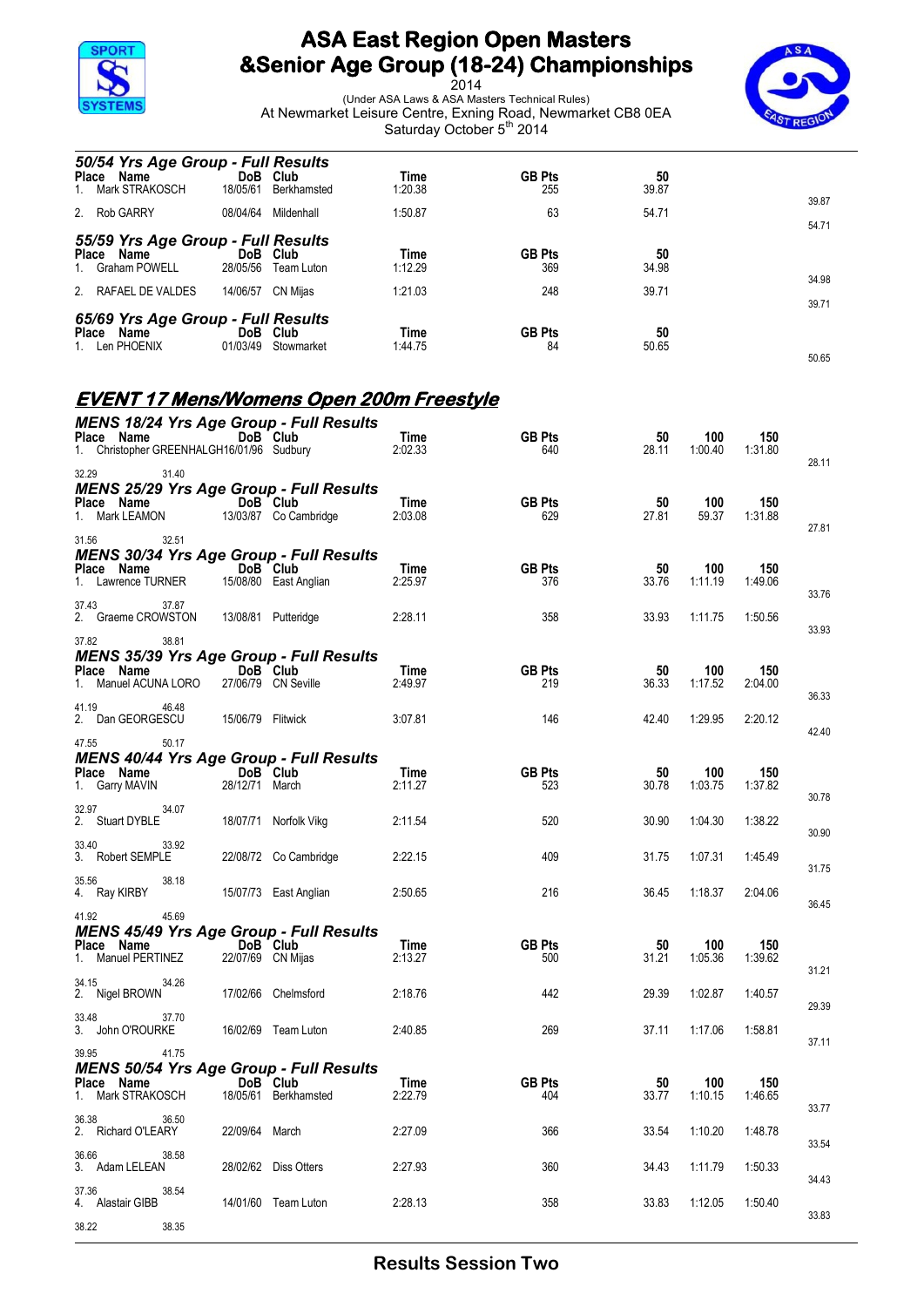

*50/54 Yrs Age Group - Full Results*

## **ASA East Region Open Masters &Senior Age Group (18-24) Championships**



| Place Name<br>Mark STRAKOSCH<br>1.                                   |       | DoB Club<br>18/05/61          | Berkhamsted                                                             | Time<br>1:20.38 | <b>GB Pts</b><br>255 | 50<br>39.87 |                |                |                |
|----------------------------------------------------------------------|-------|-------------------------------|-------------------------------------------------------------------------|-----------------|----------------------|-------------|----------------|----------------|----------------|
| 2. Rob GARRY                                                         |       |                               | 08/04/64 Mildenhall                                                     | 1:50.87         | 63                   | 54.71       |                |                | 39.87<br>54.71 |
| 55/59 Yrs Age Group - Full Results<br>Place Name<br>1. Graham POWELL |       | DoB Club                      | 28/05/56 Team Luton                                                     | Time<br>1:12.29 | <b>GB Pts</b><br>369 | 50<br>34.98 |                |                |                |
| 2. RAFAEL DE VALDES                                                  |       | 14/06/57 CN Mijas             |                                                                         | 1:21.03         | 248                  | 39.71       |                |                | 34.98          |
| 65/69 Yrs Age Group - Full Results<br>Place Name<br>1. Len PHOENIX   |       | DoB Club                      | 01/03/49 Stowmarket                                                     | Time<br>1:44.75 | <b>GB Pts</b><br>84  | 50<br>50.65 |                |                | 39.71<br>50.65 |
|                                                                      |       |                               | <u>EVENT 17 Mens/Womens Open 200m Freestyle</u>                         |                 |                      |             |                |                |                |
|                                                                      |       |                               | <b>MENS 18/24 Yrs Age Group - Full Results</b>                          |                 |                      |             |                |                |                |
| Place Name<br>1. Christopher GREENHALGH16/01/96 Sudbury              |       | DoB Club                      |                                                                         | Time<br>2:02.33 | <b>GB Pts</b><br>640 | 50<br>28.11 | 100<br>1:00.40 | 150<br>1:31.80 |                |
| 32.29                                                                | 31.40 |                               |                                                                         |                 |                      |             |                |                | 28.11          |
| Place Name<br>1. Mark LEAMON                                         |       | DoB Club                      | <b>MENS 25/29 Yrs Age Group - Full Results</b><br>13/03/87 Co Cambridge | Time<br>2:03.08 | <b>GB Pts</b><br>629 | 50<br>27.81 | 100<br>59.37   | 150<br>1:31.88 | 27.81          |
| 31.56                                                                | 32.51 |                               | <b>MENS 30/34 Yrs Age Group - Full Results</b>                          |                 |                      |             |                |                |                |
| Place Name<br>1. Lawrence TURNER                                     |       | DoB Club                      | 15/08/80 East Anglian                                                   | Time<br>2:25.97 | <b>GB Pts</b><br>376 | 50<br>33.76 | 100<br>1:11.19 | 150<br>1:49.06 | 33.76          |
| 37.43<br>2. Graeme CROWSTON                                          | 37.87 |                               | 13/08/81 Putteridge                                                     | 2:28.11         | 358                  | 33.93       | 1:11.75        | 1:50.56        | 33.93          |
| 37.82                                                                | 38.81 |                               | <b>MENS 35/39 Yrs Age Group - Full Results</b>                          |                 |                      |             |                |                |                |
| Place Name<br>1. Manuel ACUNA LORO                                   |       | DoB Club                      | 27/06/79 CN Seville                                                     | Time<br>2:49.97 | <b>GB Pts</b><br>219 | 50<br>36.33 | 100<br>1:17.52 | 150<br>2:04.00 | 36.33          |
| 41.19<br>2. Dan GEORGESCU                                            | 46.48 | 15/06/79 Flitwick             |                                                                         | 3:07.81         | 146                  | 42.40       | 1:29.95        | 2:20.12        | 42.40          |
| 47.55                                                                | 50.17 |                               | <b>MENS 40/44 Yrs Age Group - Full Results</b>                          |                 |                      |             |                |                |                |
| Place Name<br>1. Garry MAVIN                                         |       | DoB Club<br>28/12/71 March    |                                                                         | Time<br>2:11.27 | <b>GB Pts</b><br>523 | 50<br>30.78 | 100<br>1:03.75 | 150<br>1:37.82 | 30.78          |
| 32.97<br>2. Stuart DYBLE                                             | 34.07 |                               | 18/07/71 Norfolk Vikg                                                   | 2:11.54         | 520                  | 30.90       | 1:04.30        | 1:38.22        | 30.90          |
| 33.40<br>3. Robert SEMPLE                                            | 33.92 |                               | 22/08/72 Co Cambridge                                                   | 2:22.15         | 409                  | 31.75       | 1:07.31        | 1:45.49        | 31.75          |
| 35.56<br>4. Ray KIRBY                                                | 38.18 |                               | 15/07/73 East Anglian                                                   | 2:50.65         | 216                  | 36.45       | 1:18.37        | 2:04.06        | 36.45          |
| 41.92                                                                | 45.69 |                               | <b>MENS 45/49 Yrs Age Group - Full Results</b>                          |                 |                      |             |                |                |                |
| Place Name<br>1. Manuel PERTINEZ                                     |       | DoB Club<br>22/07/69 CN Mijas |                                                                         | Time<br>2:13.27 | <b>GB Pts</b><br>500 | 50<br>31.21 | 100<br>1:05.36 | 150<br>1:39.62 | 31.21          |
| 34.15<br>2. Nigel BROWN                                              | 34.26 |                               | 17/02/66 Chelmsford                                                     | 2:18.76         | 442                  | 29.39       | 1:02.87        | 1:40.57        | 29.39          |
| 33.48<br>3. John O'ROURKE                                            | 37.70 |                               | 16/02/69 Team Luton                                                     | 2:40.85         | 269                  | 37.11       | 1:17.06        | 1:58.81        | 37.11          |
| 39.95                                                                | 41.75 |                               | <b>MENS 50/54 Yrs Age Group - Full Results</b>                          |                 |                      |             |                |                |                |
| Place Name<br>1. Mark STRAKOSCH                                      |       | DoB Club                      | 18/05/61 Berkhamsted                                                    | Time<br>2:22.79 | <b>GB Pts</b><br>404 | 50<br>33.77 | 100<br>1:10.15 | 150<br>1:46.65 | 33.77          |
| 36.38<br>2. Richard O'LEARY                                          | 36.50 | 22/09/64 March                |                                                                         | 2:27.09         | 366                  | 33.54       | 1:10.20        | 1:48.78        | 33.54          |
| 36.66<br>3. Adam LELEAN                                              | 38.58 |                               | 28/02/62 Diss Otters                                                    | 2:27.93         | 360                  | 34.43       | 1:11.79        | 1:50.33        | 34.43          |
| 37.36<br>4. Alastair GIBB                                            | 38.54 |                               | 14/01/60 Team Luton                                                     | 2:28.13         | 358                  | 33.83       | 1:12.05        | 1:50.40        |                |
| 38.22                                                                | 38.35 |                               |                                                                         |                 |                      |             |                |                | 33.83          |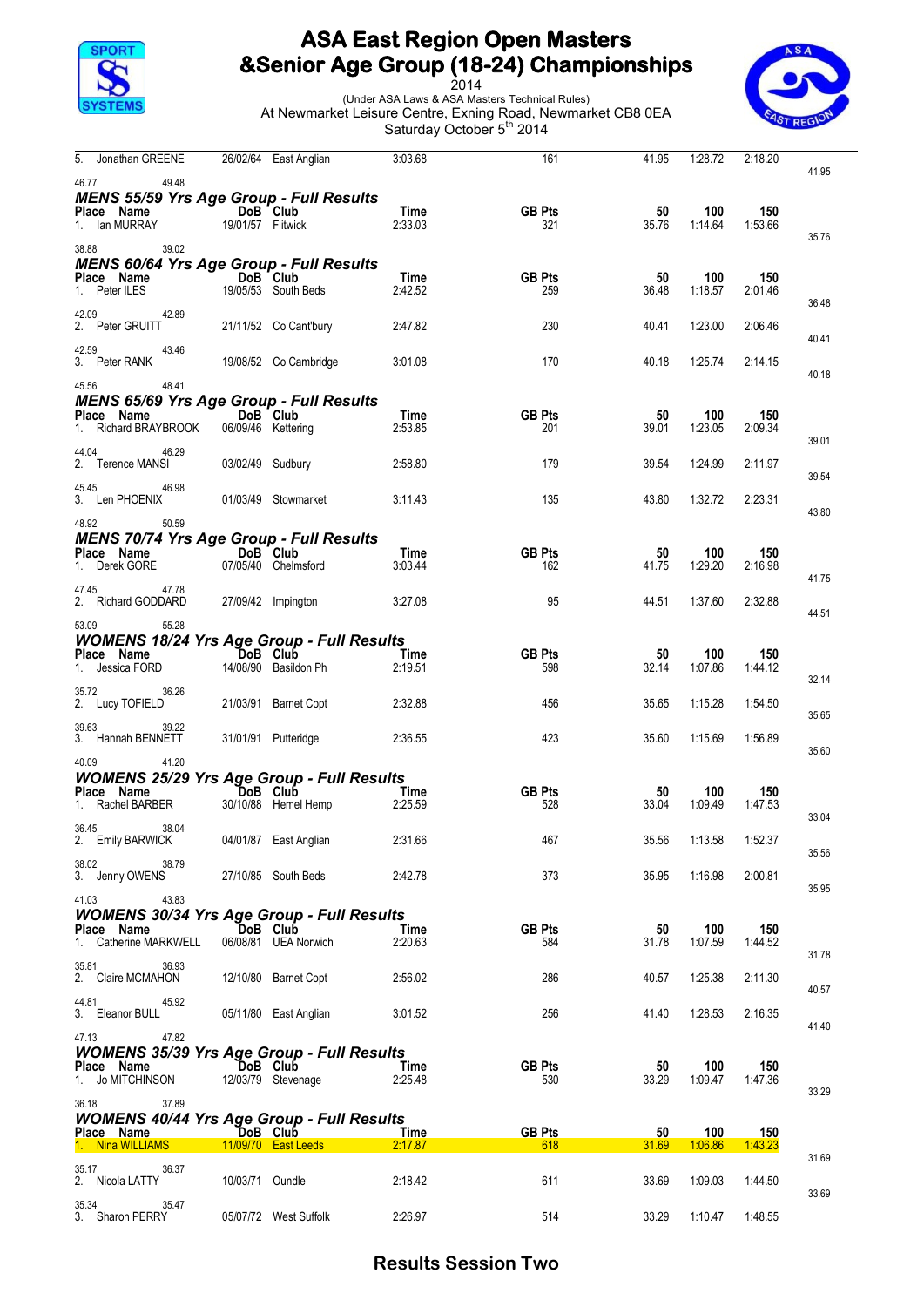



| Jonathan GREENE<br>5.                                     |                   | 26/02/64 East Anglian           | 3:03.68         | 161                  | 41.95       | 1:28.72        | 2:18.20        | 41.95 |
|-----------------------------------------------------------|-------------------|---------------------------------|-----------------|----------------------|-------------|----------------|----------------|-------|
| 46.77<br>49.48                                            |                   |                                 |                 |                      |             |                |                |       |
| <b>MENS 55/59 Yrs Age Group - Full Results</b>            |                   |                                 |                 |                      |             |                |                |       |
| Place Name<br>lan MURRAY                                  | DoB Club          |                                 | Time<br>2:33.03 | <b>GB Pts</b>        | 50          | 100<br>1:14.64 | 150            |       |
| 1.                                                        | 19/01/57 Flitwick |                                 |                 | 321                  | 35.76       |                | 1:53.66        | 35.76 |
| 39.02<br>38.88                                            |                   |                                 |                 |                      |             |                |                |       |
| <b>MENS 60/64 Yrs Age Group - Full Results</b>            |                   |                                 |                 |                      |             |                |                |       |
| Place Name<br>1. Peter ILES                               |                   | DoB Club<br>19/05/53 South Beds | Time<br>2:42.52 | <b>GB Pts</b><br>259 | 50<br>36.48 | 100<br>1:18.57 | 150<br>2:01.46 |       |
|                                                           |                   |                                 |                 |                      |             |                |                | 36.48 |
| 42.89<br>42.09                                            |                   |                                 |                 |                      |             |                |                |       |
| 2. Peter GRUITT                                           |                   | 21/11/52 Co Cant'bury           | 2:47.82         | 230                  | 40.41       | 1:23.00        | 2:06.46        | 40.41 |
| 42.59<br>43.46                                            |                   |                                 |                 |                      |             |                |                |       |
| 3. Peter RANK                                             |                   | 19/08/52 Co Cambridge           | 3:01.08         | 170                  | 40.18       | 1:25.74        | 2:14.15        |       |
| 48.41<br>45.56                                            |                   |                                 |                 |                      |             |                |                | 40.18 |
| <b>MENS 65/69 Yrs Age Group - Full Results</b>            |                   |                                 |                 |                      |             |                |                |       |
| Place Name                                                |                   | DoB Club                        | Time            | <b>GB Pts</b>        | 50          | 100            | 150            |       |
| 1. Richard BRAYBROOK                                      |                   | 06/09/46 Kettering              | 2:53.85         | 201                  | 39.01       | 1:23.05        | 2:09.34        |       |
| 44.04<br>46.29                                            |                   |                                 |                 |                      |             |                |                | 39.01 |
| 2. Terence MANSI                                          | 03/02/49 Sudbury  |                                 | 2:58.80         | 179                  | 39.54       | 1:24.99        | 2:11.97        |       |
|                                                           |                   |                                 |                 |                      |             |                |                | 39.54 |
| 45.45<br>46.98<br>3. Len PHOENIX                          |                   | 01/03/49 Stowmarket             | 3:11.43         | 135                  | 43.80       | 1:32.72        | 2:23.31        |       |
|                                                           |                   |                                 |                 |                      |             |                |                | 43.80 |
| 48.92<br>50.59                                            |                   |                                 |                 |                      |             |                |                |       |
| <b>MENS 70/74 Yrs Age Group - Full Results</b>            |                   |                                 |                 |                      |             |                |                |       |
| Place Name                                                |                   | DoB Club                        | Time            | <b>GB Pts</b>        | 50          | 100            | 150<br>2:16.98 |       |
| 1. Derek GORE                                             |                   | 07/05/40 Chelmsford             | 3:03.44         | 162                  | 41.75       | 1:29.20        |                | 41.75 |
| 47.78<br>47.45                                            |                   |                                 |                 |                      |             |                |                |       |
| 2. Richard GODDARD                                        |                   | 27/09/42 Impington              | 3:27.08         | 95                   | 44.51       | 1:37.60        | 2:32.88        | 44.51 |
| 55.28<br>53.09                                            |                   |                                 |                 |                      |             |                |                |       |
| <b>WOMENS 18/24 Yrs Age Group - Full Results</b>          |                   |                                 |                 |                      |             |                |                |       |
| Place Name                                                |                   | DoB Club                        | Time            | <b>GB Pts</b>        | 50          | 100            | 150            |       |
| Jessica FORD<br>1.                                        |                   | 14/08/90 Basildon Ph            | 2:19.51         | 598                  | 32.14       | 1:07.86        | 1:44.12        |       |
| 35.72<br>36.26                                            |                   |                                 |                 |                      |             |                |                | 32.14 |
| 2. Lucy TOFIELD                                           |                   | 21/03/91 Barnet Copt            | 2:32.88         | 456                  | 35.65       | 1:15.28        | 1:54.50        |       |
|                                                           |                   |                                 |                 |                      |             |                |                | 35.65 |
| 39.63<br>39.22<br>3. Hannah BENNETT                       |                   | 31/01/91 Putteridge             | 2:36.55         | 423                  | 35.60       | 1:15.69        | 1:56.89        |       |
|                                                           |                   |                                 |                 |                      |             |                |                | 35.60 |
| 40.09<br>41.20                                            |                   |                                 |                 |                      |             |                |                |       |
| <b>WOMENS 25/29 Yrs Age Group - Full Results</b>          |                   |                                 |                 |                      |             |                |                |       |
| Place Name                                                | DoB Club          |                                 | Time            | <b>GB Pts</b>        | 50          | 100            | 150            |       |
| 1. Rachel BARBER                                          |                   | 30/10/88 Hemel Hemp             | 2:25.59         | 528                  | 33.04       | 1:09.49        | 1:47.53        | 33.04 |
| 38.04<br>36.45                                            |                   |                                 |                 |                      |             |                |                |       |
| 2. Emily BARWICK                                          |                   | 04/01/87 East Anglian           | 2:31.66         | 467                  | 35.56       | 1:13.58        | 1:52.37        | 35.56 |
| 38.02<br>38.79                                            |                   |                                 |                 |                      |             |                |                |       |
| 3. Jenny OWENS                                            |                   | 27/10/85 South Beds             | 2:42.78         | 373                  | 35.95       | 1:16.98        | 2:00.81        |       |
| 43.83                                                     |                   |                                 |                 |                      |             |                |                | 35.95 |
| 41.03<br><b>WOMENS 30/34 Yrs Age Group - Full Results</b> |                   |                                 |                 |                      |             |                |                |       |
| Place Name                                                |                   | DoB Club                        | Time            | <b>GB Pts</b>        | 50          | 100            | 150            |       |
| 1. Catherine MARKWELL                                     |                   | 06/08/81 UEA Norwich            | 2:20.63         | 584                  | 31.78       | 1:07.59        | 1:44.52        |       |
|                                                           |                   |                                 |                 |                      |             |                |                | 31.78 |
| 35.81<br>36.93<br>2. Claire MCMAHON                       |                   | 12/10/80 Barnet Copt            | 2:56.02         | 286                  | 40.57       | 1:25.38        | 2:11.30        |       |
|                                                           |                   |                                 |                 |                      |             |                |                | 40.57 |
| 44.81<br>45.92                                            |                   |                                 |                 |                      |             |                |                |       |
| 3. Eleanor BULL                                           |                   | 05/11/80 East Anglian           | 3:01.52         | 256                  | 41.40       | 1:28.53        | 2:16.35        | 41.40 |
| 47.13<br>47.82                                            |                   |                                 |                 |                      |             |                |                |       |
| <b>WOMENS 35/39 Yrs Age Group - Full Results</b>          |                   |                                 |                 |                      |             |                |                |       |
| Place Name                                                |                   | DoB Club                        | Time            | <b>GB Pts</b>        | 50          | 100            | 150            |       |
| 1. Jo MITCHINSON                                          |                   | 12/03/79 Stevenage              | 2:25.48         | 530                  | 33.29       | 1:09.47        | 1:47.36        |       |
| 36.18<br>37.89                                            |                   |                                 |                 |                      |             |                |                | 33.29 |
| <b>WOMENS 40/44 Yrs Age Group - Full Results</b>          |                   |                                 |                 |                      |             |                |                |       |
| Place Name                                                |                   | DoB Club                        | <b>Time</b>     | <b>GB Pts</b>        | 50          | 100            | 150            |       |
| 1. Nina WILLIAMS                                          |                   | 11/09/70 East Leeds             | 2:17.87         | 618                  | 31.69       | 1.06.86        | 1:43.23        |       |
|                                                           |                   |                                 |                 |                      |             |                |                | 31.69 |
| 35.17<br>36.37<br>2. Nicola LATTY                         | 10/03/71 Oundle   |                                 | 2:18.42         | 611                  | 33.69       | 1:09.03        | 1:44.50        |       |
|                                                           |                   |                                 |                 |                      |             |                |                | 33.69 |
| 35.34<br>35.47<br>3. Sharon PERRY                         |                   | 05/07/72 West Suffolk           | 2:26.97         | 514                  | 33.29       | 1:10.47        | 1:48.55        |       |
|                                                           |                   |                                 |                 |                      |             |                |                |       |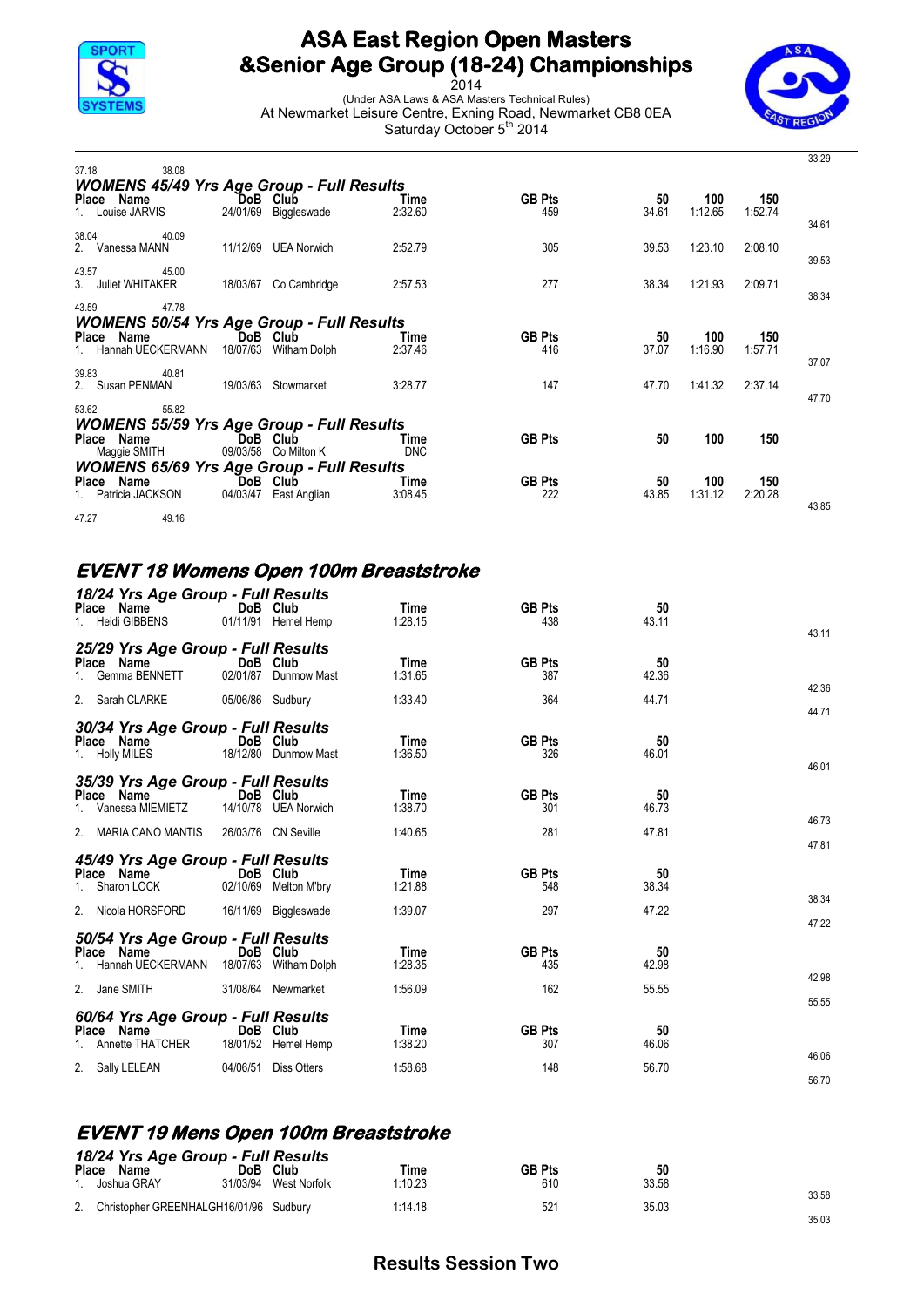

2014 (Under ASA Laws & ASA Masters Technical Rules) At Newmarket Leisure Centre, Exning Road, Newmarket CB8 0EA Saturday October 5<sup>th</sup> 2014



| 37.18 | 38.08                                            |          |                          |                 |                      |             |                |                | 33.29 |
|-------|--------------------------------------------------|----------|--------------------------|-----------------|----------------------|-------------|----------------|----------------|-------|
|       | <b>WOMENS 45/49 Yrs Age Group - Full Results</b> |          |                          |                 |                      |             |                |                |       |
|       | Place Name                                       |          | DoB Club                 | Time            | <b>GB Pts</b>        | 50          | 100            | 150            |       |
|       | 1. Louise JARVIS                                 | 24/01/69 | Biggleswade              | 2:32.60         | 459                  | 34.61       | 1:12.65        | 1:52.74        | 34.61 |
| 38.04 | 40.09                                            |          |                          |                 |                      |             |                |                |       |
|       | 2. Vanessa MANN                                  | 11/12/69 | <b>UEA Norwich</b>       | 2:52.79         | 305                  | 39.53       | 1:23.10        | 2:08.10        |       |
| 43.57 | 45.00                                            |          |                          |                 |                      |             |                |                | 39.53 |
|       | 3. Juliet WHITAKER                               |          | 18/03/67 Co Cambridge    | 2:57.53         | 277                  | 38.34       | 1:21.93        | 2:09.71        |       |
|       |                                                  |          |                          |                 |                      |             |                |                | 38.34 |
| 43.59 | 47.78                                            |          |                          |                 |                      |             |                |                |       |
|       | <b>WOMENS 50/54 Yrs Age Group - Full Results</b> |          |                          |                 |                      |             |                |                |       |
|       | Place Name<br>1. Hannah UECKERMANN               | 18/07/63 | DoB Club<br>Witham Dolph | Time<br>2:37.46 | <b>GB Pts</b><br>416 | 50<br>37.07 | 100<br>1:16.90 | 150<br>1:57.71 |       |
|       |                                                  |          |                          |                 |                      |             |                |                | 37.07 |
| 39.83 | 40.81                                            |          |                          |                 |                      |             |                |                |       |
|       | 2. Susan PENMAN                                  | 19/03/63 | Stowmarket               | 3:28.77         | 147                  | 47.70       | 1:41.32        | 2:37.14        | 47.70 |
| 53.62 | 55.82                                            |          |                          |                 |                      |             |                |                |       |
|       | <b>WOMENS 55/59 Yrs Age Group - Full Results</b> |          |                          |                 |                      |             |                |                |       |
|       | Place Name                                       |          | DoB Club                 | Time            | <b>GB Pts</b>        | 50          | 100            | 150            |       |
|       | Maggie SMITH                                     | 09/03/58 | Co Milton K              | <b>DNC</b>      |                      |             |                |                |       |
|       | <b>WOMENS 65/69 Yrs Age Group - Full Results</b> |          |                          |                 |                      |             |                |                |       |
|       | Place Name<br>1. Patricia JACKSON                | 04/03/47 | DoB Club<br>East Anglian | Time<br>3:08.45 | <b>GB Pts</b><br>222 | 50<br>43.85 | 100<br>1:31.12 | 150<br>2:20.28 |       |
|       |                                                  |          |                          |                 |                      |             |                |                | 43.85 |
| 47.27 | 49.16                                            |          |                          |                 |                      |             |                |                |       |

#### **EVENT 18 Womens Open 100m Breaststroke**

| 18/24 Yrs Age Group - Full Results<br>Place Name<br><b>Heidi GIBBENS</b>              |                  | DoB Club<br>01/11/91 Hemel Hemp                  | Time<br>1:28.15            | <b>GB Pts</b><br>438        | 50<br>43.11          | 43.11          |
|---------------------------------------------------------------------------------------|------------------|--------------------------------------------------|----------------------------|-----------------------------|----------------------|----------------|
| 25/29 Yrs Age Group - Full Results<br>Place Name<br>Gemma BENNETT                     |                  | DoB Club<br>02/01/87 Dunmow Mast                 | Time<br>1:31.65            | <b>GB Pts</b><br>387        | 50<br>42.36          | 42.36          |
| 2. Sarah CLARKE                                                                       | 05/06/86 Sudbury |                                                  | 1:33.40                    | 364                         | 44.71                | 44.71          |
| 30/34 Yrs Age Group - Full Results<br>Place Name<br>1. Holly MILES                    |                  | DoB Club<br>18/12/80 Dunmow Mast                 | Time<br>1:36.50            | <b>GB Pts</b><br>326        | 50<br>46.01          | 46.01          |
| 35/39 Yrs Age Group - Full Results<br>Place Name<br>Vanessa MIEMIETZ                  |                  | DoB Club<br>14/10/78 UEA Norwich                 | Time<br>1:38.70            | <b>GB Pts</b><br>301        | 50<br>46.73          | 46.73          |
| 2. MARIA CANO MANTIS                                                                  |                  | 26/03/76 CN Seville                              | 1:40.65                    | 281                         | 47.81                | 47.81          |
| 45/49 Yrs Age Group - Full Results<br>Place Name<br>Sharon LOCK<br>2. Nicola HORSFORD | 02/10/69         | DoB Club<br>Melton M'bry<br>16/11/69 Biggleswade | Time<br>1:21.88<br>1:39.07 | <b>GB Pts</b><br>548<br>297 | 50<br>38.34<br>47.22 | 38.34          |
| 50/54 Yrs Age Group - Full Results<br>Place Name<br>Hannah UECKERMANN                 | 18/07/63         | DoB Club<br>Witham Dolph                         | Time<br>1:28.35            | <b>GB Pts</b><br>435        | 50<br>42.98          | 47.22          |
| 2. Jane SMITH                                                                         |                  | 31/08/64 Newmarket                               | 1:56.09                    | 162                         | 55.55                | 42.98<br>55.55 |
| 60/64 Yrs Age Group - Full Results<br>Place Name<br>Annette THATCHER                  |                  | DoB Club<br>18/01/52 Hemel Hemp                  | Time<br>1:38.20            | <b>GB Pts</b><br>307        | 50<br>46.06          | 46.06          |
| 2. Sally LELEAN                                                                       | 04/06/51         | <b>Diss Otters</b>                               | 1:58.68                    | 148                         | 56.70                | 56.70          |

#### **EVENT 19 Mens Open 100m Breaststroke**

|       | 18/24 Yrs Age Group - Full Results        |      |                       |         |               |       |       |
|-------|-------------------------------------------|------|-----------------------|---------|---------------|-------|-------|
| Place | Name                                      | DoB. | <b>Club</b>           | Time    | <b>GB Pts</b> | 50    |       |
|       | . Joshua GRAY                             |      | 31/03/94 West Norfolk | 1:10.23 | 610           | 33.58 | 33.58 |
|       | 2. Christopher GREENHALGH16/01/96 Sudbury |      |                       | 1:14.18 | 521           | 35.03 |       |
|       |                                           |      |                       |         |               |       | 35.03 |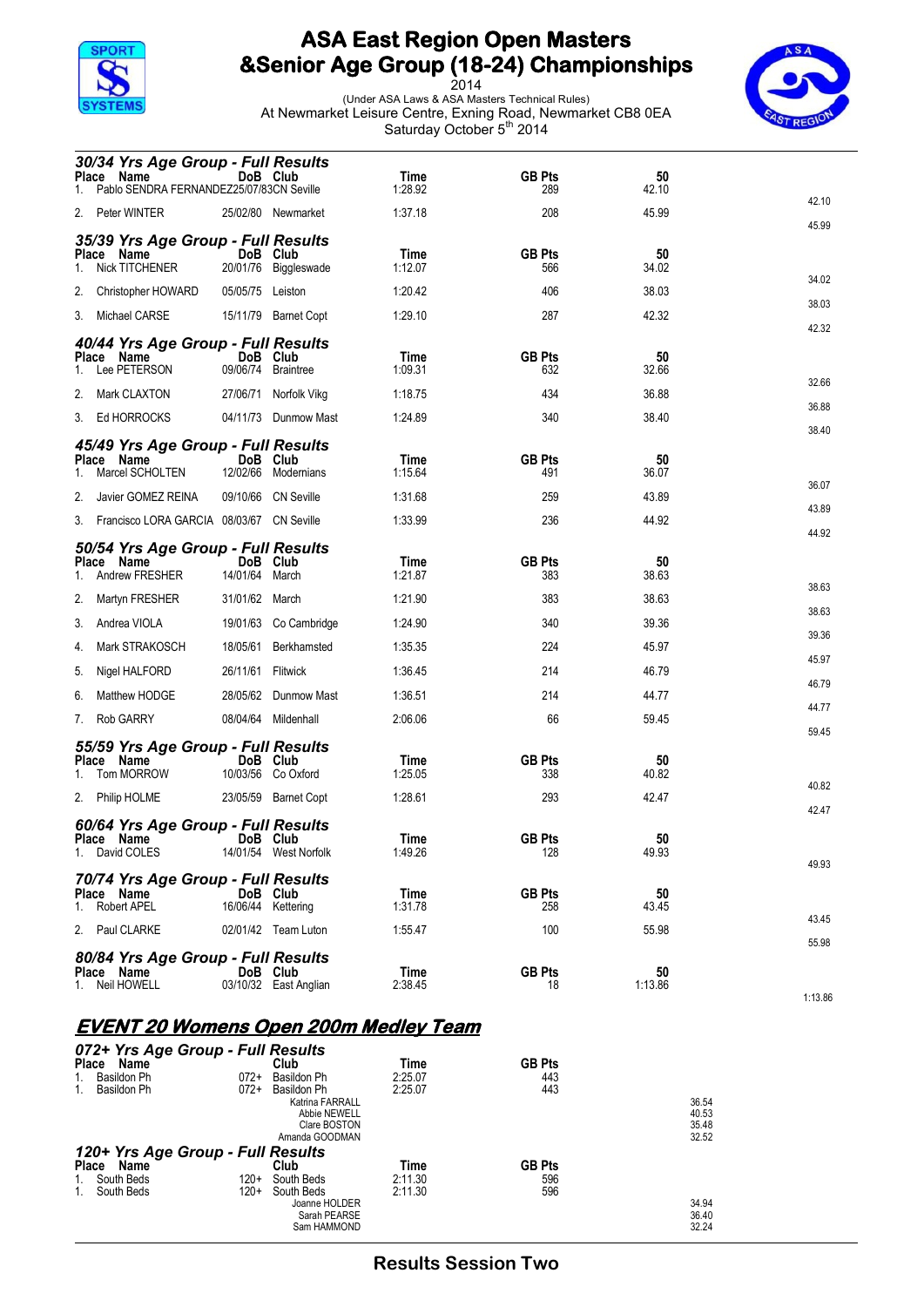

2014 (Under ASA Laws & ASA Masters Technical Rules) At Newmarket Leisure Centre, Exning Road, Newmarket CB8 0EA Saturday October 5<sup>th</sup> 2014



|                    | 30/34 Yrs Age Group - Full Results<br>Place Name<br>Pablo SENDRA FERNANDEZ25/07/83CN Seville                                              | DoB Club                         |                                            | Time<br>1:28.92                       | <b>GB Pts</b><br>289               | 50<br>42.10                   |                |
|--------------------|-------------------------------------------------------------------------------------------------------------------------------------------|----------------------------------|--------------------------------------------|---------------------------------------|------------------------------------|-------------------------------|----------------|
|                    | 2. Peter WINTER                                                                                                                           |                                  | 25/02/80 Newmarket                         | 1:37.18                               | 208                                | 45.99                         | 42.10          |
| 1.                 | 35/39 Yrs Age Group - Full Results<br>Place Name<br>Nick TITCHENER                                                                        | DoB Club<br>20/01/76             | Biggleswade                                | Time<br>1:12.07                       | <b>GB Pts</b><br>566               | 50<br>34.02                   | 45.99          |
|                    | 2. Christopher HOWARD                                                                                                                     | 05/05/75 Leiston                 |                                            | 1:20.42                               | 406                                | 38.03                         | 34.02<br>38.03 |
|                    | 3. Michael CARSE                                                                                                                          |                                  | 15/11/79 Barnet Copt                       | 1:29.10                               | 287                                | 42.32                         | 42.32          |
| 1.                 | 40/44 Yrs Age Group - Full Results<br>Place Name<br>Lee PETERSON                                                                          | DoB<br>09/06/74                  | Club<br>Braintree                          | Time<br>1:09.31                       | <b>GB Pts</b><br>632               | 50<br>32.66                   | 32.66          |
| 2.                 | Mark CLAXTON                                                                                                                              | 27/06/71                         | Norfolk Vikg                               | 1:18.75                               | 434                                | 36.88                         | 36.88          |
|                    | 3. Ed HORROCKS                                                                                                                            |                                  | 04/11/73 Dunmow Mast                       | 1:24.89                               | 340                                | 38.40                         | 38.40          |
| 1.<br>2.           | 45/49 Yrs Age Group - Full Results<br>Place Name<br>Marcel SCHOLTEN<br>Javier GOMEZ REINA<br>3. Francisco LORA GARCIA 08/03/67 CN Seville | DoB Club<br>12/02/66<br>09/10/66 | Modernians<br>CN Seville                   | Time<br>1:15.64<br>1:31.68<br>1:33.99 | <b>GB Pts</b><br>491<br>259<br>236 | 50<br>36.07<br>43.89<br>44.92 | 36.07<br>43.89 |
| <b>Place</b><br>1. | 50/54 Yrs Age Group - Full Results<br>Name<br>Andrew FRESHER                                                                              | DoB Club<br>14/01/64             | March                                      | Time<br>1:21.87                       | <b>GB Pts</b><br>383               | 50<br>38.63                   | 44.92<br>38.63 |
| 2.                 | Martyn FRESHER                                                                                                                            | 31/01/62                         | March                                      | 1:21.90                               | 383                                | 38.63                         | 38.63          |
| 3.                 | Andrea VIOLA                                                                                                                              |                                  | 19/01/63 Co Cambridge                      | 1:24.90                               | 340                                | 39.36                         | 39.36          |
| 4.                 | Mark STRAKOSCH                                                                                                                            |                                  | 18/05/61 Berkhamsted                       | 1:35.35                               | 224                                | 45.97                         | 45.97          |
| 5.<br>6.           | Nigel HALFORD<br>Matthew HODGE                                                                                                            | 26/11/61 Flitwick<br>28/05/62    | Dunmow Mast                                | 1:36.45<br>1:36.51                    | 214<br>214                         | 46.79<br>44.77                | 46.79          |
| 7.                 | Rob GARRY                                                                                                                                 |                                  | 08/04/64 Mildenhall                        | 2:06.06                               | 66                                 | 59.45                         | 44.77          |
|                    |                                                                                                                                           |                                  |                                            |                                       |                                    |                               | 59.45          |
| 1.                 | 55/59 Yrs Age Group - Full Results<br>Place Name<br>Tom MORROW<br>2. Philip HOLME                                                         | DoB Club                         | 10/03/56 Co Oxford<br>23/05/59 Barnet Copt | Time<br>1:25.05<br>1:28.61            | <b>GB Pts</b><br>338<br>293        | 50<br>40.82<br>42.47          | 40.82<br>42.47 |
|                    | 60/64 Yrs Age Group - Full Results<br>Place Name<br>1. David COLES                                                                        | DoB Club                         | 14/01/54 West Norfolk                      | Time<br>1:49.26                       | <b>GB Pts</b><br>128               | 50<br>49.93                   | 49.93          |
| 1.                 | 70/74 Yrs Age Group - Full Results<br>Place Name<br><b>Robert APEL</b>                                                                    | DoB Club<br>16/06/44 Kettering   |                                            | Time<br>1:31.78                       | <b>GB Pts</b><br>258               | 50<br>43.45                   | 43.45          |
|                    | 2. Paul CLARKE                                                                                                                            |                                  | 02/01/42 Team Luton                        | 1:55.47                               | 100                                | 55.98                         | 55.98          |
| 1.                 | 80/84 Yrs Age Group - Full Results<br>Place Name<br>Neil HOWELL                                                                           | DoB Club                         | 03/10/32 East Anglian                      | Time<br>2:38.45                       | <b>GB Pts</b><br>18                | 50<br>1:13.86                 | 1:13.86        |

#### **EVENT 20 Womens Open 200m Medley Team**

| 072+ Yrs Age Group - Full Results |        |                 |         |               |       |
|-----------------------------------|--------|-----------------|---------|---------------|-------|
| <b>Place</b><br>Name              |        | Club            | Time    | <b>GB Pts</b> |       |
| Basildon Ph                       | $072+$ | Basildon Ph     | 2:25.07 | 443           |       |
| Basildon Ph                       | $072+$ | Basildon Ph     | 2:25.07 | 443           |       |
|                                   |        | Katrina FARRALL |         |               | 36.54 |
|                                   |        | Abbie NEWELL    |         |               | 40.53 |
|                                   |        | Clare BOSTON    |         |               | 35.48 |
|                                   |        | Amanda GOODMAN  |         |               | 32.52 |
| 120+ Yrs Age Group - Full Results |        |                 |         |               |       |
| <b>Place</b><br>Name              |        | Club            | Time    | <b>GB Pts</b> |       |
| South Beds                        | 120+   | South Beds      | 2:11.30 | 596           |       |
| South Beds                        | 120+   | South Beds      | 2:11.30 | 596           |       |
|                                   |        | Joanne HOLDER   |         |               | 34.94 |
|                                   |        | Sarah PEARSE    |         |               | 36.40 |
|                                   |        | Sam HAMMOND     |         |               | 32.24 |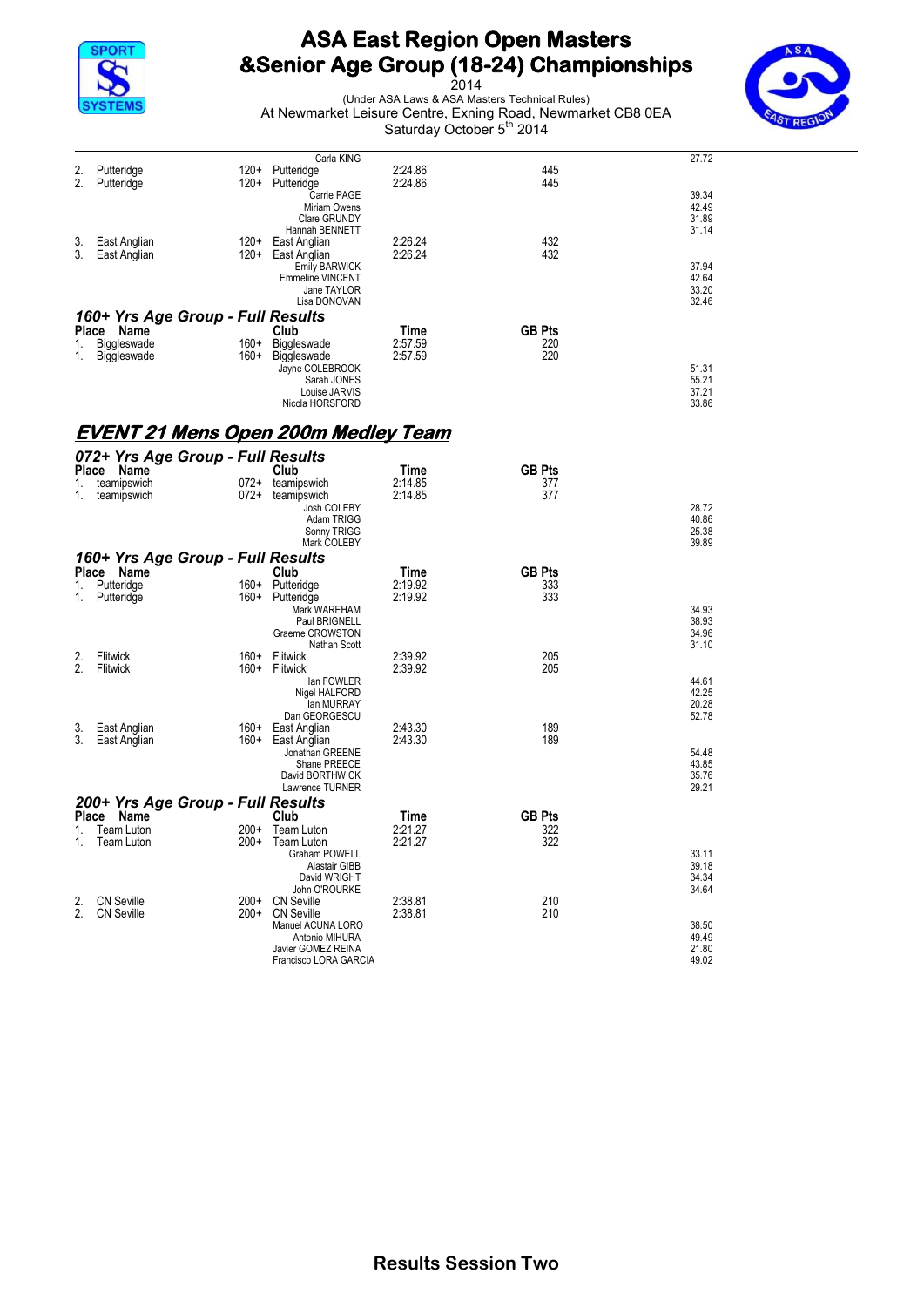



|          |                                                 |                | Carla KING                                                                     |                    |                      | 27.72                            |
|----------|-------------------------------------------------|----------------|--------------------------------------------------------------------------------|--------------------|----------------------|----------------------------------|
| 2.<br>2. | Putteridge<br>Putteridge                        |                | 120+ Putteridge<br>120+ Putteridge                                             | 2:24.86<br>2:24.86 | 445<br>445           |                                  |
|          |                                                 |                | Carrie PAGE<br>Miriam Owens<br>Clare GRUNDY                                    |                    |                      | 39.34<br>42.49<br>31.89          |
| 3.<br>3. | East Anglian<br>East Anglian                    | 120+           | Hannah BENNETT<br>120+ East Anglian<br>East Anglian                            | 2:26.24<br>2:26.24 | 432<br>432           | 31.14                            |
|          |                                                 |                | <b>Emily BARWICK</b><br><b>Emmeline VINCENT</b><br>Jane TAYLOR<br>Lisa DONOVAN |                    |                      | 37.94<br>42.64<br>33.20<br>32.46 |
|          | 160+ Yrs Age Group - Full Results               |                |                                                                                | Time               | <b>GB Pts</b>        |                                  |
| 1.<br>1. | Place Name<br>Biggleswade<br>Biggleswade        | $160+$<br>160+ | Club<br>Biggleswade<br>Biggleswade<br>Jayne COLEBROOK<br>Sarah JONES           | 2:57.59<br>2:57.59 | 220<br>220           | 51.31<br>55.21                   |
|          |                                                 |                | Louise JARVIS<br>Nicola HORSFORD                                               |                    |                      | 37.21<br>33.86                   |
|          | <u>EVENT 21 Mens Open 200m Medley Team</u>      |                |                                                                                |                    |                      |                                  |
|          | 072+ Yrs Age Group - Full Results<br>Place Name |                | Club                                                                           | Time               | <b>GB Pts</b>        |                                  |
| 1.       | teamipswich                                     | 072+           | teamipswich                                                                    | 2:14.85            | 377                  |                                  |
| 1.       | teamipswich                                     | 072+           | teamipswich<br>Josh COLEBY<br>Adam TRIGG<br>Sonny TRIGG                        | 2:14.85            | 377                  | 28.72<br>40.86<br>25.38          |
|          | 160+ Yrs Age Group - Full Results               |                | Mark COLEBY                                                                    |                    |                      | 39.89                            |
| 1.       | Place Name<br>Putteridge                        | 160+           | Club<br>Putteridge                                                             | Time<br>2:19.92    | <b>GB Pts</b><br>333 |                                  |
| 1.       | Putteridge                                      | 160+           | Putteridge<br>Mark WAREHAM                                                     | 2:19.92            | 333                  | 34.93                            |
|          |                                                 |                | Paul BRIGNELL<br>Graeme CROWSTON<br>Nathan Scott                               |                    |                      | 38.93<br>34.96<br>31.10          |
| 2.<br>2. | Flitwick<br>Flitwick                            | 160+<br>160+   | Flitwick<br>Flitwick                                                           | 2:39.92<br>2:39.92 | 205<br>205           |                                  |
|          |                                                 |                | lan FOWLER<br>Nigel HALFORD                                                    |                    |                      | 44.61<br>42.25                   |
|          |                                                 |                | lan MURRAY<br>Dan GEORGESCU                                                    |                    |                      | 20.28<br>52.78                   |
| 3.<br>3. | East Anglian<br>East Anglian                    | 160+<br>160+   | East Anglian<br>East Anglian                                                   | 2:43.30<br>2:43.30 | 189<br>189           |                                  |
|          |                                                 |                | Jonathan GREENE<br>Shane PREECE<br>David BORTHWICK<br>Lawrence TURNER          |                    |                      | 54.48<br>43.85<br>35.76<br>29.21 |
|          | 200+ Yrs Age Group - Full Results               |                |                                                                                |                    |                      |                                  |
| 1.       | Place Name<br>Team Luton                        | 200+           | Club<br>Team Luton                                                             | Time<br>2:21.27    | <b>GB Pts</b><br>322 |                                  |
| 1.       | Team Luton                                      | 200+           | <b>Team Luton</b><br>Graham POWELL                                             | 2:21.27            | 322                  | 33.11                            |
|          |                                                 |                | Alastair GIBB<br>David WRIGHT                                                  |                    |                      | 39.18<br>34.34                   |
| 2.       | <b>CN Seville</b>                               | $200+$         | John O'ROURKE<br><b>CN Seville</b>                                             | 2:38.81            | 210                  | 34.64                            |
| 2.       | <b>CN Seville</b>                               | $200+$         | <b>CN Seville</b><br>Manuel ACUNA LORO                                         | 2:38.81            | 210                  | 38.50                            |
|          |                                                 |                | Antonio MIHURA<br>Javier GOMEZ REINA<br>Francisco LORA GARCIA                  |                    |                      | 49.49<br>21.80<br>49.02          |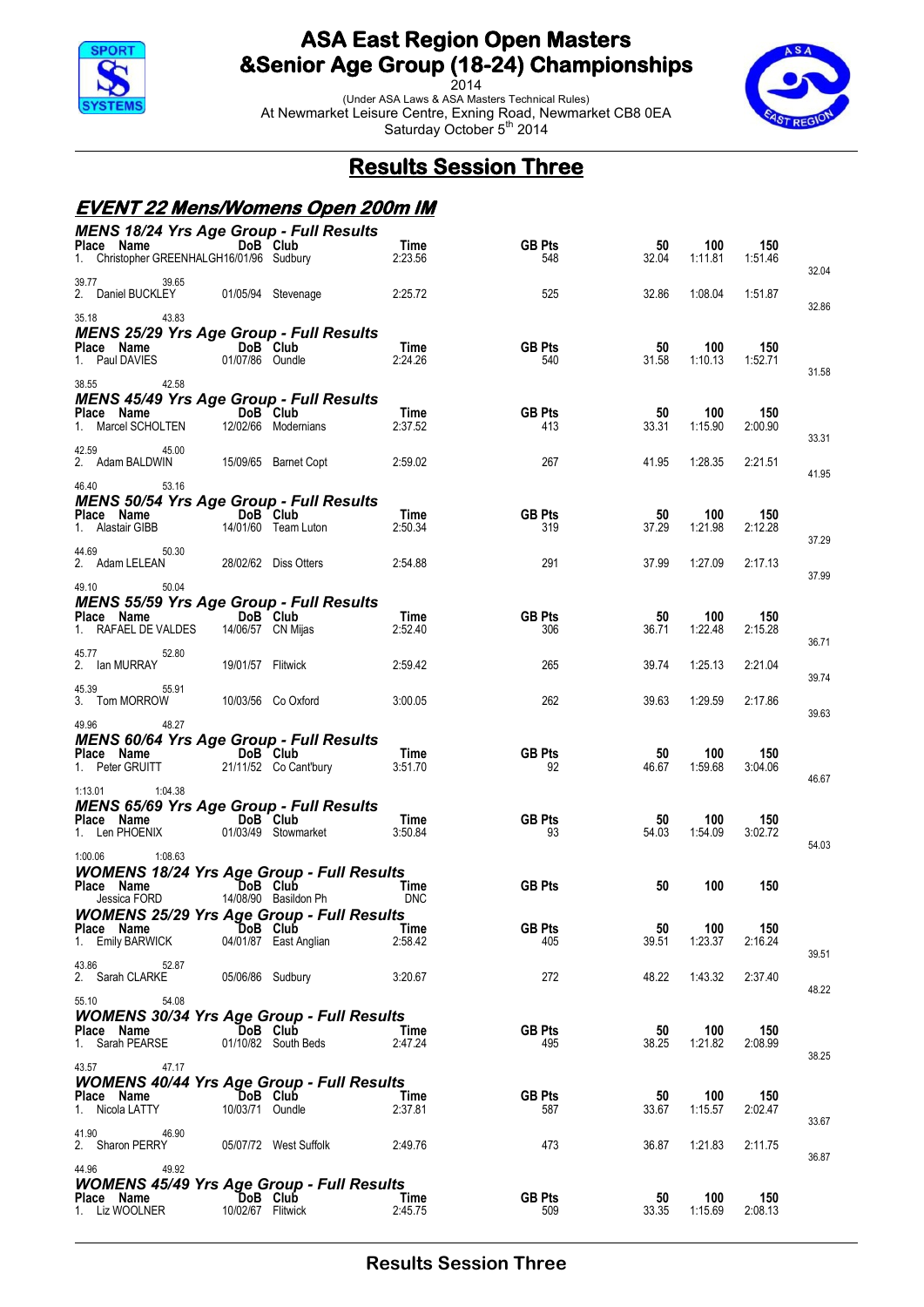

2014 (Under ASA Laws & ASA Masters Technical Rules) At Newmarket Leisure Centre, Exning Road, Newmarket CB8 0EA Saturday October 5<sup>th</sup> 2014



## **Results Session Three**

#### **EVENT 22 Mens/Womens Open 200m IM**

|                                                                                  |                               | <b>MENS 18/24 Yrs Age Group - Full Results</b> |                 |                      |             |                |                |       |
|----------------------------------------------------------------------------------|-------------------------------|------------------------------------------------|-----------------|----------------------|-------------|----------------|----------------|-------|
| Place Name DoB Club<br>1. Christopher GREENHALGH16/01/96 Sudbury                 |                               |                                                | Time<br>2:23.56 | <b>GB Pts</b><br>548 | 50<br>32.04 | 100<br>1:11.81 | 150<br>1:51.46 | 32.04 |
| 39.65<br>39.77<br>2. Daniel BUCKLEY 01/05/94 Stevenage                           |                               |                                                | 2:25.72         | 525                  | 32.86       | 1:08.04        | 1:51.87        | 32.86 |
| 43.83<br>35.18<br><b>MENS 25/29 Yrs Age Group - Full Results</b>                 |                               |                                                |                 |                      |             |                |                |       |
| <b>Place Name</b><br>1. Paul DAVIES 01/07/86 Oundle                              | 01/07/86 Oundle               |                                                | Time<br>2:24.26 | <b>GB Pts</b><br>540 | 50<br>31.58 | 100<br>1:10.13 | 150<br>1:52.71 |       |
| 38.55<br>42.58<br><b>MENS 45/49 Yrs Age Group - Full Results</b>                 |                               |                                                |                 |                      |             |                |                | 31.58 |
| Place Name DoB Club<br>1. Marcel SCHOLTEN                                        |                               | 12/02/66 Modernians                            | Time<br>2:37.52 | <b>GB Pts</b><br>413 | 50<br>33.31 | 100<br>1:15.90 | 150<br>2:00.90 |       |
| 42.59<br>45.00<br>2. Adam BALDWIN 15/09/65 Barnet Copt                           |                               |                                                | 2:59.02         | 267                  | 41.95       | 1:28.35        | 2:21.51        | 33.31 |
| 46.40<br>53.16                                                                   |                               |                                                |                 |                      |             |                |                | 41.95 |
| <b>MENS 50/54 Yrs Age Group - Full Results</b>                                   |                               |                                                |                 |                      |             |                |                |       |
| Place Name<br>1. Alastair GIBB                                                   | DoB Club                      | 14/01/60 Team Luton                            | Time<br>2:50.34 | <b>GB Pts</b><br>319 | 50<br>37.29 | 100<br>1:21.98 | 150<br>2:12.28 |       |
| 50.30<br>44.69<br>2. Adam LELEAN                                                 |                               |                                                | 2:54.88         | 291                  | 37.99       | 1:27.09        | 2:17.13        | 37.29 |
| 49.10<br>50.04                                                                   |                               |                                                |                 |                      |             |                |                | 37.99 |
| <b>MENS 55/59 Yrs Age Group - Full Results</b>                                   |                               |                                                |                 |                      |             |                |                |       |
| Place Name DoB Club<br>1. RAFAEL DE VALDES                                       |                               | 14/06/57 CN Mijas                              | Time<br>2:52.40 | <b>GB Pts</b><br>306 | 50<br>36.71 | 100<br>1:22.48 | 150<br>2:15.28 | 36.71 |
| 52.80<br>45.77<br>2. Ian MURRAY                                                  | 19/01/57 Flitwick             |                                                | 2:59.42         | 265                  | 39.74       | 1:25.13        | 2:21.04        |       |
| 45.39<br>55.91<br>3. Tom MORROW                                                  |                               | 10/03/56 Co Oxford                             | 3:00.05         | 262                  | 39.63       | 1:29.59        | 2:17.86        | 39.74 |
| 49.96<br>48.27                                                                   |                               |                                                |                 |                      |             |                |                | 39.63 |
| <b>MENS 60/64 Yrs Age Group - Full Results</b>                                   |                               |                                                |                 |                      |             |                |                |       |
| Place Name DoB Club                                                              |                               |                                                | Time            | <b>GB Pts</b>        | 50          | 100            | 150            |       |
|                                                                                  |                               |                                                |                 |                      |             |                |                |       |
| 1. Peter GRUITT                                                                  |                               | 21/11/52 Co Cant'bury                          | 3:51.70         | 92                   | 46.67       | 1:59.68        | 3:04.06        | 46.67 |
| 1:04.38<br>1:13.01                                                               |                               |                                                |                 |                      |             |                |                |       |
| MENS 65/69 Yrs Age Group - Full Results                                          |                               |                                                |                 |                      |             |                |                |       |
| Place Name DoB Club<br>1. Len PHOENIX                                            |                               | 01/03/49 Stowmarket                            | Time<br>3:50.84 | <b>GB Pts</b><br>93  | 50<br>54.03 | 100<br>1:54.09 | 150<br>3:02.72 |       |
| 1:08.63<br>1:00.06                                                               |                               |                                                |                 |                      |             |                |                | 54.03 |
| <b>WOMENS 18/24 Yrs Age Group - Full Results</b>                                 |                               |                                                |                 |                      |             |                |                |       |
| Place Name                                                                       | <b>DoB</b> Club               |                                                | Time            | <b>GB Pts</b>        | 50          | 100            | 150            |       |
| Jessica FORD                                                                     |                               | 14/08/90 Basildon Ph                           | <b>DNC</b>      |                      |             |                |                |       |
| <b>WOMENS 25/29 Yrs Age Group - Full Results</b><br>Place Name                   |                               | DoB Club                                       | Time            | <b>GB Pts</b>        | $50\,$      | 100            | 150            |       |
| 1. Emily BARWICK                                                                 |                               | 04/01/87 East Anglian                          | 2:58.42         | 405                  | 39.51       | 1:23.37        | 2:16.24        |       |
| 43.86<br>52.87                                                                   |                               |                                                |                 |                      |             |                |                | 39.51 |
| 2. Sarah CLARKE                                                                  | 05/06/86 Sudbury              |                                                | 3:20.67         | 272                  | 48.22       | 1:43.32        | 2:37.40        | 48.22 |
| 55.10<br>54.08                                                                   |                               |                                                |                 |                      |             |                |                |       |
| <b>WOMENS 30/34 Yrs Age Group - Full Results</b>                                 |                               |                                                |                 |                      |             |                |                |       |
| Place Name<br>1. Sarah PEARSE                                                    | DoB Club                      | 01/10/82 South Beds                            | Time<br>2:47.24 | <b>GB Pts</b><br>495 | 50<br>38.25 | 100<br>1:21.82 | 150<br>2:08.99 |       |
| 43.57<br>47.17                                                                   |                               |                                                |                 |                      |             |                |                | 38.25 |
| <b>WOMENS 40/44 Yrs Age Group - Full Results</b>                                 |                               |                                                |                 |                      |             |                |                |       |
| Place Name                                                                       | DoB Club                      |                                                | Time            | <b>GB Pts</b>        | 50          | 100            | 150            |       |
| 1. Nicola LATTY                                                                  | 10/03/71 Oundle               |                                                | 2:37.81         | 587                  | 33.67       | 1:15.57        | 2:02.47        | 33.67 |
| 41.90<br>46.90                                                                   |                               |                                                |                 |                      |             |                |                |       |
| 2. Sharon PERRY                                                                  |                               | 05/07/72 West Suffolk                          | 2:49.76         | 473                  | 36.87       | 1:21.83        | 2:11.75        | 36.87 |
| 44.96<br>49.92                                                                   |                               |                                                |                 |                      |             |                |                |       |
| <b>WOMENS 45/49 Yrs Age Group - Full Results</b><br>Place Name<br>1. Liz WOOLNER | DoB Club<br>10/02/67 Flitwick |                                                | Time<br>2:45.75 | <b>GB Pts</b><br>509 | 50<br>33.35 | 100            | 150<br>2:08.13 |       |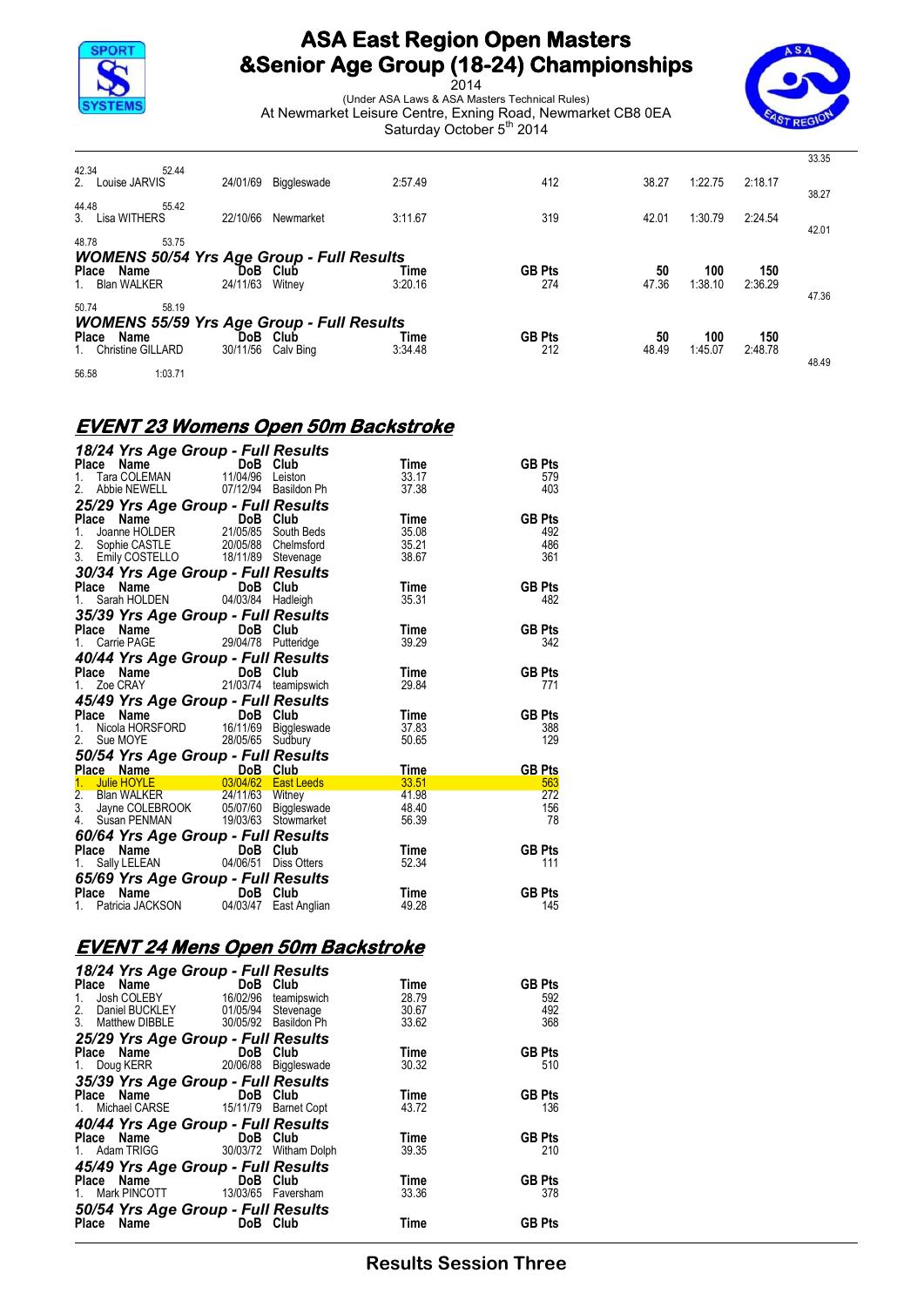

2014 (Under ASA Laws & ASA Masters Technical Rules) At Newmarket Leisure Centre, Exning Road, Newmarket CB8 0EA Saturday October 5<sup>th</sup> 2014



|                                                  |          |                       |                 |                      |             |                |                | 33.35 |
|--------------------------------------------------|----------|-----------------------|-----------------|----------------------|-------------|----------------|----------------|-------|
| 42.34<br>52.44<br>2. Louise JARVIS               | 24/01/69 | Biggleswade           | 2:57.49         | 412                  | 38.27       | 1:22.75        | 2:18.17        | 38.27 |
| 44.48<br>55.42<br>3. Lisa WITHERS                | 22/10/66 | Newmarket             | 3:11.67         | 319                  | 42.01       | 1:30.79        | 2:24.54        |       |
| 48.78<br>53.75                                   |          |                       |                 |                      |             |                |                | 42.01 |
| <b>WOMENS 50/54 Yrs Age Group - Full Results</b> |          |                       |                 |                      |             |                |                |       |
| Place Name<br>1. Blan WALKER                     | 24/11/63 | DoB Club<br>Witnev    | Time<br>3:20.16 | <b>GB Pts</b><br>274 | 50<br>47.36 | 100<br>1:38.10 | 150<br>2:36.29 | 47.36 |
| 50.74<br>58.19                                   |          |                       |                 |                      |             |                |                |       |
| <b>WOMENS 55/59 Yrs Age Group - Full Results</b> |          |                       |                 |                      |             |                |                |       |
| Place Name<br>1. Christine GILLARD               | 30/11/56 | DoB Club<br>Calv Bing | Time<br>3:34.48 | <b>GB Pts</b><br>212 | 50<br>48.49 | 100<br>1:45.07 | 150<br>2:48.78 |       |
| 56.58<br>1:03.71                                 |          |                       |                 |                      |             |                |                | 48.49 |

#### **EVENT 23 Womens Open 50m Backstroke**

| 18/24 Yrs Age Group - Full Results                                                                                                                                                                                                   |  |       |               |
|--------------------------------------------------------------------------------------------------------------------------------------------------------------------------------------------------------------------------------------|--|-------|---------------|
| Place Name<br>1. Tara COLEMAN 11/04/96 Leiston                                                                                                                                                                                       |  | Time  | <b>GB Pts</b> |
|                                                                                                                                                                                                                                      |  | 33.17 | 579           |
| 2. Abbie NEWELL 07/12/94 Basildon Ph                                                                                                                                                                                                 |  | 37.38 | 403           |
| 25/29 Yrs Age Group - Full Results                                                                                                                                                                                                   |  |       |               |
|                                                                                                                                                                                                                                      |  | Time  | <b>GB Pts</b> |
|                                                                                                                                                                                                                                      |  | 35.08 | 492           |
|                                                                                                                                                                                                                                      |  | 35.21 | 486           |
| Place Name<br>1. Joanne HOLDER<br>1. Joanne HOLDER<br>2. Sophie CASTLE<br>3. Emily COSTELLO<br>18/11/89 Stevenage                                                                                                                    |  | 38.67 | 361           |
| 30/34 Yrs Age Group - Full Results                                                                                                                                                                                                   |  |       |               |
| Place Name<br>1. Sarah HOLDEN 04/03/84 Hadleigh                                                                                                                                                                                      |  | Time  | <b>GB Pts</b> |
|                                                                                                                                                                                                                                      |  | 35.31 | 482           |
| 35/39 Yrs Age Group - Full Results                                                                                                                                                                                                   |  |       |               |
| <b>Place Name CODE Club</b><br>1. Carrie PAGE 29/04/78 Putteridge                                                                                                                                                                    |  | Time  | <b>GB Pts</b> |
|                                                                                                                                                                                                                                      |  | 39.29 | 342           |
| 40/44 Yrs Age Group - Full Results                                                                                                                                                                                                   |  |       |               |
|                                                                                                                                                                                                                                      |  | Time  | <b>GB Pts</b> |
| <b>Place Name Contains Communism Communism Communism Communism Communism Communism Communism Communism Communism Communism Communism Communism Communism Communism Communism Communism Communism Communism Communism Communism C</b> |  | 29.84 | 771           |
|                                                                                                                                                                                                                                      |  |       |               |
| <b>45/49 Yrs Age Group - Full Results<br/>Place Name DoB Club<br/>1. Nicola HORSFORD 16/11/69 Biggleswade<br/>2. Sue MOYE 28/05/65 Sudbury</b>                                                                                       |  | Time  | <b>GB Pts</b> |
|                                                                                                                                                                                                                                      |  | 37.83 | 388           |
|                                                                                                                                                                                                                                      |  | 50.65 | 129           |
|                                                                                                                                                                                                                                      |  |       |               |
| 2. Sue MOTE<br>50/54 Yrs Age Group - Full Results                                                                                                                                                                                    |  |       | <b>GB Pts</b> |
| Place Name DoB Club<br>1. Julie HOYLE D3/04/62 East Leeds 33.51<br>2. Blan WALKER 24/11/63 Witney 41.98<br>3. Jayne COLEBROOK 05/07/60 Biggleswade 48.40<br>4. Susan PENMAN 19/03/63 Stowmarket 56.39                                |  |       | 563           |
|                                                                                                                                                                                                                                      |  |       | 272           |
|                                                                                                                                                                                                                                      |  |       | 156           |
|                                                                                                                                                                                                                                      |  |       | 78            |
| <b>60/64 Yrs Age Group - Full Results<br/>Place Name DoB Club<br/>1. Sally LELEAN 04/06/51 Diss Otters</b>                                                                                                                           |  |       |               |
|                                                                                                                                                                                                                                      |  | Time  | <b>GB Pts</b> |
|                                                                                                                                                                                                                                      |  | 52.34 | 111           |
|                                                                                                                                                                                                                                      |  |       |               |
| 65/69 Yrs Age Group - Full Results<br>Place Name DoB Club                                                                                                                                                                            |  | Time  | <b>GB Pts</b> |
| 1. Patricia JACKSON 04/03/47 East Anglian                                                                                                                                                                                            |  | 49.28 | 145           |
|                                                                                                                                                                                                                                      |  |       |               |

## **EVENT 24 Mens Open 50m Backstroke**

| 18/24 Yrs Age Group - Full Results    |                                 |                      |       |               |
|---------------------------------------|---------------------------------|----------------------|-------|---------------|
| Place<br>Name                         | DoB Club                        |                      | Time  | <b>GB Pts</b> |
| Josh COLEBY<br>1.                     | 16/02/96                        | teamipswich          | 28.79 | 592           |
| Daniel BUCKLEY<br>2.                  | 01/05/94                        | Stevenage            | 30.67 | 492           |
| 3. Matthew DIBBLE                     |                                 | 30/05/92 Basildon Ph | 33.62 | 368           |
| 25/29 Yrs Age Group - Full Results    |                                 |                      |       |               |
| Place Name                            | <u>na dia 1988. Ila</u>         | Club                 | Time  | <b>GB Pts</b> |
| 1. Doug KERR                          |                                 | 20/06/88 Biggleswade | 30.32 | 510           |
| 35/39 Yrs Age Group - Full Results    |                                 |                      |       |               |
| Place Name                            | DoB                             | Club                 | Time  | <b>GB Pts</b> |
| 1. Michael CARSE 15/11/79 Barnet Copt |                                 |                      | 43.72 | 136           |
| 40/44 Yrs Age Group - Full Results    |                                 |                      |       |               |
| Place Name                            | DoB                             | Club                 | Time  | <b>GB Pts</b> |
| 1. Adam TRIGG 30/03/72 Witham Dolph   |                                 |                      | 39.35 | 210           |
| 45/49 Yrs Age Group - Full Results    |                                 |                      |       |               |
| Place Name                            | DoB                             | Club                 | Time  | <b>GB Pts</b> |
| 1.                                    | Mark PINCOTT 13/03/65 Faversham |                      | 33.36 | 378           |
| 50/54 Yrs Age Group - Full Results    |                                 |                      |       |               |
| Name<br>Place                         | <b>DoB</b>                      | Club                 | Time  | <b>GB Pts</b> |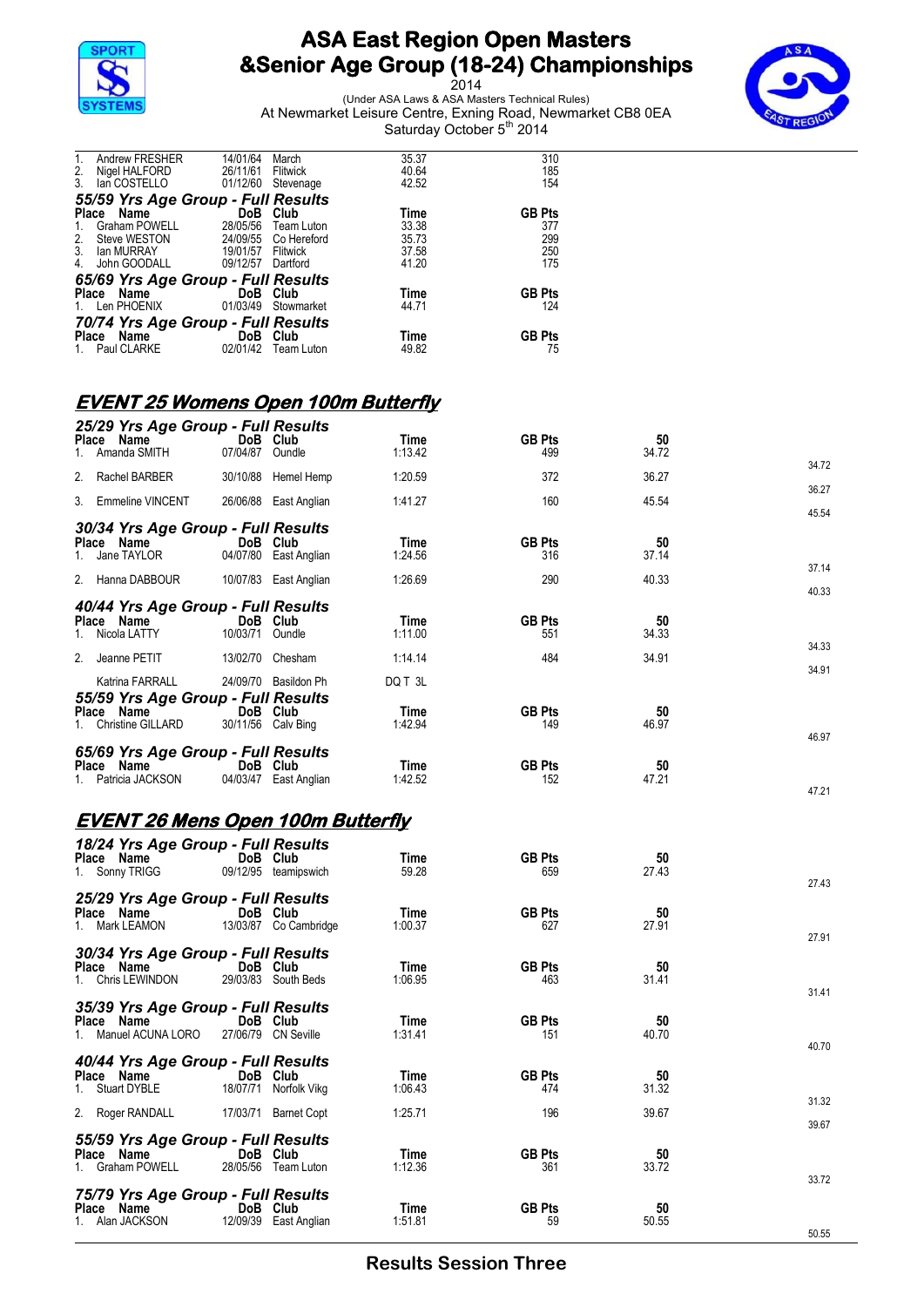

2014 (Under ASA Laws & ASA Masters Technical Rules) At Newmarket Leisure Centre, Exning Road, Newmarket CB8 0EA Saturday October 5<sup>th</sup> 2014



| $\mathbf{1}$ . | Andrew FRESHER                     | 14/01/64   | March                | 35.37 | 310           |  |  |  |
|----------------|------------------------------------|------------|----------------------|-------|---------------|--|--|--|
|                | Nigel HALFORD                      | 26/11/61   | Flitwick             | 40.64 | 185           |  |  |  |
| $\frac{2}{3}$  | lan COSTELLO                       | 01/12/60   | Stevenage            | 42.52 | 154           |  |  |  |
|                | 55/59 Yrs Age Group - Full Results |            |                      |       |               |  |  |  |
|                | Place Name                         | <b>DoB</b> | Club                 | Time  | <b>GB Pts</b> |  |  |  |
| 1.             | Graham POWELL                      | 28/05/56   | Team Luton           | 33.38 | 377           |  |  |  |
| 2.             | Steve WESTON                       |            | 24/09/55 Co Hereford | 35.73 | 299           |  |  |  |
| 3.             | lan MURRAY                         | 19/01/57   | Flitwick             | 37.58 | 250           |  |  |  |
| 4.             | John GOODALL                       | 09/12/57   | Dartford             | 41.20 | 175           |  |  |  |
|                | 65/69 Yrs Age Group - Full Results |            |                      |       |               |  |  |  |
|                | Place Name                         | DoB Club   |                      | Time  | <b>GB Pts</b> |  |  |  |
|                | 1. Len PHOENIX                     |            | 01/03/49 Stowmarket  | 44.71 | 124           |  |  |  |
|                | 70/74 Yrs Age Group - Full Results |            |                      |       |               |  |  |  |
|                | Place Name                         | DoB Club   |                      | Time  | <b>GB Pts</b> |  |  |  |
|                | 1. Paul CLARKE                     | 02/01/42   | Team Luton           | 49.82 | 75            |  |  |  |

### **EVENT 25 Womens Open 100m Butterfly**

| Place Name       | 25/29 Yrs Age Group - Full Results<br>1. Amanda SMITH                         | DoB Club<br>07/04/87 Oundle    |                       | Time<br>1:13.42            | <b>GB Pts</b><br>499 | 50<br>34.72 |                |
|------------------|-------------------------------------------------------------------------------|--------------------------------|-----------------------|----------------------------|----------------------|-------------|----------------|
|                  | 2. Rachel BARBER                                                              |                                | 30/10/88 Hemel Hemp   | 1:20.59                    | 372                  | 36.27       | 34.72          |
|                  | 3. Emmeline VINCENT                                                           |                                | 26/06/88 East Anglian | 1:41.27                    | 160                  | 45.54       | 36.27          |
| Place Name<br>1. | 30/34 Yrs Age Group - Full Results<br>Jane TAYLOR                             | DoB Club                       | 04/07/80 East Anglian | Time<br>1:24.56            | <b>GB Pts</b><br>316 | 50<br>37.14 | 45.54<br>37.14 |
|                  | 2. Hanna DABBOUR                                                              |                                | 10/07/83 East Anglian | 1:26.69                    | 290                  | 40.33       | 40.33          |
| Place Name       | 40/44 Yrs Age Group - Full Results<br>1. Nicola LATTY                         | DoB Club<br>10/03/71 Oundle    |                       | Time<br>1:11.00            | <b>GB Pts</b><br>551 | 50<br>34.33 | 34.33          |
|                  | 2. Jeanne PETIT                                                               | 13/02/70 Chesham               |                       | 1:14.14                    | 484                  | 34.91       | 34.91          |
| Place Name       | Katrina FARRALL<br>55/59 Yrs Age Group - Full Results<br>1. Christine GILLARD | DoB Club<br>30/11/56 Calv Bing | 24/09/70 Basildon Ph  | DQ T 3L<br>Time<br>1:42.94 | <b>GB Pts</b><br>149 | 50<br>46.97 | 46.97          |
| Place Name       | 65/69 Yrs Age Group - Full Results<br>1. Patricia JACKSON                     | DoB Club                       | 04/03/47 East Anglian | Time<br>1:42.52            | <b>GB Pts</b><br>152 | 50<br>47.21 | 47.21          |
|                  | <u>EVENT 26 Mens Open 100m Butterfly</u>                                      |                                |                       |                            |                      |             |                |
| Place Name       | 18/24 Yrs Age Group - Full Results<br>1. Sonny TRIGG                          | DoB Club                       | 09/12/95 teamipswich  | Time<br>59.28              | <b>GB Pts</b><br>659 | 50<br>27.43 | 27.43          |
| Place Name       | 25/29 Yrs Age Group - Full Results<br>1. Mark LEAMON                          | DoB Club                       | 13/03/87 Co Cambridge | Time<br>1:00.37            | <b>GB Pts</b><br>627 | 50<br>27.91 | 27.91          |
| Place Name       | 30/34 Yrs Age Group - Full Results<br>1. Chris LEWINDON                       | DoB Club                       | 29/03/83 South Beds   | Time<br>1:06.95            | <b>GB Pts</b><br>463 | 50<br>31.41 | 31.41          |
| Place Name       | 35/39 Yrs Age Group - Full Results<br>1. Manuel ACUNA LORO                    | DoB Club                       | 27/06/79 CN Seville   | Time<br>1:31.41            | <b>GB Pts</b><br>151 | 50<br>40.70 | 40.70          |
| Place Name       | 40/44 Yrs Age Group - Full Results<br>1. Stuart DYBLE                         | DoB Club                       | 18/07/71 Norfolk Vikg | Time<br>1:06.43            | <b>GB Pts</b><br>474 | 50<br>31.32 | 31.32          |
|                  | 2. Roger RANDALL                                                              |                                | 17/03/71 Barnet Copt  | 1:25.71                    | 196                  | 39.67       | 39.67          |
| Place Name       | 55/59 Yrs Age Group - Full Results<br>1. Graham POWELL                        | DoB Club                       | 28/05/56 Team Luton   | Time<br>1:12.36            | <b>GB Pts</b><br>361 | 50<br>33.72 | 33.72          |
| Place Name       | 75/79 Yrs Age Group - Full Results<br>1. Alan JACKSON                         | DoB Club                       | 12/09/39 East Anglian | Time<br>1:51.81            | <b>GB Pts</b><br>59  | 50<br>50.55 | 50.55          |

**Results Session Three**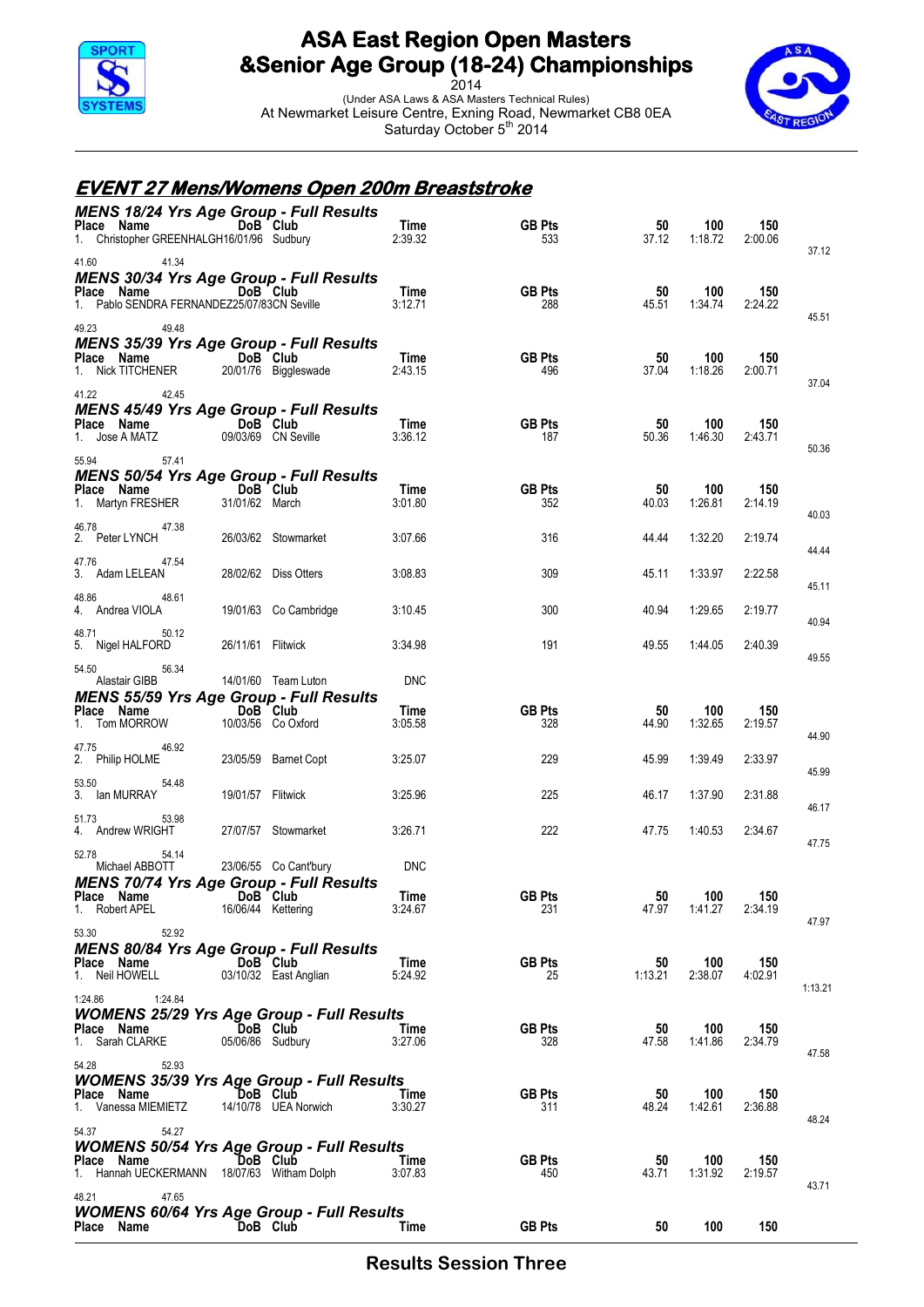

2014 (Under ASA Laws & ASA Masters Technical Rules) At Newmarket Leisure Centre, Exning Road, Newmarket CB8 0EA Saturday October 5<sup>th</sup> 2014



#### **EVENT 27 Mens/Womens Open 200m Breaststroke**

| <b>MENS 18/24 Yrs Age Group - Full Results</b><br>Place Name DoB Club<br>1. Christopher GREENHALGH16/01/96 Sudbury              |                    |                                   | Time<br>2:39.32    | <b>GB Pts</b><br>533 | 50<br>37.12   | 100<br>1:18.72 | 150<br>2:00.06 | 37.12   |
|---------------------------------------------------------------------------------------------------------------------------------|--------------------|-----------------------------------|--------------------|----------------------|---------------|----------------|----------------|---------|
| 41.60 41.34<br><b>MENS 30/34 Yrs Age Group - Full Results</b><br>Place Name<br>1. Pablo SENDRA FERNANDEZ25/07/83CN Seville      |                    | DoB Club                          | Time<br>3:12.71    | <b>GB Pts</b><br>288 | 50<br>45.51   | 100<br>1:34.74 | 150<br>2:24.22 |         |
| 49.23<br>49.48<br><b>MENS 35/39 Yrs Age Group - Full Results</b><br><b>Place Name</b><br>1. Nick TITCHENER 20/01/76 Biggleswade |                    |                                   | Time<br>2:43.15    | <b>GB Pts</b><br>496 | 50<br>37.04   | 100<br>1:18.26 | 150<br>2:00.71 | 45.51   |
| 41.22<br>42.45<br><b>MENS 45/49 Yrs Age Group - Full Results</b><br>Place Name DoB Club<br>1. Jose A MATZ                       |                    | 09/03/69 CN Seville               | Time<br>3:36.12    | <b>GB Pts</b><br>187 | 50<br>50.36   | 100<br>1:46.30 | 150<br>2:43.71 | 37.04   |
| 55.94<br>57.41<br><b>MENS 50/54 Yrs Age Group - Full Results</b><br>Place Name<br>1. Martyn FRESHER 31/01/62 March              | 31/01/62 March     |                                   | Time<br>3:01.80    | <b>GB Pts</b><br>352 | 50<br>40.03   | 100<br>1:26.81 | 150<br>2:14.19 | 50.36   |
| 46.78<br>47.38<br>2. Peter LYNCH                                                                                                |                    | 26/03/62 Stowmarket               | 3:07.66            | 316                  | 44.44         | 1:32.20        | 2:19.74        | 40.03   |
| 47.54<br>47.76<br>3. Adam LELEAN                                                                                                |                    | 28/02/62 Diss Otters              | 3:08.83            | 309                  | 45.11         | 1:33.97        | 2:22.58        | 44.44   |
| 48.86<br>48.61<br>4. Andrea VIOLA                                                                                               |                    | 19/01/63 Co Cambridge             | 3:10.45            | 300                  | 40.94         | 1:29.65        | 2:19.77        | 45.11   |
| 50.12<br>48.71<br>5. Nigel HALFORD                                                                                              | 26/11/61 Flitwick  |                                   | 3:34.98            | 191                  | 49.55         | 1:44.05        | 2:40.39        | 40.94   |
| 54.50<br>56.34<br>Alastair GIBB                                                                                                 |                    | 14/01/60 Team Luton               | <b>DNC</b>         |                      |               |                |                | 49.55   |
| <b>MENS 55/59 Yrs Age Group - Full Results</b><br>Place Name<br>DoB Club<br>1. Tom MORROW                                       |                    | 10/03/56 Co Oxford                | Time<br>3:05.58    | <b>GB Pts</b><br>328 | 50<br>44.90   | 100<br>1:32.65 | 150<br>2:19.57 | 44.90   |
| 46.92<br>47.75<br>2. Philip HOLME                                                                                               |                    | 23/05/59 Barnet Copt              | 3:25.07            | 229                  | 45.99         | 1:39.49        | 2:33.97        | 45.99   |
| 53.50<br>54.48<br>3. Ian MURRAY                                                                                                 | 19/01/57 Flitwick  |                                   | 3:25.96            | 225                  | 46.17         | 1:37.90        | 2:31.88        | 46.17   |
| 53.98<br>51.73<br>4. Andrew WRIGHT                                                                                              |                    | 27/07/57 Stowmarket               | 3:26.71            | 222                  | 47.75         | 1:40.53        | 2:34.67        | 47.75   |
| 52.78<br>54.14<br>Michael ABBOTT<br>MENS 70/74 Yrs Age Group - Full Results                                                     |                    | 23/06/55 Co Cant'bury             | <b>DNC</b><br>Time |                      |               | 100            | 150            |         |
| Place Name DoB Club<br>1. Robert APEL                                                                                           | 16/06/44 Kettering |                                   | 3:24.67            | <b>GB Pts</b><br>231 | 50<br>47.97   | 1:41.27        | 2:34.19        | 47.97   |
| 53.30<br>52.92<br><b>MENS 80/84 Yrs Age Group - Full Results</b><br>Place Name<br>1. Neil HOWELL                                |                    | DoB Club<br>03/10/32 East Anglian | Time<br>5:24.92    | <b>GB Pts</b><br>25  | 50<br>1:13.21 | 100<br>2:38.07 | 150<br>4:02.91 | 1:13.21 |
| 1:24.84<br>1:24.86<br><b>WOMENS 25/29 Yrs Age Group - Full Results</b><br>Place Name<br>1. Sarah CLARKE                         | 05/06/86 Sudbury   | DoB Club                          | Time<br>3:27.06    | <b>GB Pts</b><br>328 | 50<br>47.58   | 100<br>1:41.86 | 150<br>2:34.79 | 47.58   |
| 52.93<br>54.28<br><b>WOMENS 35/39 Yrs Age Group - Full Results</b><br>Place Name<br>1. Vanessa MIEMIETZ                         |                    | DoB Club<br>14/10/78 UEA Norwich  | Time<br>3:30.27    | <b>GB Pts</b><br>311 | 50<br>48.24   | 100<br>1:42.61 | 150<br>2:36.88 | 48.24   |
| 54.37<br>54.27<br><b>WOMENS 50/54 Yrs Age Group - Full Results</b><br>Place Name<br>1. Hannah UECKERMANN                        |                    | DoB Club<br>18/07/63 Witham Dolph | Time<br>3:07.83    | <b>GB Pts</b><br>450 | 50<br>43.71   | 100<br>1:31.92 | 150<br>2:19.57 | 43.71   |
| 47.65<br>48.21<br><b>WOMENS 60/64 Yrs Age Group - Full Results</b><br>Place Name                                                |                    | DoB Club                          | Time               | <b>GB Pts</b>        | 50            | 100            | 150            |         |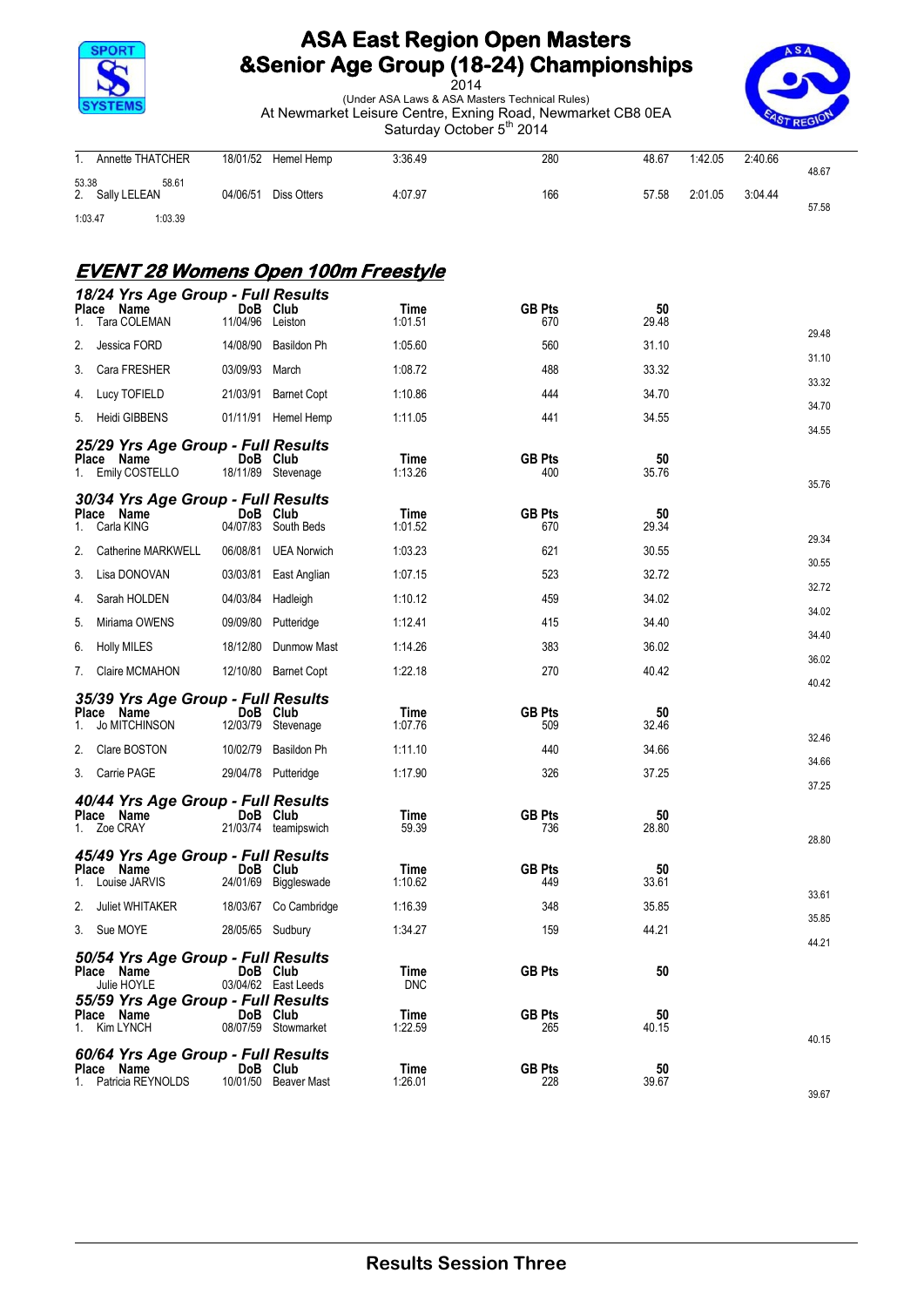

2014 (Under ASA Laws & ASA Masters Technical Rules) At Newmarket Leisure Centre, Exning Road, Newmarket CB8 0EA Saturday October 5<sup>th</sup> 2014



|         | 1. Annette THATCHER | 18/01/52 Hemel Hemp  | 3:36.49 | 280 | 48.67 | 1:42.05 | 2:40.66 |       |
|---------|---------------------|----------------------|---------|-----|-------|---------|---------|-------|
|         |                     |                      |         |     |       |         |         | 48.67 |
| 53.38   | 58.61               |                      |         |     |       |         |         |       |
|         | 2. Sally LELEAN     | 04/06/51 Diss Otters | 4:07.97 | 166 | 57.58 | 2:01.05 | 3:04.44 |       |
|         |                     |                      |         |     |       |         |         | 57.58 |
| 1:03.47 | 1:03.39             |                      |         |     |       |         |         |       |

#### **EVENT 28 Womens Open 100m Freestyle**

| <b>Place</b> | 18/24 Yrs Age Group - Full Results<br>Name       |                  | DoB Club                       | Time               | <b>GB Pts</b>        | 50          |       |
|--------------|--------------------------------------------------|------------------|--------------------------------|--------------------|----------------------|-------------|-------|
| 1.           | Tara COLEMAN                                     | 11/04/96         | Leiston                        | 1:01.51            | 670                  | 29.48       | 29.48 |
| 2.           | Jessica FORD                                     | 14/08/90         | Basildon Ph                    | 1:05.60            | 560                  | 31.10       | 31.10 |
| 3.           | Cara FRESHER                                     | 03/09/93         | March                          | 1:08.72            | 488                  | 33.32       | 33.32 |
| 4.           | Lucy TOFIELD                                     | 21/03/91         | <b>Barnet Copt</b>             | 1:10.86            | 444                  | 34.70       | 34.70 |
| 5.           | <b>Heidi GIBBENS</b>                             |                  | 01/11/91 Hemel Hemp            | 1:11.05            | 441                  | 34.55       | 34.55 |
|              | 25/29 Yrs Age Group - Full Results               |                  |                                |                    |                      |             |       |
| 1.           | Place Name<br>Emily COSTELLO                     |                  | DoB Club<br>18/11/89 Stevenage | Time<br>1:13.26    | <b>GB Pts</b><br>400 | 50<br>35.76 |       |
|              | 30/34 Yrs Age Group - Full Results               |                  |                                |                    |                      |             | 35.76 |
| 1.           | Place Name<br>Carla KING                         | 04/07/83         | DoB Club<br>South Beds         | Time<br>1:01.52    | <b>GB Pts</b><br>670 | 50<br>29.34 |       |
| 2.           | Catherine MARKWELL                               |                  | 06/08/81 UEA Norwich           | 1:03.23            | 621                  | 30.55       | 29.34 |
| 3.           | Lisa DONOVAN                                     |                  | 03/03/81 East Anglian          | 1:07.15            | 523                  | 32.72       | 30.55 |
| 4.           | Sarah HOLDEN                                     | 04/03/84         | Hadleigh                       | 1:10.12            | 459                  | 34.02       | 32.72 |
| 5.           | Miriama OWENS                                    | 09/09/80         | Putteridge                     | 1:12.41            | 415                  | 34.40       | 34.02 |
| 6.           | <b>Holly MILES</b>                               | 18/12/80         | Dunmow Mast                    | 1:14.26            | 383                  | 36.02       | 34.40 |
| 7.           | Claire MCMAHON                                   | 12/10/80         | Barnet Copt                    | 1:22.18            | 270                  | 40.42       | 36.02 |
|              | 35/39 Yrs Age Group - Full Results               |                  |                                |                    |                      |             | 40.42 |
| 1.           | Place Name<br>Jo MITCHINSON                      | DoB Club         | 12/03/79 Stevenage             | Time<br>1:07.76    | <b>GB Pts</b><br>509 | 50<br>32.46 |       |
| 2.           | Clare BOSTON                                     | 10/02/79         | Basildon Ph                    | 1:11.10            | 440                  | 34.66       | 32.46 |
| 3.           | Carrie PAGE                                      |                  | 29/04/78 Putteridge            | 1:17.90            | 326                  | 37.25       | 34.66 |
|              |                                                  |                  |                                |                    |                      |             | 37.25 |
|              | 40/44 Yrs Age Group - Full Results<br>Place Name |                  | DoB Club                       | Time               | <b>GB Pts</b>        | 50          |       |
|              | 1. Zoe CRAY                                      |                  | 21/03/74 teamipswich           | 59.39              | 736                  | 28.80       | 28.80 |
|              | 45/49 Yrs Age Group - Full Results<br>Place Name | DoB Club         |                                | Time               | <b>GB Pts</b>        | 50          |       |
| 1.           | Louise JARVIS                                    |                  | 24/01/69 Biggleswade           | 1:10.62            | 449                  | 33.61       | 33.61 |
| 2.           | Juliet WHITAKER                                  |                  | 18/03/67 Co Cambridge          | 1:16.39            | 348                  | 35.85       | 35.85 |
| 3.           | Sue MOYE                                         | 28/05/65 Sudbury |                                | 1:34.27            | 159                  | 44.21       | 44.21 |
|              | 50/54 Yrs Age Group - Full Results<br>Place Name |                  | DoB Club                       |                    |                      | 50          |       |
|              | Julie HOYLE                                      |                  | 03/04/62 East Leeds            | Time<br><b>DNC</b> | <b>GB Pts</b>        |             |       |
|              | 55/59 Yrs Age Group - Full Results<br>Place Name | DoB Club         |                                | Time               | <b>GB Pts</b>        | 50          |       |
| 1.           | Kim LYNCH                                        |                  | 08/07/59 Stowmarket            | 1:22.59            | 265                  | 40.15       | 40.15 |
|              | 60/64 Yrs Age Group - Full Results<br>Place Name |                  | DoB Club                       | Time               | <b>GB Pts</b>        | 50          |       |
| 1.           | Patricia REYNOLDS                                |                  | 10/01/50 Beaver Mast           | 1:26.01            | 228                  | 39.67       | 39.67 |
|              |                                                  |                  |                                |                    |                      |             |       |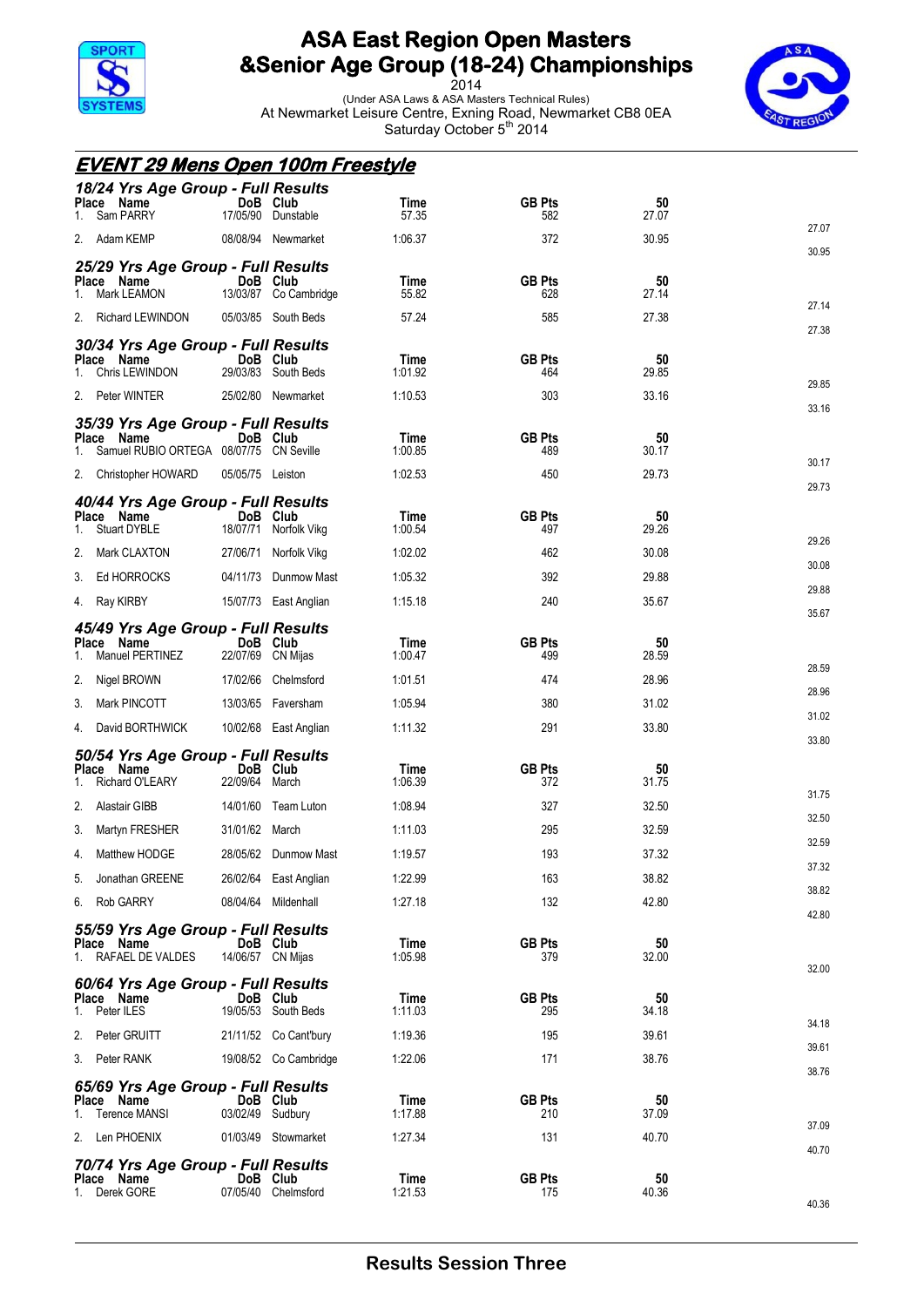

2014 (Under ASA Laws & ASA Masters Technical Rules) At Newmarket Leisure Centre, Exning Road, Newmarket CB8 0EA Saturday October 5<sup>th</sup> 2014



40.36

|       | <b>EVENT 29 Mens Open 100m Freestyle</b>         |                               |                                   |                        |                      |             |                |
|-------|--------------------------------------------------|-------------------------------|-----------------------------------|------------------------|----------------------|-------------|----------------|
|       | 18/24 Yrs Age Group - Full Results               |                               |                                   |                        |                      |             |                |
| 1.    | Place Name<br>Sam PARRY                          | DoB Club                      | 17/05/90 Dunstable                | Time<br>57.35          | <b>GB Pts</b><br>582 | 50<br>27.07 |                |
|       | 2. Adam KEMP                                     |                               | 08/08/94 Newmarket                | 1:06.37                | 372                  | 30.95       | 27.07          |
|       | 25/29 Yrs Age Group - Full Results               |                               |                                   |                        |                      |             | 30.95          |
| 1.    | Place Name<br>Mark LEAMON                        |                               | DoB Club<br>13/03/87 Co Cambridge | Time<br>55.82          | <b>GB Pts</b><br>628 | 50<br>27.14 |                |
| 2.    | Richard LEWINDON                                 |                               | 05/03/85 South Beds               | 57.24                  | 585                  | 27.38       | 27.14          |
|       | 30/34 Yrs Age Group - Full Results               |                               |                                   |                        |                      |             | 27.38          |
|       | Place Name<br>Chris LEWINDON                     | DoB Club                      | 29/03/83 South Beds               | <b>Time</b><br>1:01.92 | <b>GB Pts</b><br>464 | 50<br>29.85 |                |
|       | 2. Peter WINTER                                  |                               | 25/02/80 Newmarket                | 1:10.53                | 303                  | 33.16       | 29.85          |
|       |                                                  |                               |                                   |                        |                      |             | 33.16          |
| Place | 35/39 Yrs Age Group - Full Results<br>Name       |                               | DoB Club                          | Time                   | <b>GB Pts</b>        | 50          |                |
|       | Samuel RUBIO ORTEGA 08/07/75 CN Seville          |                               |                                   | 1:00.85                | 489                  | 30.17       | 30.17          |
|       | 2. Christopher HOWARD                            | 05/05/75 Leiston              |                                   | 1:02.53                | 450                  | 29.73       | 29.73          |
|       | 40/44 Yrs Age Group - Full Results<br>Place Name | DoB Club                      |                                   | Time                   | <b>GB Pts</b>        | 50          |                |
|       | Stuart DYBLE                                     |                               | 18/07/71 Norfolk Vikg             | 1:00.54                | 497                  | 29.26       | 29.26          |
| 2.    | Mark CLAXTON                                     |                               | 27/06/71 Norfolk Vikg             | 1:02.02                | 462                  | 30.08       | 30.08          |
|       | 3. Ed HORROCKS                                   |                               | 04/11/73 Dunmow Mast              | 1:05.32                | 392                  | 29.88       | 29.88          |
|       | 4. Ray KIRBY                                     |                               | 15/07/73 East Anglian             | 1:15.18                | 240                  | 35.67       | 35.67          |
|       | 45/49 Yrs Age Group - Full Results<br>Place Name |                               | DoB Club                          | Time                   | <b>GB Pts</b>        | 50          |                |
|       | Manuel PERTINEZ                                  | 22/07/69 CN Mijas             |                                   | 1:00.47                | 499                  | 28.59       | 28.59          |
| 2.    | Nigel BROWN                                      |                               | 17/02/66 Chelmsford               | 1:01.51                | 474                  | 28.96       | 28.96          |
| 3.    | Mark PINCOTT                                     |                               | 13/03/65 Faversham                | 1:05.94                | 380                  | 31.02       | 31.02          |
| 4.    | David BORTHWICK                                  |                               | 10/02/68 East Anglian             | 1:11.32                | 291                  | 33.80       | 33.80          |
|       | 50/54 Yrs Age Group - Full Results               |                               |                                   |                        |                      |             |                |
| Place | Name<br><b>Richard O'LEARY</b>                   | DoB Club<br>22/09/64 March    |                                   | Time<br>1:06.39        | <b>GB Pts</b><br>372 | 50<br>31.75 |                |
| 2.    | Alastair GIBB                                    | 14/01/60                      | Team Luton                        | 1:08.94                | 327                  | 32.50       | 31.75          |
|       | 3. Martyn FRESHER                                | 31/01/62 March                |                                   | 1:11.03                | 295                  | 32.59       | 32.50          |
| 4.    | Matthew HODGE                                    |                               | 28/05/62 Dunmow Mast              | 1:19.57                | 193                  | 37.32       | 32.59<br>37.32 |
| 5.    | Jonathan GREENE                                  |                               | 26/02/64 East Anglian             | 1:22.99                | 163                  | 38.82       | 38.82          |
|       | 6. Rob GARRY                                     |                               | 08/04/64 Mildenhall               | 1:27.18                | 132                  | 42.80       | 42.80          |
|       | 55/59 Yrs Age Group - Full Results               |                               |                                   |                        |                      |             |                |
|       | Place Name<br>1. RAFAEL DE VALDES                | DoB Club<br>14/06/57 CN Mijas |                                   | Time<br>1:05.98        | <b>GB Pts</b><br>379 | 50<br>32.00 |                |
|       | 60/64 Yrs Age Group - Full Results               |                               |                                   |                        |                      |             | 32.00          |
| 1.    | Place Name<br>Peter ILES                         | DoB Club                      | 19/05/53 South Beds               | Time<br>1:11.03        | <b>GB Pts</b><br>295 | 50<br>34.18 |                |
| 2.    | Peter GRUITT                                     |                               | 21/11/52 Co Cant'bury             | 1:19.36                | 195                  | 39.61       | 34.18          |
|       | 3. Peter RANK                                    |                               | 19/08/52 Co Cambridge             | 1:22.06                | 171                  | 38.76       | 39.61          |
|       |                                                  |                               |                                   |                        |                      |             | 38.76          |
|       | 65/69 Yrs Age Group - Full Results<br>Place Name | DoB Club                      |                                   | Time                   | <b>GB Pts</b>        | 50          |                |
|       | 1. Terence MANSI                                 | 03/02/49 Sudbury              |                                   | 1:17.88                | 210                  | 37.09       | 37.09          |
|       | 2. Len PHOENIX                                   |                               | 01/03/49 Stowmarket               | 1:27.34                | 131                  | 40.70       | 40.70          |
|       | 70/74 Yrs Age Group - Full Results<br>Place Name | DoB Club                      |                                   | Time                   | <b>GB Pts</b>        | 50          |                |
|       | 1. Derek GORE                                    |                               | 07/05/40 Chelmsford               | 1:21.53                | 175                  | 40.36       |                |